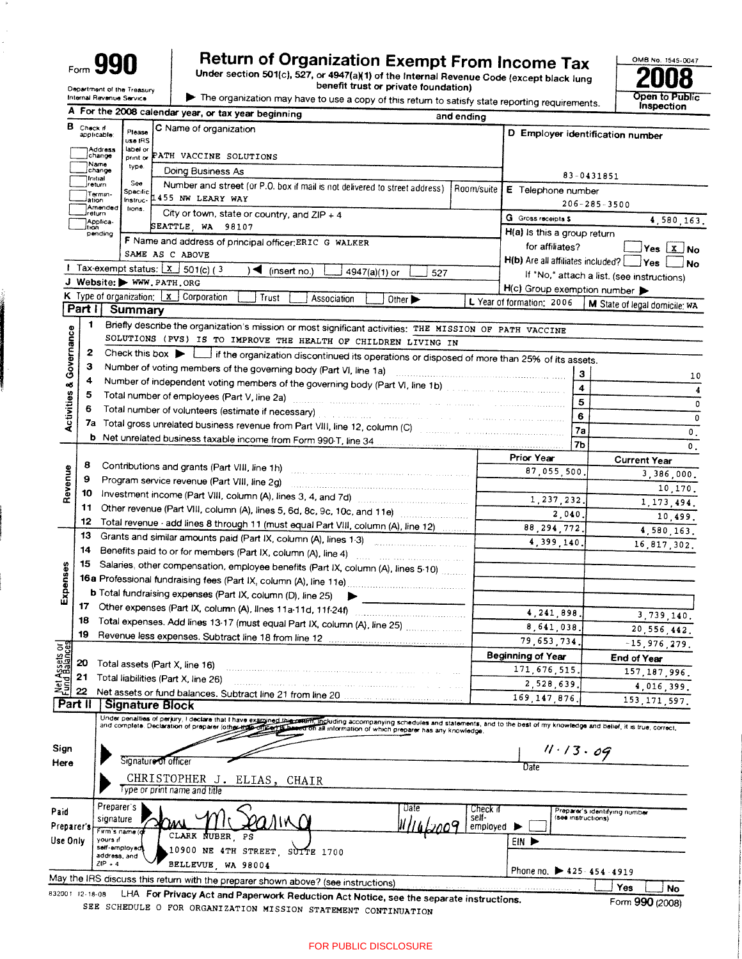| Form |  | <b>AQF</b><br>Π |
|------|--|-----------------|
|------|--|-----------------|

 $\cdot$ 

# Return of Organization Exempt From Income Tax<br>Under section 501(c), 527, or 4947(a)(1) of the Internal Revenue Code (except black lung<br>benefit trust or private foundation)



Ù.

|  | The organization may have to use a copy of this return to satisfy state reporting requirement |  |  |
|--|-----------------------------------------------------------------------------------------------|--|--|
|  |                                                                                               |  |  |



 $\mathbf{I}$ 

|                                    |                 |                               |                        | A For the 2008 calendar year, or tax year beginning<br>and ending                                                                                                                                                                                                    |                                                          |                                                     |
|------------------------------------|-----------------|-------------------------------|------------------------|----------------------------------------------------------------------------------------------------------------------------------------------------------------------------------------------------------------------------------------------------------------------|----------------------------------------------------------|-----------------------------------------------------|
| в.                                 | Check if        | applicable:                   | Please<br>use IRS      | C Name of organization                                                                                                                                                                                                                                               |                                                          | D Employer identification number                    |
|                                    |                 | Address<br>change             | label or<br>print or   | PATH VACCINE SOLUTIONS                                                                                                                                                                                                                                               |                                                          |                                                     |
|                                    |                 | Name<br>jchange               | type.                  | Doing Business As                                                                                                                                                                                                                                                    |                                                          | 83-0431851                                          |
|                                    |                 | Initial<br>jreturn            | See                    | Number and street (or P.O. box if mail is not delivered to street address)<br>Room/suite                                                                                                                                                                             | E Telephone number                                       |                                                     |
|                                    |                 | Termin-<br>lation             | Specific  <br>Instruc- | 1455 NW LEARY WAY                                                                                                                                                                                                                                                    |                                                          |                                                     |
|                                    |                 | Amended<br>İrəturn            | lions.                 | City or town, state or country, and $ZIP + 4$                                                                                                                                                                                                                        | <b>G</b> Gross receipts \$                               | $206 - 285 - 3500$                                  |
|                                    | ltion.          | Applica-                      |                        | SEATTLE WA 98107                                                                                                                                                                                                                                                     |                                                          | 4,580,163.                                          |
|                                    |                 | pending                       |                        | F Name and address of principal officer: ERIC G WALKER                                                                                                                                                                                                               | H(a) is this a group return<br>for affiliates?           |                                                     |
|                                    |                 |                               |                        | SAME AS C ABOVE                                                                                                                                                                                                                                                      |                                                          | Yes $\boxed{x}$ No                                  |
|                                    |                 |                               |                        | <b>I</b> Tax-exempt status: $x \,   \, x \,   \, 501(c)$ (3)<br>◀<br>(insert no.)<br>4947(a)(1) or<br>527                                                                                                                                                            | H(b) Are all affiliates included?                        | Yes<br><b>No</b>                                    |
|                                    |                 |                               |                        | J Website: WWW.PATH.ORG                                                                                                                                                                                                                                              |                                                          | If "No," attach a list. (see instructions)          |
|                                    |                 |                               |                        | <b>K</b> Type of organization: $\mathbf{x}$ Corporation<br>Trust<br>Association<br>Other >                                                                                                                                                                           | H(c) Group exemption number<br>L Year of formation: 2006 |                                                     |
|                                    |                 | Part I Summary                |                        |                                                                                                                                                                                                                                                                      |                                                          | M State of legal domicile; WA                       |
|                                    | 1               |                               |                        | Briefly describe the organization's mission or most significant activities: THE MISSION OF PATH VACCINE                                                                                                                                                              |                                                          |                                                     |
| <b>Activities &amp; Governance</b> |                 |                               |                        | SOLUTIONS (PVS) IS TO IMPROVE THE HEALTH OF CHILDREN LIVING IN                                                                                                                                                                                                       |                                                          |                                                     |
|                                    | 2               |                               |                        | Check this box if the organization discontinued its operations or disposed of more than 25% of its assets.                                                                                                                                                           |                                                          |                                                     |
|                                    | з               |                               |                        | Number of voting members of the governing body (Part VI, line 1a)                                                                                                                                                                                                    |                                                          |                                                     |
|                                    | 4               |                               |                        | Number of independent voting members of the governing body (Part VI, line 1b)                                                                                                                                                                                        |                                                          | 3<br>10                                             |
|                                    | 5               |                               |                        | Total number of employees (Part V, line 2a) manufactured and contain the contract of the container and container                                                                                                                                                     |                                                          | 4<br>4                                              |
|                                    | 6               |                               |                        | Total number of volunteers (estimate if necessary) and contained a state of the contained and contained and contained                                                                                                                                                |                                                          | 5<br>0                                              |
|                                    |                 |                               |                        | 7a Total gross unrelated business revenue from Part VIII, line 12, column (C)                                                                                                                                                                                        | 6                                                        | 0                                                   |
|                                    |                 |                               |                        |                                                                                                                                                                                                                                                                      | 7a                                                       | $\mathfrak o$ .                                     |
|                                    |                 |                               |                        |                                                                                                                                                                                                                                                                      | 7 <sub>b</sub>                                           | 0.                                                  |
|                                    | 8               |                               |                        | Contributions and grants (Part VIII, line 1h)                                                                                                                                                                                                                        | Prior Year                                               | <b>Current Year</b>                                 |
|                                    | 9               |                               |                        | .<br>1999 - Francisco Princesso Indianista della componenta della contra<br>Program service revenue (Part VIII, line 2g)                                                                                                                                             | 87,055,500                                               | 3.386,000.                                          |
| Revenue                            | 10              |                               |                        | Investment income (Part VIII, column (A), lines 3, 4, and 7d)                                                                                                                                                                                                        |                                                          | 10,170.                                             |
|                                    | 11              |                               |                        |                                                                                                                                                                                                                                                                      | 1,237,232                                                | 1, 173, 494.                                        |
|                                    | 12              |                               |                        | Other revenue (Part VIII, column (A), lines 5, 6d, 8c, 9c, 10c, and 11e)                                                                                                                                                                                             | 2,040.                                                   | 10,499.                                             |
|                                    | 13              |                               |                        | Total revenue · add lines 8 through 11 (must equal Part VIII, column (A), line 12)<br>Grants and similar amounts paid (Part IX, column (A), lines 1-3)                                                                                                               | 88, 294, 772.                                            | 4,580,163.                                          |
|                                    | 14              |                               |                        | Benefits paid to or for members (Part IX, column (A), line 4)                                                                                                                                                                                                        | 4,399,140.                                               | 16,817,302.                                         |
|                                    | 15.             |                               |                        |                                                                                                                                                                                                                                                                      |                                                          |                                                     |
| Expenses                           |                 |                               |                        | Salaries, other compensation, employee benefits (Part IX, column (A), lines 5-10)                                                                                                                                                                                    |                                                          |                                                     |
|                                    |                 |                               |                        | <b>b</b> Total fundraising expenses (Part IX, column (D), line 25) $\blacktriangleright$                                                                                                                                                                             |                                                          |                                                     |
|                                    | 17              |                               |                        |                                                                                                                                                                                                                                                                      |                                                          |                                                     |
|                                    | 18              |                               |                        |                                                                                                                                                                                                                                                                      | 4, 241, 898.                                             | 3,739,140.                                          |
|                                    | 19              |                               |                        | Total expenses. Add lines 13-17 (must equal Part IX, column (A), line 25)                                                                                                                                                                                            | 8,641,038.                                               | 20,556,442.                                         |
| ಕ್ಷ                                |                 |                               |                        |                                                                                                                                                                                                                                                                      | 79,653,734.                                              | $-15,976,279.$                                      |
| <b>Salan</b><br>Balang             | 20              |                               |                        | Total assets (Part X, line 16)                                                                                                                                                                                                                                       | <b>Beginning of Year</b>                                 | End of Year                                         |
|                                    | 21              |                               |                        | Total liabilities (Part X, line 26)                                                                                                                                                                                                                                  | 171,676,515                                              | 157, 187, 996                                       |
|                                    | 22              |                               |                        |                                                                                                                                                                                                                                                                      | 2,528,639.                                               | 4,016,399                                           |
|                                    | Part II         |                               |                        | Net assets or fund balances. Subtract line 21 from line 20<br><b>Signature Block</b>                                                                                                                                                                                 | 169, 147, 876                                            | 153, 171, 597,                                      |
|                                    |                 |                               |                        |                                                                                                                                                                                                                                                                      |                                                          |                                                     |
|                                    |                 |                               |                        | Under penalties of perjury, I declare that I have examined this content, including accompanying schedules and statements, and to the best of my knowledge and belief, it is true, correct,<br>of parts based on all information of which preparer has any knowledge. |                                                          |                                                     |
|                                    |                 |                               |                        |                                                                                                                                                                                                                                                                      |                                                          |                                                     |
| Sign                               |                 |                               |                        | Signature of officer                                                                                                                                                                                                                                                 | 11.13.09                                                 |                                                     |
| Here                               |                 |                               |                        |                                                                                                                                                                                                                                                                      | Date                                                     |                                                     |
|                                    |                 |                               |                        | CHRISTOPHER J. ELIAS, CHAIR<br>Type or print name and title                                                                                                                                                                                                          |                                                          |                                                     |
|                                    |                 |                               |                        |                                                                                                                                                                                                                                                                      |                                                          |                                                     |
| Paid                               |                 | Preparer's                    |                        | Date                                                                                                                                                                                                                                                                 | Check if<br>self-                                        | Preparer's identifying number<br>(see instructions) |
| Preparer's                         |                 | signature<br>Firm's name (g   |                        | MNO                                                                                                                                                                                                                                                                  | employed                                                 |                                                     |
| Use Only                           |                 | yours if                      |                        | CLARK NUBER PS                                                                                                                                                                                                                                                       | EIN Þ                                                    |                                                     |
|                                    |                 | self-employed<br>address, and |                        | 10900 NE 4TH STREET<br>SUITE 1700                                                                                                                                                                                                                                    |                                                          |                                                     |
|                                    |                 | $ZIP + 4$                     |                        | BELLEVUE, WA 98004                                                                                                                                                                                                                                                   | Phone no. ▶ 425 - 454 - 4919                             |                                                     |
|                                    |                 |                               |                        | May the IRS discuss this return with the preparer shown above? (see instructions)                                                                                                                                                                                    |                                                          | Yes                                                 |
|                                    | 832001 12-18-08 |                               |                        | LHA For Privacy Act and Paperwork Reduction Act Notice, see the separate instructions.                                                                                                                                                                               |                                                          | No                                                  |
|                                    |                 |                               |                        | SEE SCHEDULE O FOR ORGANIZATION MISSION STATEMENT CONTINUATION                                                                                                                                                                                                       |                                                          | Form 990 (2008)                                     |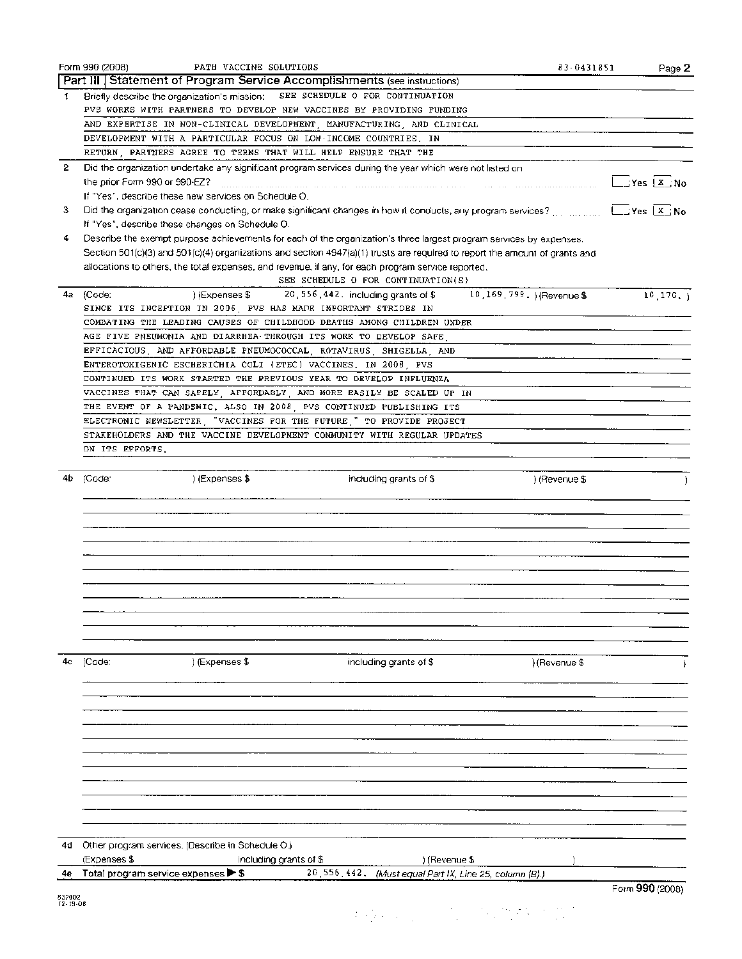|        | Form 990 (2008)<br>PATH VACCINE SOLUTIONS                                                                                               | 83-0431851    | Page 2          |
|--------|-----------------------------------------------------------------------------------------------------------------------------------------|---------------|-----------------|
|        | Part III Statement of Program Service Accomplishments (see instructions)                                                                |               |                 |
| 1      | SEE SCHEDULE O FOR CONTINUATION<br>Briefly describe the organization's mission:                                                         |               |                 |
|        | PVS WORKS WITH PARTNERS TO DEVELOP NEW VACCINES BY PROVIDING FUNDING                                                                    |               |                 |
|        | AND EXPERTISE IN NON-CLINICAL DEVELOPMENT MANUFACTURING AND CLINICAL                                                                    |               |                 |
|        | DEVELOPMENT WITH A PARTICULAR FOCUS ON LOW INCOME COUNTRIES. IN                                                                         |               |                 |
|        | RETURN, PARTNERS AGREE TO TERMS THAT WILL HELP ENSURE THAT THE                                                                          |               |                 |
| 2      | Did the organization undertake any significant program services during the year which were not listed on                                |               |                 |
|        | the prior Form 990 or 990-EZ?                                                                                                           |               | $L$ Yes $X$ No  |
|        |                                                                                                                                         |               |                 |
|        | If "Yes", describe these new services on Schedule O.                                                                                    |               |                 |
| з      | Did the organization cease conducting, or make significant changes in how it conducts, any program services? [1] minimum [1] Yes [X] No |               |                 |
|        | If "Yes", describe these changes on Schedule O.                                                                                         |               |                 |
| 4      | Describe the exempt purpose achievements for each of the organization's three largest program services by expenses.                     |               |                 |
|        | Section 501(c)(3) and 501(c)(4) organizations and section 4947(a)(1) trusts are required to report the amount of grants and             |               |                 |
|        | allocations to others, the total expenses, and revenue, if any, for each program service reported.                                      |               |                 |
|        | SEE SCHEDULE O FOR CONTINUATION(S)                                                                                                      |               |                 |
| 4а     | 10, 169, 799. ) (Revenue \$<br>(Code:<br>20, 556, 442. including grants of \$<br>I (Expenses \$                                         |               | $10, 170, \}$   |
|        | SINCE ITS INCEPTION IN 2006, PVS HAS MADE IMPORTANT STRIDES IN                                                                          |               |                 |
|        | COMBATING THE LEADING CAUSES OF CHILDHOOD DEATHS AMONG CHILDREN UNDER                                                                   |               |                 |
|        | AGE FIVE PNEUMONIA AND DIARRHEA THROUGH ITS WORK TO DEVELOP SAFE                                                                        |               |                 |
|        | EFFICACIOUS, AND AFFORDABLE PNEUMOCOCCAL, ROTAVIRUS, SHIGELLA, AND                                                                      |               |                 |
|        | ENTEROTOXIGENIC ESCHERICHIA COLI (ETEC) VACCINES, IN 2008 PVS                                                                           |               |                 |
|        | CONTINUED ITS WORK STARTED THE PREVIOUS YEAR TO DEVELOP INFLUENZA                                                                       |               |                 |
|        |                                                                                                                                         |               |                 |
|        | VACCINES THAT CAN SAFELY AFFORDABLY AND MORE EASILY BE SCALED UP IN                                                                     |               |                 |
|        | THE EVENT OF A PANDEMIC, ALSO IN 2008, PVS CONTINUED PUBLISHING ITS                                                                     |               |                 |
|        | ELECTRONIC NEWSLETTER, "VACCINES FOR THE FUTURE," TO PROVIDE PROJECT                                                                    |               |                 |
|        | STAKEHOLDERS AND THE VACCINE DEVELOPMENT COMMUNITY WITH REGULAR UPDATES                                                                 |               |                 |
|        | ON ITS EFFORTS.                                                                                                                         |               |                 |
|        |                                                                                                                                         |               |                 |
| 4b.    | ) (Expenses \$<br>(Code:<br>including grants of \$                                                                                      | ) (Revenue \$ |                 |
|        |                                                                                                                                         |               |                 |
|        |                                                                                                                                         |               |                 |
|        |                                                                                                                                         |               |                 |
|        |                                                                                                                                         |               |                 |
|        |                                                                                                                                         |               |                 |
|        |                                                                                                                                         |               |                 |
|        |                                                                                                                                         |               |                 |
|        |                                                                                                                                         |               |                 |
|        |                                                                                                                                         |               |                 |
|        |                                                                                                                                         |               |                 |
|        |                                                                                                                                         |               |                 |
|        |                                                                                                                                         |               |                 |
|        |                                                                                                                                         |               |                 |
| 4с     | (Code:<br>) (Expenses \$<br>including grants of \$                                                                                      | ) (Revenue \$ |                 |
|        |                                                                                                                                         |               |                 |
|        |                                                                                                                                         |               |                 |
|        |                                                                                                                                         |               |                 |
|        |                                                                                                                                         |               |                 |
|        |                                                                                                                                         |               |                 |
|        |                                                                                                                                         |               |                 |
|        |                                                                                                                                         |               |                 |
|        |                                                                                                                                         |               |                 |
|        |                                                                                                                                         |               |                 |
|        |                                                                                                                                         |               |                 |
|        |                                                                                                                                         |               |                 |
|        |                                                                                                                                         |               |                 |
|        |                                                                                                                                         |               |                 |
| 4d     | Other program services. (Describe in Schedule O.)                                                                                       |               |                 |
|        | (Expenses \$<br>including grants of \$<br>) (Revenue \$                                                                                 |               |                 |
| 4e     | Total program service expenses > \$<br>20,556,442.<br>(Must equal Part IX, Line 25, column (B).)                                        |               |                 |
|        |                                                                                                                                         |               | Form 990 (2008) |
| 832002 |                                                                                                                                         |               |                 |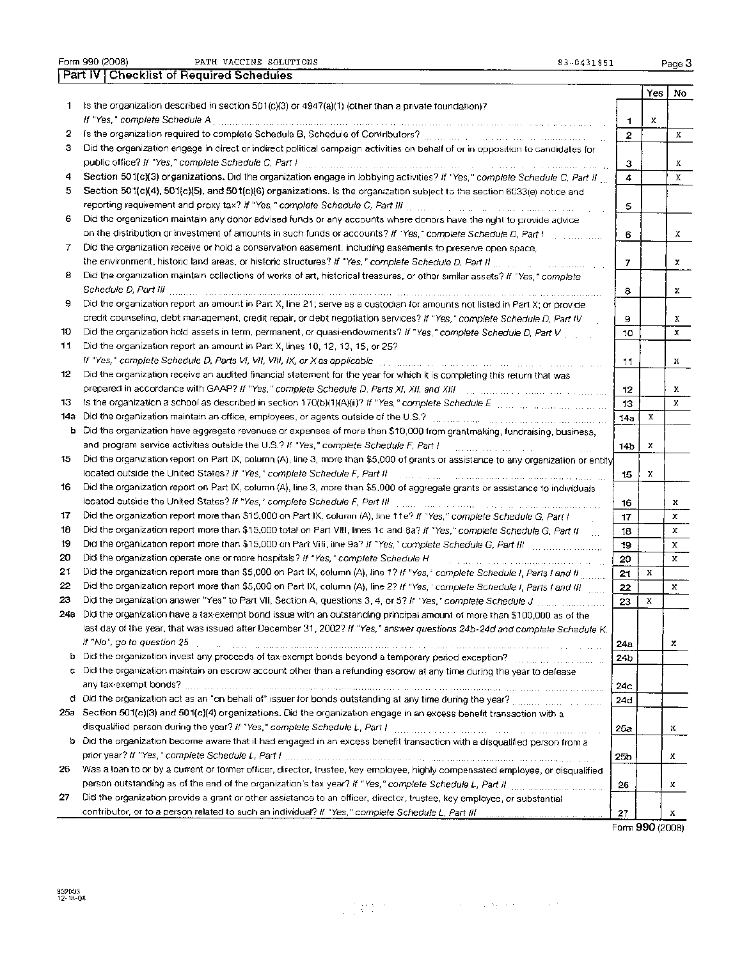Form 990 (2008) PATH VACCINE SOLUTIONS 83-8431851 Page 3 Part IV Checklist of Required Schedules

|           |                                                                                                                                                                                                                                                       |              | Yes | No |
|-----------|-------------------------------------------------------------------------------------------------------------------------------------------------------------------------------------------------------------------------------------------------------|--------------|-----|----|
| 1.        | is the organization described in section $501(c)(3)$ or $4947(a)(1)$ (other than a private foundation)?                                                                                                                                               |              |     |    |
|           | If "Yes," complete Schedule A                                                                                                                                                                                                                         | 1.           | х   |    |
| 2         |                                                                                                                                                                                                                                                       | $\mathbf{2}$ |     | Х  |
| з         | Did the organization engage in direct or indirect political campaign activities on behalf of or in opposition to candidates for                                                                                                                       |              |     |    |
|           | public office? If "Yes," complete Schedule C, Part I                                                                                                                                                                                                  | з            |     | х  |
| 4         | Section 501(c)(3) organizations. Old the organization engage in lobbying activities? If "Yes," complete Schedule C, Part II                                                                                                                           | 4            |     | x  |
| 5         | Section 501(c)(4), 501(c)(5), and 501(c)(6) organizations. Is the organization subject to the section 6033(e) notice and                                                                                                                              |              |     |    |
|           |                                                                                                                                                                                                                                                       | 5            |     |    |
| 6         | Did the organization maintain any donor advised funds or any accounts where donors have the right to provide advice                                                                                                                                   |              |     |    |
|           | on the distribution or investment of amounts in such funds or accounts? If "Yes," complete Schedule D, Part I                                                                                                                                         | 6            |     | x. |
| 7         | Did the organization receive or hold a conservation easement, including easements to preserve open space,                                                                                                                                             |              |     |    |
|           | the environment, historic land areas, or historic structures? If "Yes," complete Schedule D, Part II                                                                                                                                                  | 7            |     | x  |
| 8         | Did the organization maintain collections of works of art, historical treasures, or other similar assets? If "Yes," complete                                                                                                                          |              |     |    |
|           |                                                                                                                                                                                                                                                       | 8            |     | x  |
| 9         | Did the organization report an amount in Part X, line 21; serve as a custodian for amounts not listed in Part X; or provide                                                                                                                           |              |     |    |
|           | credit counseling, debt management, credit repair, or debt negotiation services? If "Yes," complete Schedule D. Part IV                                                                                                                               | 9            |     | x  |
| 10        | Did the organization hold assets in term, permanent, or quasi-endowments? If "Yes," complete Schedule D, Part V                                                                                                                                       | 10           |     | x  |
| 11        | Did the organization report an amount in Part X, lines 10, 12, 13, 15, or 25?                                                                                                                                                                         |              |     |    |
|           | If "Yes," complete Schedule D, Parts VI, VII, VIII, IX, or X as applicable                                                                                                                                                                            | 11           |     | x  |
| 12        | Did the organization receive an audited financial statement for the year for which it is completing this return that was                                                                                                                              |              |     |    |
|           | prepared in accordance with GAAP? If "Yes," complete Schedule D, Parts XI, XII, and XIII                                                                                                                                                              | 12           |     | x  |
| 13.       | Is the organization a school as described in section 170(b)(1)(A)(ii)? If "Yes," complete Schedule E manner manner manner                                                                                                                             | 13           |     | x. |
| 14а       | Did the organization maintain an office, employees, or agents outside of the U.S.?                                                                                                                                                                    | 14a          | х   |    |
| b         | Did the organization have aggregate revenues or expenses of more than \$10,000 from grantmaking, fundraising, business,                                                                                                                               |              |     |    |
|           | and program service activities outside the U.S.? If "Yes," complete Schedule F, Part I<br>المنافس والمستحقق والمستحققة                                                                                                                                | 14b          | х   |    |
| 15        | Did the organization report on Part IX, column (A), line 3, more than \$5,000 of grants or assistance to any organization or entity                                                                                                                   |              |     |    |
|           | located outside the United States? If "Yes," complete Schedule F, Part II                                                                                                                                                                             | 15           | x   |    |
| 16        | Did the organization report on Part IX, column (A), line 3, more than \$5,000 of aggregate grants or assistance to individuals                                                                                                                        |              |     |    |
|           | located outside the United States? If "Yes," complete Schedule F, Part III                                                                                                                                                                            | 16           |     | x  |
| 17        | Did the organization report more than \$15,000 on Part IX, column (A), line 11e? If "Yes," complete Schedule G, Part I                                                                                                                                | 17           |     | x  |
| 18        | Did the organization report more than \$15,000 total on Part VIII, lines 1c and 8a? If "Yes," complete Schedule G, Part II                                                                                                                            | 18           |     | х  |
| 19        |                                                                                                                                                                                                                                                       | 19           |     | x  |
| 20        | Did the organization operate one or more hospitals? If "Yes," complete Schedule H                                                                                                                                                                     | 20           |     | х  |
| 21        | Did the organization report more than \$5,000 on Part IX, column (A), line 1? If "Yes," complete Schedule I, Parts I and II                                                                                                                           | 21           | х   |    |
| 22        | Did the organization report more than \$5,000 on Part IX, column (A), line 2? If "Yes, ' complete Schedule I, Parts I and III                                                                                                                         | 22           |     | x  |
| 23<br>24а | Did the organization answer "Yes" to Part VII, Section A, questions 3, 4, or 5? If "Yes," complete Schedule J                                                                                                                                         | 23           | Х   |    |
|           | Did the organization have a tax-exempt bond issue with an outstanding principal amount of more than \$100,000 as of the<br>last day of the year, that was issued after December 31, 2002? If "Yes," answer questions 24b-24d and complete Schedule K. |              |     |    |
|           | If "No", go to question 25                                                                                                                                                                                                                            |              |     |    |
|           | and the common common common common contract the common common common common care and the                                                                                                                                                             | 24а          |     | x  |
|           | c Did the organization maintain an escrow account other than a refunding escrow at any time during the year to defease                                                                                                                                | 24b          |     |    |
|           |                                                                                                                                                                                                                                                       | 24c          |     |    |
|           |                                                                                                                                                                                                                                                       | 24d          |     |    |
|           | 25a Section 501(c)(3) and 501(c)(4) organizations. Did the organization engage in an excess benefit transaction with a                                                                                                                                |              |     |    |
|           | disqualified person during the year? If "Yes," complete Schedule L, Part I manufacture and the content of the common of                                                                                                                               | 25a          |     | x  |
|           | b Did the organization become aware that it had engaged in an excess benefit transaction with a disqualified person from a                                                                                                                            |              |     |    |
|           | prior year? If "Yes," complete Schedule L, Part I manual content to the content of the content of the content of the                                                                                                                                  | 25b          |     | x  |
| 26        | Was a loan to or by a current or former officer, director, trustee, key employee, highly compensated employee, or disqualified                                                                                                                        |              |     |    |
|           |                                                                                                                                                                                                                                                       | 26           |     | x  |
| 27        | Did the organization provide a grant or other assistance to an officer, director, trustee, key employee, or substantial                                                                                                                               |              |     |    |
|           |                                                                                                                                                                                                                                                       | 27           |     | x  |

Form 990 (2008)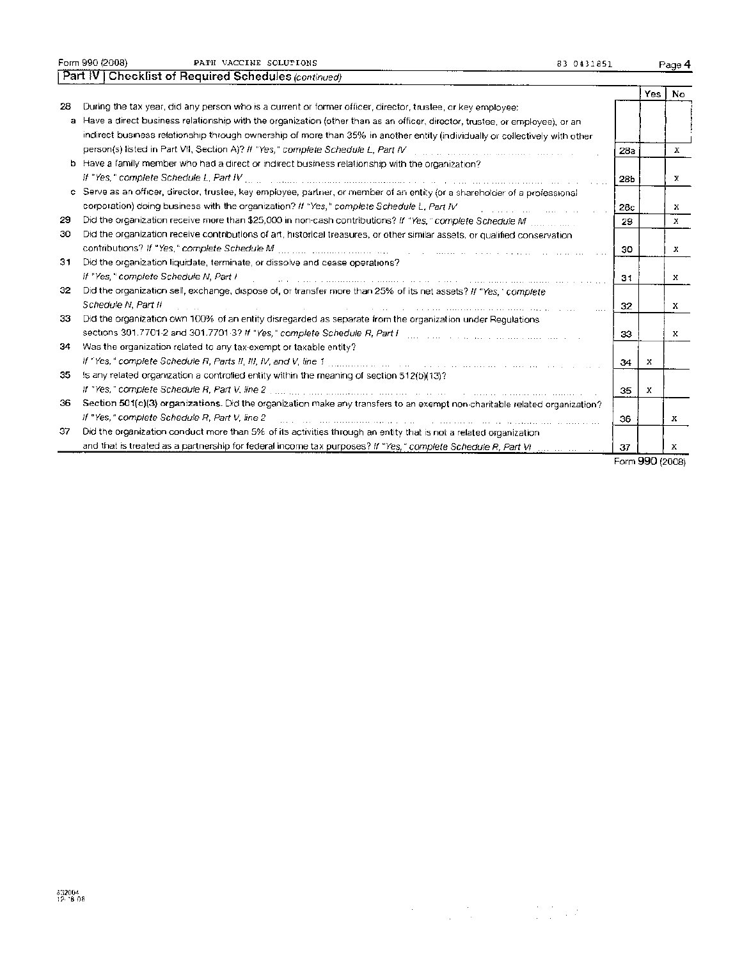|    | Form 990 (2008)<br>PATH VACCINE SOLUTIONS<br>83 0431851                                                                                                                                                                                                |     |     | Page 4 |
|----|--------------------------------------------------------------------------------------------------------------------------------------------------------------------------------------------------------------------------------------------------------|-----|-----|--------|
|    | Part IV   Checklist of Required Schedules (continued)                                                                                                                                                                                                  |     |     |        |
|    |                                                                                                                                                                                                                                                        |     | Yes | No     |
| 28 | During the tax year, did any person who is a current or former officer, director, trustee, or key employee;                                                                                                                                            |     |     |        |
|    | a Have a direct business relationship with the organization (other than as an officer, director, trustee, or employee), or an                                                                                                                          |     |     |        |
|    | indirect business relationship through ownership of more than 35% in another entity (individually or collectively with other                                                                                                                           |     |     |        |
|    |                                                                                                                                                                                                                                                        | 28a |     | x      |
|    | b Have a family member who had a direct or indirect business relationship with the organization?                                                                                                                                                       |     |     |        |
|    | If "Yes," complete Schedule L, Part IV                                                                                                                                                                                                                 | 28b |     | х      |
|    | c Serve as an officer, director, trustee, key employee, partner, or member of an entity (or a shareholder of a professional                                                                                                                            |     |     |        |
|    | corporation) doing business with the organization? If "Yes," complete Schedule L, Part IV                                                                                                                                                              | 28c |     | x      |
| 29 |                                                                                                                                                                                                                                                        | 29  |     | X.     |
| 30 | Did the organization receive contributions of art, historical treasures, or other similar assets, or qualified conservation                                                                                                                            |     |     |        |
|    |                                                                                                                                                                                                                                                        | 30  |     | х      |
| 31 | Did the organization liquidate, terminate, or dissolve and cease operations?                                                                                                                                                                           |     |     |        |
|    | If "Yes," complete Schedule N, Part I<br><u> 1999 - Paul Barbara, martin al-Amerikaan kalendari (h. 1998).</u>                                                                                                                                         | 31  |     | x      |
| 32 | Did the organization sell, exchange, dispose of, or transfer more than 25% of its net assets? If "Yes," complete                                                                                                                                       |     |     |        |
|    | Schedule N. Part II<br>$\sim$ . The state of the second state of the state of the state of the state of the state of the state of the state of the state of the state of the state of the state of the state of the state of the state of the state of | 32  |     | х      |
| 33 | Did the organization own 100% of an entity disregarded as separate from the organization under Regulations                                                                                                                                             |     |     |        |
|    | sections 301.7701-2 and 301.7701-3? If "Yes," complete Schedule R, Part International and the company and the                                                                                                                                          | 33  |     | x      |
| 34 | Was the organization related to any tax-exempt or taxable entity?                                                                                                                                                                                      |     |     |        |
|    | If "Yes," complete Schedule R, Parts II, III, IV, and V, line 1 manual contains the contained and complete schedule R, Parts II, III, A                                                                                                                | 34  | х   |        |
| 35 | Is any related organization a controlled entity within the meaning of section 512(b)(13)?                                                                                                                                                              |     |     |        |
|    | If "Yes," complete Schedule R, Part V, line 2<br>.<br>The contract contract contract of the contract of the contract of the contract of the contract contract of the                                                                                   | 35  | х   |        |
| 36 | Section 501(c)(3) organizations. Did the organization make any transfers to an exempt non-charitable related organization?                                                                                                                             |     |     |        |
|    | If "Yes," complete Schedule R, Part V, line 2                                                                                                                                                                                                          | 36  |     | x      |
| 37 | Did the organization conduct more than 5% of its activities through an entity that is not a related organization                                                                                                                                       |     |     |        |
|    |                                                                                                                                                                                                                                                        | 37  |     | х      |

Form 990 (2008)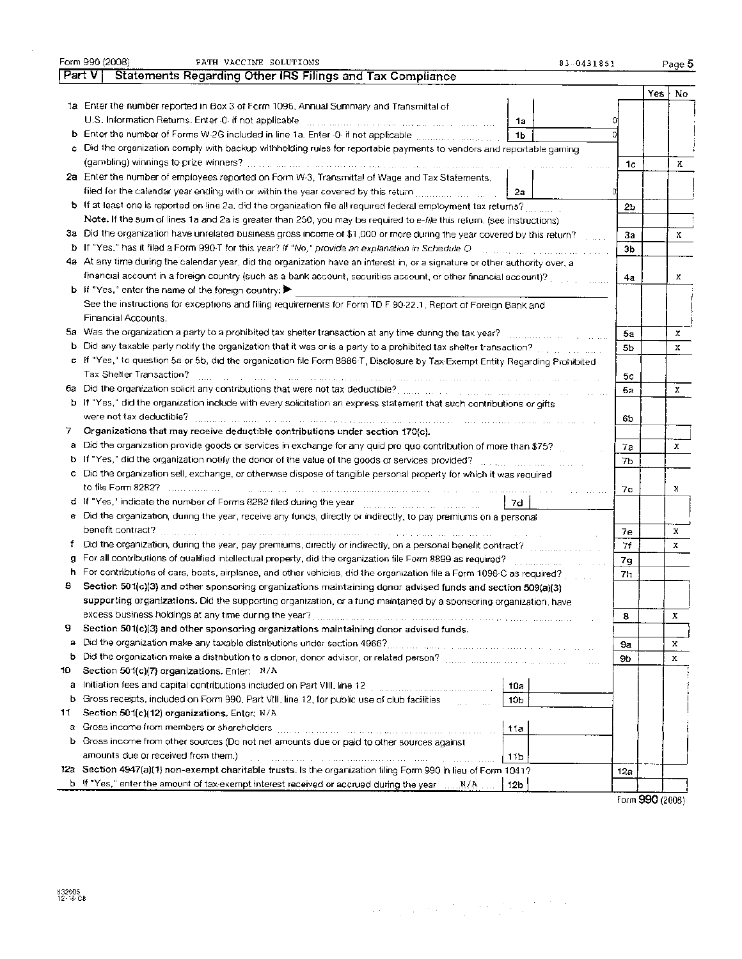| Part V<br>Yes<br>No.<br>1a Enter the number reported in Box 3 of Form 1096, Annual Summary and Transmittal of<br>U.S. Information Returns. Enter 0-if not applicable [11] management and management of the management<br>1a<br>1b<br>Did the organization comply with backup withholding rules for reportable payments to vendors and reportable gaming<br>c.<br>1 <sub>c</sub><br>Х<br>2a Enter the number of employees reported on Form W-3, Transmittal of Wage and Tax Statements,<br>filed for the calendar year ending with or within the year covered by this return [[[[[[[[[[[[[[[[[[[[[[[[[[[[<br>2а<br>b If at least one is reported on line 2a, did the organization file all required federal employment tax returns?<br>$_{\rm 2b}$<br>Note. If the sum of lines 1a and 2a is greater than 250, you may be required to e-file this return, (see instructions)<br>3a. Did the organization have unrelated business gross income of \$1,000 or more during the year covered by this return?<br>За<br>x<br>b If "Yes," has it filed a Form 990-T for this year? If "No," provide an explanation in Schedule O<br>3 <sub>b</sub><br>4a. At any time during the calendar year, did the organization have an interest in, or a signature or other authority over, a<br>financial account in a foreign country (such as a bank account, securities account, or other financial account)?<br>x<br>4а<br><b>b</b> If "Yes," enter the name of the foreign country: $\blacktriangleright$<br>See the instructions for exceptions and filing requirements for Form TD F 90-22.1, Report of Foreign Bank and<br>Financial Accounts.<br>Was the organization a party to a prohibited tax shelter transaction at any time during the tax year?<br>5a<br>x<br>5a<br>Did any taxable party notify the organization that it was or is a party to a prohibited tax shelter transaction?<br>ь<br>5b<br>x<br>c If "Yes," to question 5a or 5b, did the organization file Form 8886-T, Disclosure by Tax-Exempt Entity Regarding Prohibited<br>Tax Shelter Transaction?<br>5с<br>s and so and all life so the same of the same of the company of the same of the same of the same of the same<br>and the contract of<br>6а<br>x<br>6a<br>b If "Yes," did the organization include with every solicitation an express statement that such contributions or gifts<br>were not tax deductible?<br>65<br>an san anna sa a ann san seolarach na bliain sin ain sin ain ain an seo sin sin ainm sin air an sin an sin ai<br>Organizations that may receive deductible contributions under section 170(c).<br>7.<br>Did the organization provide goods or services in exchange for any quid pro quo contribution of more than \$75?<br>а<br>x<br>7a<br>If "Yes," did the organization notify the donor of the value of the goods or services provided? [11] the content of the content of the content of the content of the content of the content of the content of the content of t<br>b<br>7b<br>Did the organization sell, exchange, or otherwise dispose of tangible personal property for which it was required<br>c<br>to file Form 8282?<br>in a comparative and the comparative comparative comparative comparative and comparative comparative comparati<br>x<br>7с<br>d If "Yes," indicate the number of Forms 8282 filed during the year with the the content of the content<br>7d<br>e Did the organization, during the year, receive any funds, directly or indirectly, to pay premiums on a personal<br>х<br>7e<br>Did the organization, during the year, pay premiums, directly or indirectly, on a personal benefit contract? www.com<br>ŧ<br>71<br>х<br>For all contributions of qualified intellectual property, did the organization file Form 8899 as required?<br>7g<br>For contributions of cars, boats, airplanes, and other vehicles, did the organization file a Form 1098-C as required?<br>h<br>7h<br>8<br>Section 501(c)(3) and other sponsoring organizations maintaining donor advised funds and section 509(a)(3)<br>supporting organizations. Did the supporting organization, or a fund maintained by a sponsoring organization, have<br>excess business holdings at any time during the year?<br>8<br>х<br>9<br>Section 501(c)(3) and other sponsoring organizations maintaining donor advised funds.<br>a<br>x<br>9a<br>b<br>х<br>9b<br>Section 501(c)(7) organizations. Enter: N/A<br>10.<br>10a<br>а<br>Gross receipts, included on Form 990, Part VIII, line 12, for public use of club facilities<br>b<br>10b<br><b>Carl College</b><br>Section 501(c)(12) organizations, Enter; N/A<br>11<br>Gross income from members or shareholders<br>11a<br>a<br>Gross income from other sources (Do not net amounts due or paid to other sources against<br>ь<br>amounts due or received from them.)<br>11b<br>12a Section 4947(a)(1) non-exempt charitable trusts. Is the organization filing Form 990 in lieu of Form 1041?<br>12a<br><b>b</b> If "Yes," enter the amount of tax-exempt interest received or accrued during the year $N/A$<br>12 <sub>b</sub> | Form 990 (2008)<br>PATH VACCINE SOLUTIONS<br>83-0431851   |  | Page 5 |
|----------------------------------------------------------------------------------------------------------------------------------------------------------------------------------------------------------------------------------------------------------------------------------------------------------------------------------------------------------------------------------------------------------------------------------------------------------------------------------------------------------------------------------------------------------------------------------------------------------------------------------------------------------------------------------------------------------------------------------------------------------------------------------------------------------------------------------------------------------------------------------------------------------------------------------------------------------------------------------------------------------------------------------------------------------------------------------------------------------------------------------------------------------------------------------------------------------------------------------------------------------------------------------------------------------------------------------------------------------------------------------------------------------------------------------------------------------------------------------------------------------------------------------------------------------------------------------------------------------------------------------------------------------------------------------------------------------------------------------------------------------------------------------------------------------------------------------------------------------------------------------------------------------------------------------------------------------------------------------------------------------------------------------------------------------------------------------------------------------------------------------------------------------------------------------------------------------------------------------------------------------------------------------------------------------------------------------------------------------------------------------------------------------------------------------------------------------------------------------------------------------------------------------------------------------------------------------------------------------------------------------------------------------------------------------------------------------------------------------------------------------------------------------------------------------------------------------------------------------------------------------------------------------------------------------------------------------------------------------------------------------------------------------------------------------------------------------------------------------------------------------------------------------------------------------------------------------------------------------------------------------------------------------------------------------------------------------------------------------------------------------------------------------------------------------------------------------------------------------------------------------------------------------------------------------------------------------------------------------------------------------------------------------------------------------------------------------------------------------------------------------------------------------------------------------------------------------------------------------------------------------------------------------------------------------------------------------------------------------------------------------------------------------------------------------------------------------------------------------------------------------------------------------------------------------------------------------------------------------------------------------------------------------------------------------------------------------------------------------------------------------------------------------------------------------------------------------------------------------------------------------------------------------------------------------------------------------------------------------------------------------------------------------------------------------------------------------------------------------------------------------------------------------------------------------------------------------------------------------------------------------------------------------------------------------------------------------------------------------------------------------------------------------------------------------------------------------|-----------------------------------------------------------|--|--------|
|                                                                                                                                                                                                                                                                                                                                                                                                                                                                                                                                                                                                                                                                                                                                                                                                                                                                                                                                                                                                                                                                                                                                                                                                                                                                                                                                                                                                                                                                                                                                                                                                                                                                                                                                                                                                                                                                                                                                                                                                                                                                                                                                                                                                                                                                                                                                                                                                                                                                                                                                                                                                                                                                                                                                                                                                                                                                                                                                                                                                                                                                                                                                                                                                                                                                                                                                                                                                                                                                                                                                                                                                                                                                                                                                                                                                                                                                                                                                                                                                                                                                                                                                                                                                                                                                                                                                                                                                                                                                                                                                                                                                                                                                                                                                                                                                                                                                                                                                                                                                                                                                                  | Statements Regarding Other IRS Filings and Tax Compliance |  |        |
|                                                                                                                                                                                                                                                                                                                                                                                                                                                                                                                                                                                                                                                                                                                                                                                                                                                                                                                                                                                                                                                                                                                                                                                                                                                                                                                                                                                                                                                                                                                                                                                                                                                                                                                                                                                                                                                                                                                                                                                                                                                                                                                                                                                                                                                                                                                                                                                                                                                                                                                                                                                                                                                                                                                                                                                                                                                                                                                                                                                                                                                                                                                                                                                                                                                                                                                                                                                                                                                                                                                                                                                                                                                                                                                                                                                                                                                                                                                                                                                                                                                                                                                                                                                                                                                                                                                                                                                                                                                                                                                                                                                                                                                                                                                                                                                                                                                                                                                                                                                                                                                                                  |                                                           |  |        |
|                                                                                                                                                                                                                                                                                                                                                                                                                                                                                                                                                                                                                                                                                                                                                                                                                                                                                                                                                                                                                                                                                                                                                                                                                                                                                                                                                                                                                                                                                                                                                                                                                                                                                                                                                                                                                                                                                                                                                                                                                                                                                                                                                                                                                                                                                                                                                                                                                                                                                                                                                                                                                                                                                                                                                                                                                                                                                                                                                                                                                                                                                                                                                                                                                                                                                                                                                                                                                                                                                                                                                                                                                                                                                                                                                                                                                                                                                                                                                                                                                                                                                                                                                                                                                                                                                                                                                                                                                                                                                                                                                                                                                                                                                                                                                                                                                                                                                                                                                                                                                                                                                  |                                                           |  |        |
|                                                                                                                                                                                                                                                                                                                                                                                                                                                                                                                                                                                                                                                                                                                                                                                                                                                                                                                                                                                                                                                                                                                                                                                                                                                                                                                                                                                                                                                                                                                                                                                                                                                                                                                                                                                                                                                                                                                                                                                                                                                                                                                                                                                                                                                                                                                                                                                                                                                                                                                                                                                                                                                                                                                                                                                                                                                                                                                                                                                                                                                                                                                                                                                                                                                                                                                                                                                                                                                                                                                                                                                                                                                                                                                                                                                                                                                                                                                                                                                                                                                                                                                                                                                                                                                                                                                                                                                                                                                                                                                                                                                                                                                                                                                                                                                                                                                                                                                                                                                                                                                                                  |                                                           |  |        |
|                                                                                                                                                                                                                                                                                                                                                                                                                                                                                                                                                                                                                                                                                                                                                                                                                                                                                                                                                                                                                                                                                                                                                                                                                                                                                                                                                                                                                                                                                                                                                                                                                                                                                                                                                                                                                                                                                                                                                                                                                                                                                                                                                                                                                                                                                                                                                                                                                                                                                                                                                                                                                                                                                                                                                                                                                                                                                                                                                                                                                                                                                                                                                                                                                                                                                                                                                                                                                                                                                                                                                                                                                                                                                                                                                                                                                                                                                                                                                                                                                                                                                                                                                                                                                                                                                                                                                                                                                                                                                                                                                                                                                                                                                                                                                                                                                                                                                                                                                                                                                                                                                  |                                                           |  |        |
|                                                                                                                                                                                                                                                                                                                                                                                                                                                                                                                                                                                                                                                                                                                                                                                                                                                                                                                                                                                                                                                                                                                                                                                                                                                                                                                                                                                                                                                                                                                                                                                                                                                                                                                                                                                                                                                                                                                                                                                                                                                                                                                                                                                                                                                                                                                                                                                                                                                                                                                                                                                                                                                                                                                                                                                                                                                                                                                                                                                                                                                                                                                                                                                                                                                                                                                                                                                                                                                                                                                                                                                                                                                                                                                                                                                                                                                                                                                                                                                                                                                                                                                                                                                                                                                                                                                                                                                                                                                                                                                                                                                                                                                                                                                                                                                                                                                                                                                                                                                                                                                                                  |                                                           |  |        |
|                                                                                                                                                                                                                                                                                                                                                                                                                                                                                                                                                                                                                                                                                                                                                                                                                                                                                                                                                                                                                                                                                                                                                                                                                                                                                                                                                                                                                                                                                                                                                                                                                                                                                                                                                                                                                                                                                                                                                                                                                                                                                                                                                                                                                                                                                                                                                                                                                                                                                                                                                                                                                                                                                                                                                                                                                                                                                                                                                                                                                                                                                                                                                                                                                                                                                                                                                                                                                                                                                                                                                                                                                                                                                                                                                                                                                                                                                                                                                                                                                                                                                                                                                                                                                                                                                                                                                                                                                                                                                                                                                                                                                                                                                                                                                                                                                                                                                                                                                                                                                                                                                  |                                                           |  |        |
|                                                                                                                                                                                                                                                                                                                                                                                                                                                                                                                                                                                                                                                                                                                                                                                                                                                                                                                                                                                                                                                                                                                                                                                                                                                                                                                                                                                                                                                                                                                                                                                                                                                                                                                                                                                                                                                                                                                                                                                                                                                                                                                                                                                                                                                                                                                                                                                                                                                                                                                                                                                                                                                                                                                                                                                                                                                                                                                                                                                                                                                                                                                                                                                                                                                                                                                                                                                                                                                                                                                                                                                                                                                                                                                                                                                                                                                                                                                                                                                                                                                                                                                                                                                                                                                                                                                                                                                                                                                                                                                                                                                                                                                                                                                                                                                                                                                                                                                                                                                                                                                                                  |                                                           |  |        |
|                                                                                                                                                                                                                                                                                                                                                                                                                                                                                                                                                                                                                                                                                                                                                                                                                                                                                                                                                                                                                                                                                                                                                                                                                                                                                                                                                                                                                                                                                                                                                                                                                                                                                                                                                                                                                                                                                                                                                                                                                                                                                                                                                                                                                                                                                                                                                                                                                                                                                                                                                                                                                                                                                                                                                                                                                                                                                                                                                                                                                                                                                                                                                                                                                                                                                                                                                                                                                                                                                                                                                                                                                                                                                                                                                                                                                                                                                                                                                                                                                                                                                                                                                                                                                                                                                                                                                                                                                                                                                                                                                                                                                                                                                                                                                                                                                                                                                                                                                                                                                                                                                  |                                                           |  |        |
|                                                                                                                                                                                                                                                                                                                                                                                                                                                                                                                                                                                                                                                                                                                                                                                                                                                                                                                                                                                                                                                                                                                                                                                                                                                                                                                                                                                                                                                                                                                                                                                                                                                                                                                                                                                                                                                                                                                                                                                                                                                                                                                                                                                                                                                                                                                                                                                                                                                                                                                                                                                                                                                                                                                                                                                                                                                                                                                                                                                                                                                                                                                                                                                                                                                                                                                                                                                                                                                                                                                                                                                                                                                                                                                                                                                                                                                                                                                                                                                                                                                                                                                                                                                                                                                                                                                                                                                                                                                                                                                                                                                                                                                                                                                                                                                                                                                                                                                                                                                                                                                                                  |                                                           |  |        |
|                                                                                                                                                                                                                                                                                                                                                                                                                                                                                                                                                                                                                                                                                                                                                                                                                                                                                                                                                                                                                                                                                                                                                                                                                                                                                                                                                                                                                                                                                                                                                                                                                                                                                                                                                                                                                                                                                                                                                                                                                                                                                                                                                                                                                                                                                                                                                                                                                                                                                                                                                                                                                                                                                                                                                                                                                                                                                                                                                                                                                                                                                                                                                                                                                                                                                                                                                                                                                                                                                                                                                                                                                                                                                                                                                                                                                                                                                                                                                                                                                                                                                                                                                                                                                                                                                                                                                                                                                                                                                                                                                                                                                                                                                                                                                                                                                                                                                                                                                                                                                                                                                  |                                                           |  |        |
|                                                                                                                                                                                                                                                                                                                                                                                                                                                                                                                                                                                                                                                                                                                                                                                                                                                                                                                                                                                                                                                                                                                                                                                                                                                                                                                                                                                                                                                                                                                                                                                                                                                                                                                                                                                                                                                                                                                                                                                                                                                                                                                                                                                                                                                                                                                                                                                                                                                                                                                                                                                                                                                                                                                                                                                                                                                                                                                                                                                                                                                                                                                                                                                                                                                                                                                                                                                                                                                                                                                                                                                                                                                                                                                                                                                                                                                                                                                                                                                                                                                                                                                                                                                                                                                                                                                                                                                                                                                                                                                                                                                                                                                                                                                                                                                                                                                                                                                                                                                                                                                                                  |                                                           |  |        |
|                                                                                                                                                                                                                                                                                                                                                                                                                                                                                                                                                                                                                                                                                                                                                                                                                                                                                                                                                                                                                                                                                                                                                                                                                                                                                                                                                                                                                                                                                                                                                                                                                                                                                                                                                                                                                                                                                                                                                                                                                                                                                                                                                                                                                                                                                                                                                                                                                                                                                                                                                                                                                                                                                                                                                                                                                                                                                                                                                                                                                                                                                                                                                                                                                                                                                                                                                                                                                                                                                                                                                                                                                                                                                                                                                                                                                                                                                                                                                                                                                                                                                                                                                                                                                                                                                                                                                                                                                                                                                                                                                                                                                                                                                                                                                                                                                                                                                                                                                                                                                                                                                  |                                                           |  |        |
|                                                                                                                                                                                                                                                                                                                                                                                                                                                                                                                                                                                                                                                                                                                                                                                                                                                                                                                                                                                                                                                                                                                                                                                                                                                                                                                                                                                                                                                                                                                                                                                                                                                                                                                                                                                                                                                                                                                                                                                                                                                                                                                                                                                                                                                                                                                                                                                                                                                                                                                                                                                                                                                                                                                                                                                                                                                                                                                                                                                                                                                                                                                                                                                                                                                                                                                                                                                                                                                                                                                                                                                                                                                                                                                                                                                                                                                                                                                                                                                                                                                                                                                                                                                                                                                                                                                                                                                                                                                                                                                                                                                                                                                                                                                                                                                                                                                                                                                                                                                                                                                                                  |                                                           |  |        |
|                                                                                                                                                                                                                                                                                                                                                                                                                                                                                                                                                                                                                                                                                                                                                                                                                                                                                                                                                                                                                                                                                                                                                                                                                                                                                                                                                                                                                                                                                                                                                                                                                                                                                                                                                                                                                                                                                                                                                                                                                                                                                                                                                                                                                                                                                                                                                                                                                                                                                                                                                                                                                                                                                                                                                                                                                                                                                                                                                                                                                                                                                                                                                                                                                                                                                                                                                                                                                                                                                                                                                                                                                                                                                                                                                                                                                                                                                                                                                                                                                                                                                                                                                                                                                                                                                                                                                                                                                                                                                                                                                                                                                                                                                                                                                                                                                                                                                                                                                                                                                                                                                  |                                                           |  |        |
|                                                                                                                                                                                                                                                                                                                                                                                                                                                                                                                                                                                                                                                                                                                                                                                                                                                                                                                                                                                                                                                                                                                                                                                                                                                                                                                                                                                                                                                                                                                                                                                                                                                                                                                                                                                                                                                                                                                                                                                                                                                                                                                                                                                                                                                                                                                                                                                                                                                                                                                                                                                                                                                                                                                                                                                                                                                                                                                                                                                                                                                                                                                                                                                                                                                                                                                                                                                                                                                                                                                                                                                                                                                                                                                                                                                                                                                                                                                                                                                                                                                                                                                                                                                                                                                                                                                                                                                                                                                                                                                                                                                                                                                                                                                                                                                                                                                                                                                                                                                                                                                                                  |                                                           |  |        |
|                                                                                                                                                                                                                                                                                                                                                                                                                                                                                                                                                                                                                                                                                                                                                                                                                                                                                                                                                                                                                                                                                                                                                                                                                                                                                                                                                                                                                                                                                                                                                                                                                                                                                                                                                                                                                                                                                                                                                                                                                                                                                                                                                                                                                                                                                                                                                                                                                                                                                                                                                                                                                                                                                                                                                                                                                                                                                                                                                                                                                                                                                                                                                                                                                                                                                                                                                                                                                                                                                                                                                                                                                                                                                                                                                                                                                                                                                                                                                                                                                                                                                                                                                                                                                                                                                                                                                                                                                                                                                                                                                                                                                                                                                                                                                                                                                                                                                                                                                                                                                                                                                  |                                                           |  |        |
|                                                                                                                                                                                                                                                                                                                                                                                                                                                                                                                                                                                                                                                                                                                                                                                                                                                                                                                                                                                                                                                                                                                                                                                                                                                                                                                                                                                                                                                                                                                                                                                                                                                                                                                                                                                                                                                                                                                                                                                                                                                                                                                                                                                                                                                                                                                                                                                                                                                                                                                                                                                                                                                                                                                                                                                                                                                                                                                                                                                                                                                                                                                                                                                                                                                                                                                                                                                                                                                                                                                                                                                                                                                                                                                                                                                                                                                                                                                                                                                                                                                                                                                                                                                                                                                                                                                                                                                                                                                                                                                                                                                                                                                                                                                                                                                                                                                                                                                                                                                                                                                                                  |                                                           |  |        |
|                                                                                                                                                                                                                                                                                                                                                                                                                                                                                                                                                                                                                                                                                                                                                                                                                                                                                                                                                                                                                                                                                                                                                                                                                                                                                                                                                                                                                                                                                                                                                                                                                                                                                                                                                                                                                                                                                                                                                                                                                                                                                                                                                                                                                                                                                                                                                                                                                                                                                                                                                                                                                                                                                                                                                                                                                                                                                                                                                                                                                                                                                                                                                                                                                                                                                                                                                                                                                                                                                                                                                                                                                                                                                                                                                                                                                                                                                                                                                                                                                                                                                                                                                                                                                                                                                                                                                                                                                                                                                                                                                                                                                                                                                                                                                                                                                                                                                                                                                                                                                                                                                  |                                                           |  |        |
|                                                                                                                                                                                                                                                                                                                                                                                                                                                                                                                                                                                                                                                                                                                                                                                                                                                                                                                                                                                                                                                                                                                                                                                                                                                                                                                                                                                                                                                                                                                                                                                                                                                                                                                                                                                                                                                                                                                                                                                                                                                                                                                                                                                                                                                                                                                                                                                                                                                                                                                                                                                                                                                                                                                                                                                                                                                                                                                                                                                                                                                                                                                                                                                                                                                                                                                                                                                                                                                                                                                                                                                                                                                                                                                                                                                                                                                                                                                                                                                                                                                                                                                                                                                                                                                                                                                                                                                                                                                                                                                                                                                                                                                                                                                                                                                                                                                                                                                                                                                                                                                                                  |                                                           |  |        |
|                                                                                                                                                                                                                                                                                                                                                                                                                                                                                                                                                                                                                                                                                                                                                                                                                                                                                                                                                                                                                                                                                                                                                                                                                                                                                                                                                                                                                                                                                                                                                                                                                                                                                                                                                                                                                                                                                                                                                                                                                                                                                                                                                                                                                                                                                                                                                                                                                                                                                                                                                                                                                                                                                                                                                                                                                                                                                                                                                                                                                                                                                                                                                                                                                                                                                                                                                                                                                                                                                                                                                                                                                                                                                                                                                                                                                                                                                                                                                                                                                                                                                                                                                                                                                                                                                                                                                                                                                                                                                                                                                                                                                                                                                                                                                                                                                                                                                                                                                                                                                                                                                  |                                                           |  |        |
|                                                                                                                                                                                                                                                                                                                                                                                                                                                                                                                                                                                                                                                                                                                                                                                                                                                                                                                                                                                                                                                                                                                                                                                                                                                                                                                                                                                                                                                                                                                                                                                                                                                                                                                                                                                                                                                                                                                                                                                                                                                                                                                                                                                                                                                                                                                                                                                                                                                                                                                                                                                                                                                                                                                                                                                                                                                                                                                                                                                                                                                                                                                                                                                                                                                                                                                                                                                                                                                                                                                                                                                                                                                                                                                                                                                                                                                                                                                                                                                                                                                                                                                                                                                                                                                                                                                                                                                                                                                                                                                                                                                                                                                                                                                                                                                                                                                                                                                                                                                                                                                                                  |                                                           |  |        |
|                                                                                                                                                                                                                                                                                                                                                                                                                                                                                                                                                                                                                                                                                                                                                                                                                                                                                                                                                                                                                                                                                                                                                                                                                                                                                                                                                                                                                                                                                                                                                                                                                                                                                                                                                                                                                                                                                                                                                                                                                                                                                                                                                                                                                                                                                                                                                                                                                                                                                                                                                                                                                                                                                                                                                                                                                                                                                                                                                                                                                                                                                                                                                                                                                                                                                                                                                                                                                                                                                                                                                                                                                                                                                                                                                                                                                                                                                                                                                                                                                                                                                                                                                                                                                                                                                                                                                                                                                                                                                                                                                                                                                                                                                                                                                                                                                                                                                                                                                                                                                                                                                  |                                                           |  |        |
|                                                                                                                                                                                                                                                                                                                                                                                                                                                                                                                                                                                                                                                                                                                                                                                                                                                                                                                                                                                                                                                                                                                                                                                                                                                                                                                                                                                                                                                                                                                                                                                                                                                                                                                                                                                                                                                                                                                                                                                                                                                                                                                                                                                                                                                                                                                                                                                                                                                                                                                                                                                                                                                                                                                                                                                                                                                                                                                                                                                                                                                                                                                                                                                                                                                                                                                                                                                                                                                                                                                                                                                                                                                                                                                                                                                                                                                                                                                                                                                                                                                                                                                                                                                                                                                                                                                                                                                                                                                                                                                                                                                                                                                                                                                                                                                                                                                                                                                                                                                                                                                                                  |                                                           |  |        |
|                                                                                                                                                                                                                                                                                                                                                                                                                                                                                                                                                                                                                                                                                                                                                                                                                                                                                                                                                                                                                                                                                                                                                                                                                                                                                                                                                                                                                                                                                                                                                                                                                                                                                                                                                                                                                                                                                                                                                                                                                                                                                                                                                                                                                                                                                                                                                                                                                                                                                                                                                                                                                                                                                                                                                                                                                                                                                                                                                                                                                                                                                                                                                                                                                                                                                                                                                                                                                                                                                                                                                                                                                                                                                                                                                                                                                                                                                                                                                                                                                                                                                                                                                                                                                                                                                                                                                                                                                                                                                                                                                                                                                                                                                                                                                                                                                                                                                                                                                                                                                                                                                  |                                                           |  |        |
|                                                                                                                                                                                                                                                                                                                                                                                                                                                                                                                                                                                                                                                                                                                                                                                                                                                                                                                                                                                                                                                                                                                                                                                                                                                                                                                                                                                                                                                                                                                                                                                                                                                                                                                                                                                                                                                                                                                                                                                                                                                                                                                                                                                                                                                                                                                                                                                                                                                                                                                                                                                                                                                                                                                                                                                                                                                                                                                                                                                                                                                                                                                                                                                                                                                                                                                                                                                                                                                                                                                                                                                                                                                                                                                                                                                                                                                                                                                                                                                                                                                                                                                                                                                                                                                                                                                                                                                                                                                                                                                                                                                                                                                                                                                                                                                                                                                                                                                                                                                                                                                                                  |                                                           |  |        |
|                                                                                                                                                                                                                                                                                                                                                                                                                                                                                                                                                                                                                                                                                                                                                                                                                                                                                                                                                                                                                                                                                                                                                                                                                                                                                                                                                                                                                                                                                                                                                                                                                                                                                                                                                                                                                                                                                                                                                                                                                                                                                                                                                                                                                                                                                                                                                                                                                                                                                                                                                                                                                                                                                                                                                                                                                                                                                                                                                                                                                                                                                                                                                                                                                                                                                                                                                                                                                                                                                                                                                                                                                                                                                                                                                                                                                                                                                                                                                                                                                                                                                                                                                                                                                                                                                                                                                                                                                                                                                                                                                                                                                                                                                                                                                                                                                                                                                                                                                                                                                                                                                  |                                                           |  |        |
|                                                                                                                                                                                                                                                                                                                                                                                                                                                                                                                                                                                                                                                                                                                                                                                                                                                                                                                                                                                                                                                                                                                                                                                                                                                                                                                                                                                                                                                                                                                                                                                                                                                                                                                                                                                                                                                                                                                                                                                                                                                                                                                                                                                                                                                                                                                                                                                                                                                                                                                                                                                                                                                                                                                                                                                                                                                                                                                                                                                                                                                                                                                                                                                                                                                                                                                                                                                                                                                                                                                                                                                                                                                                                                                                                                                                                                                                                                                                                                                                                                                                                                                                                                                                                                                                                                                                                                                                                                                                                                                                                                                                                                                                                                                                                                                                                                                                                                                                                                                                                                                                                  |                                                           |  |        |
|                                                                                                                                                                                                                                                                                                                                                                                                                                                                                                                                                                                                                                                                                                                                                                                                                                                                                                                                                                                                                                                                                                                                                                                                                                                                                                                                                                                                                                                                                                                                                                                                                                                                                                                                                                                                                                                                                                                                                                                                                                                                                                                                                                                                                                                                                                                                                                                                                                                                                                                                                                                                                                                                                                                                                                                                                                                                                                                                                                                                                                                                                                                                                                                                                                                                                                                                                                                                                                                                                                                                                                                                                                                                                                                                                                                                                                                                                                                                                                                                                                                                                                                                                                                                                                                                                                                                                                                                                                                                                                                                                                                                                                                                                                                                                                                                                                                                                                                                                                                                                                                                                  |                                                           |  |        |
|                                                                                                                                                                                                                                                                                                                                                                                                                                                                                                                                                                                                                                                                                                                                                                                                                                                                                                                                                                                                                                                                                                                                                                                                                                                                                                                                                                                                                                                                                                                                                                                                                                                                                                                                                                                                                                                                                                                                                                                                                                                                                                                                                                                                                                                                                                                                                                                                                                                                                                                                                                                                                                                                                                                                                                                                                                                                                                                                                                                                                                                                                                                                                                                                                                                                                                                                                                                                                                                                                                                                                                                                                                                                                                                                                                                                                                                                                                                                                                                                                                                                                                                                                                                                                                                                                                                                                                                                                                                                                                                                                                                                                                                                                                                                                                                                                                                                                                                                                                                                                                                                                  |                                                           |  |        |
|                                                                                                                                                                                                                                                                                                                                                                                                                                                                                                                                                                                                                                                                                                                                                                                                                                                                                                                                                                                                                                                                                                                                                                                                                                                                                                                                                                                                                                                                                                                                                                                                                                                                                                                                                                                                                                                                                                                                                                                                                                                                                                                                                                                                                                                                                                                                                                                                                                                                                                                                                                                                                                                                                                                                                                                                                                                                                                                                                                                                                                                                                                                                                                                                                                                                                                                                                                                                                                                                                                                                                                                                                                                                                                                                                                                                                                                                                                                                                                                                                                                                                                                                                                                                                                                                                                                                                                                                                                                                                                                                                                                                                                                                                                                                                                                                                                                                                                                                                                                                                                                                                  |                                                           |  |        |
|                                                                                                                                                                                                                                                                                                                                                                                                                                                                                                                                                                                                                                                                                                                                                                                                                                                                                                                                                                                                                                                                                                                                                                                                                                                                                                                                                                                                                                                                                                                                                                                                                                                                                                                                                                                                                                                                                                                                                                                                                                                                                                                                                                                                                                                                                                                                                                                                                                                                                                                                                                                                                                                                                                                                                                                                                                                                                                                                                                                                                                                                                                                                                                                                                                                                                                                                                                                                                                                                                                                                                                                                                                                                                                                                                                                                                                                                                                                                                                                                                                                                                                                                                                                                                                                                                                                                                                                                                                                                                                                                                                                                                                                                                                                                                                                                                                                                                                                                                                                                                                                                                  |                                                           |  |        |
|                                                                                                                                                                                                                                                                                                                                                                                                                                                                                                                                                                                                                                                                                                                                                                                                                                                                                                                                                                                                                                                                                                                                                                                                                                                                                                                                                                                                                                                                                                                                                                                                                                                                                                                                                                                                                                                                                                                                                                                                                                                                                                                                                                                                                                                                                                                                                                                                                                                                                                                                                                                                                                                                                                                                                                                                                                                                                                                                                                                                                                                                                                                                                                                                                                                                                                                                                                                                                                                                                                                                                                                                                                                                                                                                                                                                                                                                                                                                                                                                                                                                                                                                                                                                                                                                                                                                                                                                                                                                                                                                                                                                                                                                                                                                                                                                                                                                                                                                                                                                                                                                                  |                                                           |  |        |
|                                                                                                                                                                                                                                                                                                                                                                                                                                                                                                                                                                                                                                                                                                                                                                                                                                                                                                                                                                                                                                                                                                                                                                                                                                                                                                                                                                                                                                                                                                                                                                                                                                                                                                                                                                                                                                                                                                                                                                                                                                                                                                                                                                                                                                                                                                                                                                                                                                                                                                                                                                                                                                                                                                                                                                                                                                                                                                                                                                                                                                                                                                                                                                                                                                                                                                                                                                                                                                                                                                                                                                                                                                                                                                                                                                                                                                                                                                                                                                                                                                                                                                                                                                                                                                                                                                                                                                                                                                                                                                                                                                                                                                                                                                                                                                                                                                                                                                                                                                                                                                                                                  |                                                           |  |        |
|                                                                                                                                                                                                                                                                                                                                                                                                                                                                                                                                                                                                                                                                                                                                                                                                                                                                                                                                                                                                                                                                                                                                                                                                                                                                                                                                                                                                                                                                                                                                                                                                                                                                                                                                                                                                                                                                                                                                                                                                                                                                                                                                                                                                                                                                                                                                                                                                                                                                                                                                                                                                                                                                                                                                                                                                                                                                                                                                                                                                                                                                                                                                                                                                                                                                                                                                                                                                                                                                                                                                                                                                                                                                                                                                                                                                                                                                                                                                                                                                                                                                                                                                                                                                                                                                                                                                                                                                                                                                                                                                                                                                                                                                                                                                                                                                                                                                                                                                                                                                                                                                                  |                                                           |  |        |
|                                                                                                                                                                                                                                                                                                                                                                                                                                                                                                                                                                                                                                                                                                                                                                                                                                                                                                                                                                                                                                                                                                                                                                                                                                                                                                                                                                                                                                                                                                                                                                                                                                                                                                                                                                                                                                                                                                                                                                                                                                                                                                                                                                                                                                                                                                                                                                                                                                                                                                                                                                                                                                                                                                                                                                                                                                                                                                                                                                                                                                                                                                                                                                                                                                                                                                                                                                                                                                                                                                                                                                                                                                                                                                                                                                                                                                                                                                                                                                                                                                                                                                                                                                                                                                                                                                                                                                                                                                                                                                                                                                                                                                                                                                                                                                                                                                                                                                                                                                                                                                                                                  |                                                           |  |        |
|                                                                                                                                                                                                                                                                                                                                                                                                                                                                                                                                                                                                                                                                                                                                                                                                                                                                                                                                                                                                                                                                                                                                                                                                                                                                                                                                                                                                                                                                                                                                                                                                                                                                                                                                                                                                                                                                                                                                                                                                                                                                                                                                                                                                                                                                                                                                                                                                                                                                                                                                                                                                                                                                                                                                                                                                                                                                                                                                                                                                                                                                                                                                                                                                                                                                                                                                                                                                                                                                                                                                                                                                                                                                                                                                                                                                                                                                                                                                                                                                                                                                                                                                                                                                                                                                                                                                                                                                                                                                                                                                                                                                                                                                                                                                                                                                                                                                                                                                                                                                                                                                                  |                                                           |  |        |
|                                                                                                                                                                                                                                                                                                                                                                                                                                                                                                                                                                                                                                                                                                                                                                                                                                                                                                                                                                                                                                                                                                                                                                                                                                                                                                                                                                                                                                                                                                                                                                                                                                                                                                                                                                                                                                                                                                                                                                                                                                                                                                                                                                                                                                                                                                                                                                                                                                                                                                                                                                                                                                                                                                                                                                                                                                                                                                                                                                                                                                                                                                                                                                                                                                                                                                                                                                                                                                                                                                                                                                                                                                                                                                                                                                                                                                                                                                                                                                                                                                                                                                                                                                                                                                                                                                                                                                                                                                                                                                                                                                                                                                                                                                                                                                                                                                                                                                                                                                                                                                                                                  |                                                           |  |        |
|                                                                                                                                                                                                                                                                                                                                                                                                                                                                                                                                                                                                                                                                                                                                                                                                                                                                                                                                                                                                                                                                                                                                                                                                                                                                                                                                                                                                                                                                                                                                                                                                                                                                                                                                                                                                                                                                                                                                                                                                                                                                                                                                                                                                                                                                                                                                                                                                                                                                                                                                                                                                                                                                                                                                                                                                                                                                                                                                                                                                                                                                                                                                                                                                                                                                                                                                                                                                                                                                                                                                                                                                                                                                                                                                                                                                                                                                                                                                                                                                                                                                                                                                                                                                                                                                                                                                                                                                                                                                                                                                                                                                                                                                                                                                                                                                                                                                                                                                                                                                                                                                                  |                                                           |  |        |
|                                                                                                                                                                                                                                                                                                                                                                                                                                                                                                                                                                                                                                                                                                                                                                                                                                                                                                                                                                                                                                                                                                                                                                                                                                                                                                                                                                                                                                                                                                                                                                                                                                                                                                                                                                                                                                                                                                                                                                                                                                                                                                                                                                                                                                                                                                                                                                                                                                                                                                                                                                                                                                                                                                                                                                                                                                                                                                                                                                                                                                                                                                                                                                                                                                                                                                                                                                                                                                                                                                                                                                                                                                                                                                                                                                                                                                                                                                                                                                                                                                                                                                                                                                                                                                                                                                                                                                                                                                                                                                                                                                                                                                                                                                                                                                                                                                                                                                                                                                                                                                                                                  |                                                           |  |        |
|                                                                                                                                                                                                                                                                                                                                                                                                                                                                                                                                                                                                                                                                                                                                                                                                                                                                                                                                                                                                                                                                                                                                                                                                                                                                                                                                                                                                                                                                                                                                                                                                                                                                                                                                                                                                                                                                                                                                                                                                                                                                                                                                                                                                                                                                                                                                                                                                                                                                                                                                                                                                                                                                                                                                                                                                                                                                                                                                                                                                                                                                                                                                                                                                                                                                                                                                                                                                                                                                                                                                                                                                                                                                                                                                                                                                                                                                                                                                                                                                                                                                                                                                                                                                                                                                                                                                                                                                                                                                                                                                                                                                                                                                                                                                                                                                                                                                                                                                                                                                                                                                                  |                                                           |  |        |
|                                                                                                                                                                                                                                                                                                                                                                                                                                                                                                                                                                                                                                                                                                                                                                                                                                                                                                                                                                                                                                                                                                                                                                                                                                                                                                                                                                                                                                                                                                                                                                                                                                                                                                                                                                                                                                                                                                                                                                                                                                                                                                                                                                                                                                                                                                                                                                                                                                                                                                                                                                                                                                                                                                                                                                                                                                                                                                                                                                                                                                                                                                                                                                                                                                                                                                                                                                                                                                                                                                                                                                                                                                                                                                                                                                                                                                                                                                                                                                                                                                                                                                                                                                                                                                                                                                                                                                                                                                                                                                                                                                                                                                                                                                                                                                                                                                                                                                                                                                                                                                                                                  |                                                           |  |        |
|                                                                                                                                                                                                                                                                                                                                                                                                                                                                                                                                                                                                                                                                                                                                                                                                                                                                                                                                                                                                                                                                                                                                                                                                                                                                                                                                                                                                                                                                                                                                                                                                                                                                                                                                                                                                                                                                                                                                                                                                                                                                                                                                                                                                                                                                                                                                                                                                                                                                                                                                                                                                                                                                                                                                                                                                                                                                                                                                                                                                                                                                                                                                                                                                                                                                                                                                                                                                                                                                                                                                                                                                                                                                                                                                                                                                                                                                                                                                                                                                                                                                                                                                                                                                                                                                                                                                                                                                                                                                                                                                                                                                                                                                                                                                                                                                                                                                                                                                                                                                                                                                                  |                                                           |  |        |
|                                                                                                                                                                                                                                                                                                                                                                                                                                                                                                                                                                                                                                                                                                                                                                                                                                                                                                                                                                                                                                                                                                                                                                                                                                                                                                                                                                                                                                                                                                                                                                                                                                                                                                                                                                                                                                                                                                                                                                                                                                                                                                                                                                                                                                                                                                                                                                                                                                                                                                                                                                                                                                                                                                                                                                                                                                                                                                                                                                                                                                                                                                                                                                                                                                                                                                                                                                                                                                                                                                                                                                                                                                                                                                                                                                                                                                                                                                                                                                                                                                                                                                                                                                                                                                                                                                                                                                                                                                                                                                                                                                                                                                                                                                                                                                                                                                                                                                                                                                                                                                                                                  |                                                           |  |        |
|                                                                                                                                                                                                                                                                                                                                                                                                                                                                                                                                                                                                                                                                                                                                                                                                                                                                                                                                                                                                                                                                                                                                                                                                                                                                                                                                                                                                                                                                                                                                                                                                                                                                                                                                                                                                                                                                                                                                                                                                                                                                                                                                                                                                                                                                                                                                                                                                                                                                                                                                                                                                                                                                                                                                                                                                                                                                                                                                                                                                                                                                                                                                                                                                                                                                                                                                                                                                                                                                                                                                                                                                                                                                                                                                                                                                                                                                                                                                                                                                                                                                                                                                                                                                                                                                                                                                                                                                                                                                                                                                                                                                                                                                                                                                                                                                                                                                                                                                                                                                                                                                                  |                                                           |  |        |
|                                                                                                                                                                                                                                                                                                                                                                                                                                                                                                                                                                                                                                                                                                                                                                                                                                                                                                                                                                                                                                                                                                                                                                                                                                                                                                                                                                                                                                                                                                                                                                                                                                                                                                                                                                                                                                                                                                                                                                                                                                                                                                                                                                                                                                                                                                                                                                                                                                                                                                                                                                                                                                                                                                                                                                                                                                                                                                                                                                                                                                                                                                                                                                                                                                                                                                                                                                                                                                                                                                                                                                                                                                                                                                                                                                                                                                                                                                                                                                                                                                                                                                                                                                                                                                                                                                                                                                                                                                                                                                                                                                                                                                                                                                                                                                                                                                                                                                                                                                                                                                                                                  |                                                           |  |        |
|                                                                                                                                                                                                                                                                                                                                                                                                                                                                                                                                                                                                                                                                                                                                                                                                                                                                                                                                                                                                                                                                                                                                                                                                                                                                                                                                                                                                                                                                                                                                                                                                                                                                                                                                                                                                                                                                                                                                                                                                                                                                                                                                                                                                                                                                                                                                                                                                                                                                                                                                                                                                                                                                                                                                                                                                                                                                                                                                                                                                                                                                                                                                                                                                                                                                                                                                                                                                                                                                                                                                                                                                                                                                                                                                                                                                                                                                                                                                                                                                                                                                                                                                                                                                                                                                                                                                                                                                                                                                                                                                                                                                                                                                                                                                                                                                                                                                                                                                                                                                                                                                                  |                                                           |  |        |
|                                                                                                                                                                                                                                                                                                                                                                                                                                                                                                                                                                                                                                                                                                                                                                                                                                                                                                                                                                                                                                                                                                                                                                                                                                                                                                                                                                                                                                                                                                                                                                                                                                                                                                                                                                                                                                                                                                                                                                                                                                                                                                                                                                                                                                                                                                                                                                                                                                                                                                                                                                                                                                                                                                                                                                                                                                                                                                                                                                                                                                                                                                                                                                                                                                                                                                                                                                                                                                                                                                                                                                                                                                                                                                                                                                                                                                                                                                                                                                                                                                                                                                                                                                                                                                                                                                                                                                                                                                                                                                                                                                                                                                                                                                                                                                                                                                                                                                                                                                                                                                                                                  |                                                           |  |        |
|                                                                                                                                                                                                                                                                                                                                                                                                                                                                                                                                                                                                                                                                                                                                                                                                                                                                                                                                                                                                                                                                                                                                                                                                                                                                                                                                                                                                                                                                                                                                                                                                                                                                                                                                                                                                                                                                                                                                                                                                                                                                                                                                                                                                                                                                                                                                                                                                                                                                                                                                                                                                                                                                                                                                                                                                                                                                                                                                                                                                                                                                                                                                                                                                                                                                                                                                                                                                                                                                                                                                                                                                                                                                                                                                                                                                                                                                                                                                                                                                                                                                                                                                                                                                                                                                                                                                                                                                                                                                                                                                                                                                                                                                                                                                                                                                                                                                                                                                                                                                                                                                                  |                                                           |  |        |
|                                                                                                                                                                                                                                                                                                                                                                                                                                                                                                                                                                                                                                                                                                                                                                                                                                                                                                                                                                                                                                                                                                                                                                                                                                                                                                                                                                                                                                                                                                                                                                                                                                                                                                                                                                                                                                                                                                                                                                                                                                                                                                                                                                                                                                                                                                                                                                                                                                                                                                                                                                                                                                                                                                                                                                                                                                                                                                                                                                                                                                                                                                                                                                                                                                                                                                                                                                                                                                                                                                                                                                                                                                                                                                                                                                                                                                                                                                                                                                                                                                                                                                                                                                                                                                                                                                                                                                                                                                                                                                                                                                                                                                                                                                                                                                                                                                                                                                                                                                                                                                                                                  |                                                           |  |        |
|                                                                                                                                                                                                                                                                                                                                                                                                                                                                                                                                                                                                                                                                                                                                                                                                                                                                                                                                                                                                                                                                                                                                                                                                                                                                                                                                                                                                                                                                                                                                                                                                                                                                                                                                                                                                                                                                                                                                                                                                                                                                                                                                                                                                                                                                                                                                                                                                                                                                                                                                                                                                                                                                                                                                                                                                                                                                                                                                                                                                                                                                                                                                                                                                                                                                                                                                                                                                                                                                                                                                                                                                                                                                                                                                                                                                                                                                                                                                                                                                                                                                                                                                                                                                                                                                                                                                                                                                                                                                                                                                                                                                                                                                                                                                                                                                                                                                                                                                                                                                                                                                                  |                                                           |  |        |

 $\sim 10^{-11}$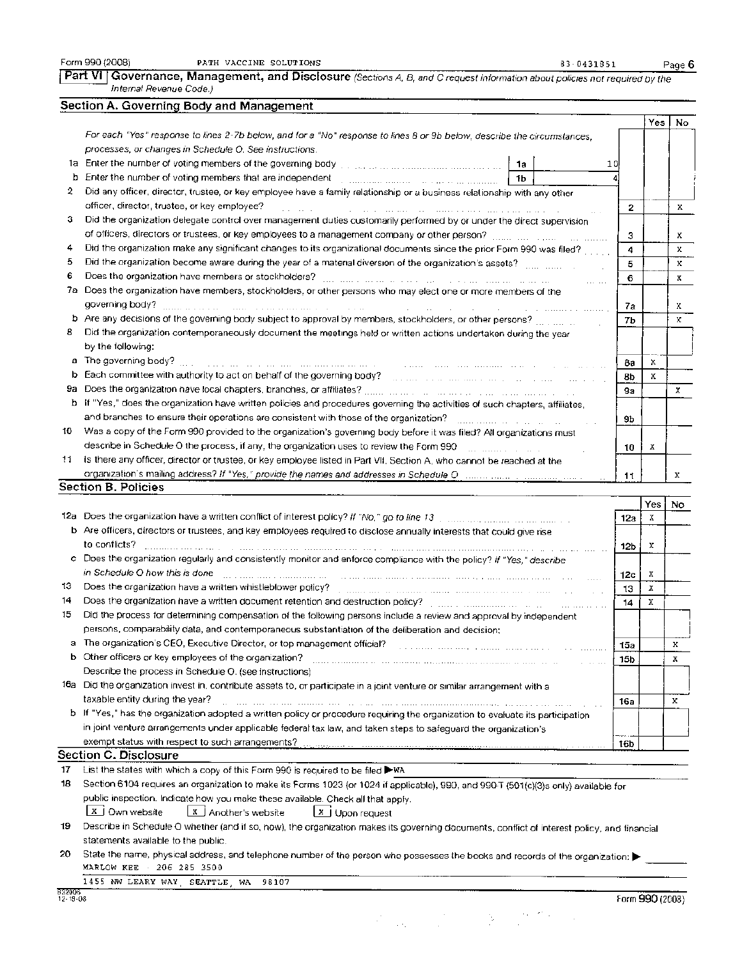Form 990 (2008) PATH VACCINE SOLUTIONS 83-0431851 Page 6

Part VI | Governance, Management, and Disclosure (Sections A, B, and C request information about policies not required by the Internal Revenue Code.)

### Section **A.** Governing Body and Management

|     |                                                                                                                             |           | Yes | No           |
|-----|-----------------------------------------------------------------------------------------------------------------------------|-----------|-----|--------------|
|     | For each "Yes" response to lines 2-7b below, and for a "No" response to lines 8 or 9b below, describe the circumstances.    |           |     |              |
|     | processes, or changes in Schedule O. See instructions.                                                                      |           |     |              |
| 1a. | 10<br>1a                                                                                                                    |           |     |              |
| b   | Enter the number of voting members that are independent<br>1 <sub>b</sub>                                                   |           |     |              |
| 2.  | Did any officer, director, trustee, or key employee have a family relationship or a business relationship with any other    |           |     |              |
|     | officer, director, trustee, or key employee?                                                                                | 2         |     | х.           |
| з   | Did the organization delegate control over management duties customarily performed by or under the direct supervision       |           |     |              |
|     | of officers, directors or trustees, or key employees to a management company or other person?                               | з         |     | x            |
| 4   | Did the organization make any significant changes to its organizational documents since the prior Form 990 was filed?       | 4         |     | $\mathbf{x}$ |
| 5   | Did the organization become aware during the year of a material diversion of the organization's assets?                     | 5         |     | x.           |
| 6   | Does the organization have members or stockholders?                                                                         | 6         |     | x            |
| 7a  | Does the organization have members, stockholders, or other persons who may elect one or more members of the                 |           |     |              |
|     | governing body?<br>and the company of the company                                                                           | 7a        |     | x            |
|     | b Are any decisions of the governing body subject to approval by members, stockholders, or other persons?                   | 7b        |     | x            |
| 8   | Did the organization contemporaneously document the meetings held or written actions undertaken during the year             |           |     |              |
|     | by the following:                                                                                                           |           |     |              |
| а   | The governing body?                                                                                                         | 8a        | x   |              |
| b   | Each committee with authority to act on behalf of the governing body?                                                       | <b>Bb</b> | x   |              |
| 9а  |                                                                                                                             | 9a        |     | x            |
| ь   | If "Yes," does the organization have written policies and procedures governing the activities of such chapters, affiliates, |           |     |              |
|     | and branches to ensure their operations are consistent with those of the organization?                                      | 9Ь        |     |              |
| 10  | Was a copy of the Form 990 provided to the organization's governing body before it was filed? All organizations must        |           |     |              |
|     | describe in Schedule O the process, if any, the organization uses to review the Form 990                                    | 10        | x   |              |
| 11  | is there any officer, director or trustee, or key employee listed in Part VII, Section A, who cannot be reached at the      |           |     |              |
|     |                                                                                                                             | 11        |     | х            |
|     | Section B. Policies                                                                                                         |           |     |              |
|     |                                                                                                                             |           | Yes | No.          |
|     | $12a$ . Does the arganization boys a written conflict of interset policy? H "AIA " so to line                               |           |     |              |

|                       |                                                                                                                                                                                                                                |                  | . | .  |  |  |  |  |
|-----------------------|--------------------------------------------------------------------------------------------------------------------------------------------------------------------------------------------------------------------------------|------------------|---|----|--|--|--|--|
| 12а                   | Does the organization have a written conflict of interest policy? If "No," go to line 13 manufacturer and containing the                                                                                                       | 12a              | х |    |  |  |  |  |
|                       | b Are officers, directors or trustees, and key employees required to disclose annually interests that could give rise                                                                                                          |                  |   |    |  |  |  |  |
|                       | to conflicts?                                                                                                                                                                                                                  | 12 <sub>b</sub>  | х |    |  |  |  |  |
| c                     | Does the organization regularly and consistently monitor and enforce compliance with the policy? If "Yes," describe                                                                                                            |                  |   |    |  |  |  |  |
|                       | in Schedule O how this is done                                                                                                                                                                                                 | 12c              | Х |    |  |  |  |  |
| 13                    | Does the organization have a written whistleblower policy? [1] manners are account of the organization have a written whistleblower policy? [1] manners are accounted to the contract of the contract of the contract of the c | 13               | x |    |  |  |  |  |
| 14                    | Does the organization have a written document retention and destruction policy? [11] containing the containing the contact of the contact of the contact of the contact of the contact of the contact of the contact of the co | 14               | х |    |  |  |  |  |
| 15                    | Did the process for determining compensation of the following persons include a review and approval by independent                                                                                                             |                  |   |    |  |  |  |  |
|                       | persons, comparability data, and contemporaneous substantiation of the deliberation and decision;                                                                                                                              |                  |   |    |  |  |  |  |
| a                     | The organization's CEO, Executive Director, or top management official?                                                                                                                                                        | 15а              |   | x  |  |  |  |  |
|                       | b Other officers or key employees of the organization?                                                                                                                                                                         | 15b              |   | х  |  |  |  |  |
|                       | Describe the process in Schedule O. (see instructions)                                                                                                                                                                         |                  |   |    |  |  |  |  |
| 16а                   | Did the organization invest in, contribute assets to, or participate in a joint venture or similar arrangement with a                                                                                                          |                  |   |    |  |  |  |  |
|                       | taxable entity during the year?                                                                                                                                                                                                | 16а              |   | x. |  |  |  |  |
| b.                    | If "Yes," has the organization adopted a written policy or procedure requiring the organization to evaluate its participation                                                                                                  |                  |   |    |  |  |  |  |
|                       | in joint venture arrangements under applicable federal tax law, and taken steps to safeguard the organization's                                                                                                                |                  |   |    |  |  |  |  |
|                       | exempt status with respect to such arrangements?                                                                                                                                                                               | meane, co<br>16b |   |    |  |  |  |  |
| Section C. Disclosure |                                                                                                                                                                                                                                |                  |   |    |  |  |  |  |

17 List the states with which a copy of this Form 990 is required to be filed  $\blacktriangleright$ WA

|                 |                                                                                 | 18 Section 6104 requires an organization to make its Forms 1023 (or 1024 if applicable), 990, and 990-T (501(c)(3)s only) available for |  |
|-----------------|---------------------------------------------------------------------------------|-----------------------------------------------------------------------------------------------------------------------------------------|--|
|                 | public inspection. Indicate how you make these available. Check all that apply. |                                                                                                                                         |  |
| X J Own website | $\boxed{\mathbf{x}}$ Another's website                                          | $\boxed{\mathbf{x}}$ Upon request                                                                                                       |  |

19 Describe in Schedule 0 whether (and if so, how), the organization makes its governing documents, conflict of interest policy, and financial statements available to the public.

| 20 State the name, physical address, and telephone number of the person who possesses the books and records of the organization: ▶ |
|------------------------------------------------------------------------------------------------------------------------------------|
| _______<br>.                                                                                                                       |
|                                                                                                                                    |

1455 NW LEARY WAY, SEATTLE, WA 98107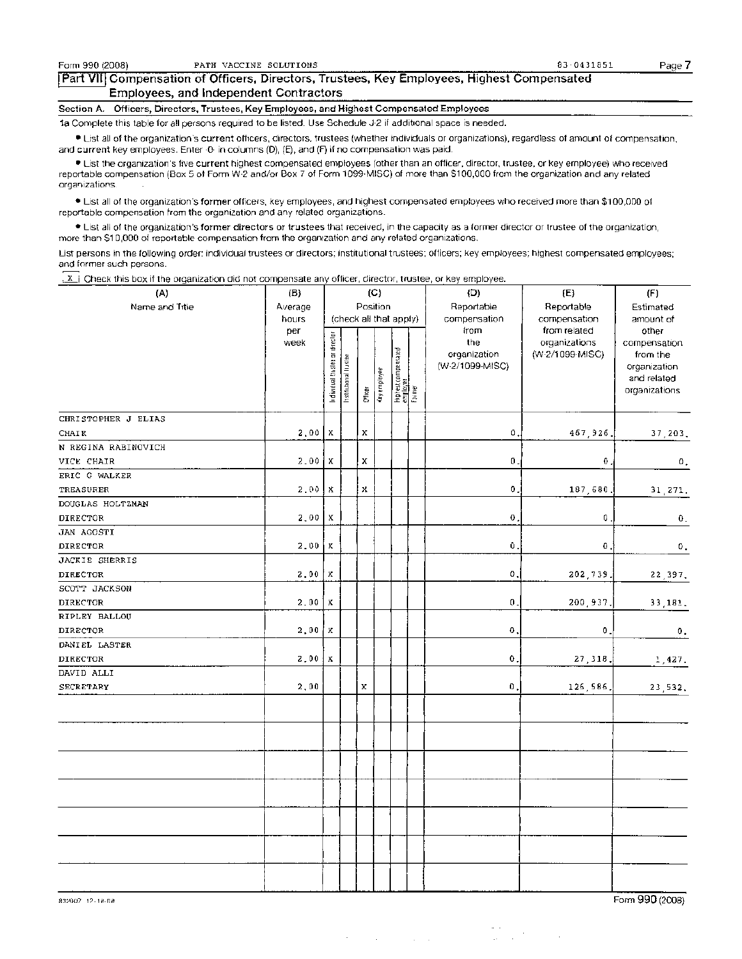#### Part VII Compensation of Officers, Directors, Trustees, Key Employees, Highest Compensated Employees, and Independent Contractors

Section A. Officers, Directors, Trustees, Key Employees, and Highest Compensated Employees

la Complete this table for all persons required to be listed. Use Schedule J-2 if additional space is needed.

• List all of the organization's current officers, directors, trustees (whether individuals or organizations), regardless of amount of compensation, and current key employees. Enter  $\cdot 0$  in columns (D), (E), and (F) if no compensation was paid.

• List the organization's five current highest compensated employees (other than an officer, director, trustee, or key employee) who received reportable compensation (Box 5 of Form W-2 and/or Box 7 of Form 1099-MISC) of more than \$100,000 from the organization and any related organizations.

• List all of the organization's former officers, key employees, and highest compensated employees who received more than \$100,000 of reportable compensation from the organization and any related organizations.

• List all of the organization's former directors or trustees that received, in the capacity as a former director or trustee of the organization, more than \$10,000 of reportable compensation from the organization and any related organizations.

List persons in the following order: individual trustees or directors; institutional trustees; officers; key employees; highest compensated employees; and former such persons.

 $1 \times 1$  Check this box if the organization did not compensate any officer, director, trustee, or key employee.

| (A)                 | (B)     |                                |                        |             | $\langle C \rangle$ |                                                |              | (D)                 | (E)                              | (F)                      |
|---------------------|---------|--------------------------------|------------------------|-------------|---------------------|------------------------------------------------|--------------|---------------------|----------------------------------|--------------------------|
| Name and Title      | Average | Position                       |                        | Reportable  | Reportable          | Estimated                                      |              |                     |                                  |                          |
|                     | hours   |                                | (check all that apply) |             |                     | compensation                                   | compensation | amount of           |                                  |                          |
|                     | per     |                                |                        |             |                     |                                                |              | from                | from related                     | other                    |
|                     | week    |                                |                        |             |                     |                                                |              | the<br>organization | organizations<br>(W-2/1099-MISC) | compensation<br>from the |
|                     |         |                                |                        |             |                     |                                                |              | (W-2/1099-MISC)     |                                  | organization             |
|                     |         |                                |                        |             |                     |                                                |              |                     |                                  | and related              |
|                     |         | Individual thislee or director | Institutional Inustee  | Officer     | Key employée        | : Highest componsated<br>_employee<br>: Former |              |                     |                                  | organizations            |
| CHRISTOPHER J ELIAS |         |                                |                        |             |                     |                                                |              |                     |                                  |                          |
| CHAIR               | 2,00    | x                              |                        | x           |                     |                                                |              | 0                   | 467,926.                         | 37,203.                  |
| N REGINA RABINOVICH |         |                                |                        |             |                     |                                                |              |                     |                                  |                          |
| VICE CHAIR          | 2,00    | x                              |                        | x           |                     |                                                |              | 0                   | 0                                | $\mathbf 0$ .            |
| ERIC G WALKER       |         |                                |                        |             |                     |                                                |              |                     |                                  |                          |
| TREASURER           | 2.00    | x                              |                        | x           |                     |                                                |              | 0                   | 187,680                          | 31,271.                  |
| DOUGLAS HOLTZMAN    |         |                                |                        |             |                     |                                                |              |                     |                                  |                          |
| DIRECTOR            | 2,00    | X                              |                        |             |                     |                                                |              | 0                   | 0                                | $\pmb{0}$ .              |
| JAN AGOSTI          |         |                                |                        |             |                     |                                                |              |                     |                                  |                          |
| <b>DIRECTOR</b>     | 2.00    | Х                              |                        |             |                     |                                                |              | Û                   | $\pmb{0}$ .                      | О,                       |
| JACKIE SHERRIS      |         |                                |                        |             |                     |                                                |              |                     |                                  |                          |
| DIRECTOR            | 2,00    | x                              |                        |             |                     |                                                |              | Ο.                  | 202,739.                         | 22, 397.                 |
| SCOTT JACKSON       |         |                                |                        |             |                     |                                                |              |                     |                                  |                          |
| DIRECTOR            | 2,00    | Х                              |                        |             |                     |                                                |              | $\mathbf 0$ ,       | 200,937.                         | 33,181.                  |
| RIPLEY BALLOU       |         |                                |                        |             |                     |                                                |              |                     |                                  |                          |
| DIRECTOR            | 2,00    | х                              |                        |             |                     |                                                |              | $\bf{0}$            | Ο.                               | $\mathbf{0}$ ,           |
| DANIEL LASTER       |         |                                |                        |             |                     |                                                |              |                     |                                  |                          |
| DIRECTOR            | 2,00    | x                              |                        |             |                     |                                                |              | 0                   | 27,318,                          | 1,427.                   |
| DAVID ALLI          |         |                                |                        |             |                     |                                                |              |                     |                                  |                          |
| SECRETARY           | 2,00    |                                |                        | $\mathbf x$ |                     |                                                |              | $\mathbf 0$ .       | 126,586                          | 23,532.                  |
|                     |         |                                |                        |             |                     |                                                |              |                     |                                  |                          |
|                     |         |                                |                        |             |                     |                                                |              |                     |                                  |                          |
|                     |         |                                |                        |             |                     |                                                |              |                     |                                  |                          |
|                     |         |                                |                        |             |                     |                                                |              |                     |                                  |                          |
|                     |         |                                |                        |             |                     |                                                |              |                     |                                  |                          |
|                     |         |                                |                        |             |                     |                                                |              |                     |                                  |                          |
|                     |         |                                |                        |             |                     |                                                |              |                     |                                  |                          |
|                     |         |                                |                        |             |                     |                                                |              |                     |                                  |                          |
|                     |         |                                |                        |             |                     |                                                |              |                     |                                  |                          |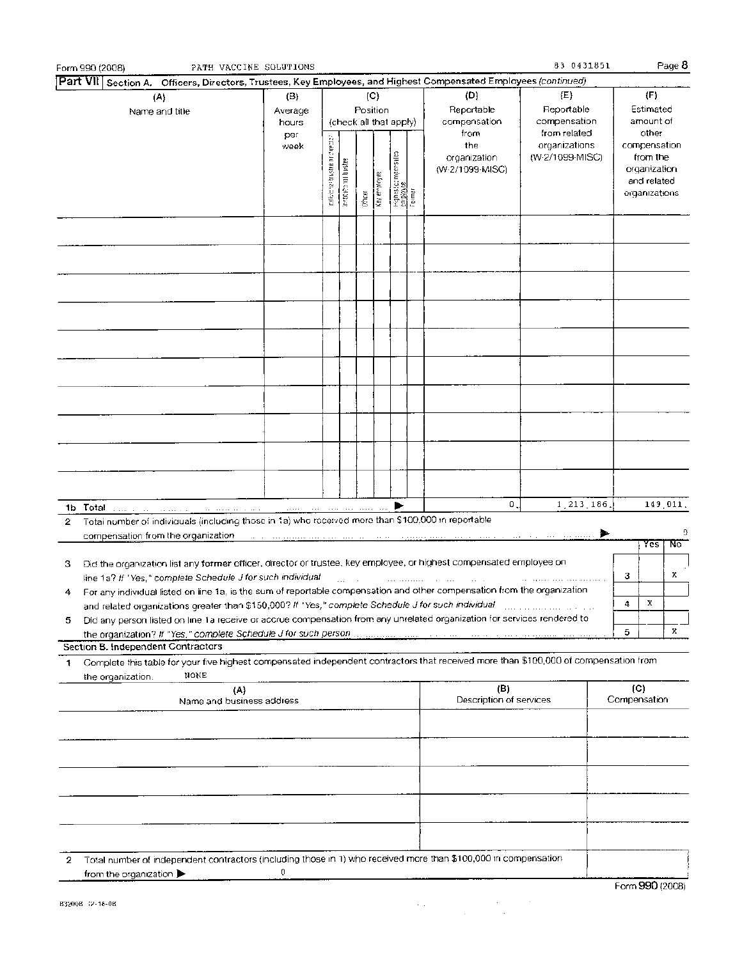| Part VII Section A. Officers, Directors, Trustees, Key Employees, and Highest Compensated Employees (continued)                                                                                                                                                                                                                                 |                         |                                                                                |                    |                                   |              |                                                 |                                                                                                                      |                                                  |   |                                                                                   |                 |
|-------------------------------------------------------------------------------------------------------------------------------------------------------------------------------------------------------------------------------------------------------------------------------------------------------------------------------------------------|-------------------------|--------------------------------------------------------------------------------|--------------------|-----------------------------------|--------------|-------------------------------------------------|----------------------------------------------------------------------------------------------------------------------|--------------------------------------------------|---|-----------------------------------------------------------------------------------|-----------------|
| (A)<br>Name and title                                                                                                                                                                                                                                                                                                                           | (B)<br>Average<br>hours | (D)<br>(C)<br>Position<br>Reportable<br>(check all that apply)<br>compensation |                    | (E)<br>Reportable<br>compensation |              | (F)<br>Estimated<br>amount of                   |                                                                                                                      |                                                  |   |                                                                                   |                 |
|                                                                                                                                                                                                                                                                                                                                                 | per<br>week             | individual trustee or director                                                 | agset processes at | <b>Difficer</b>                   | Key employee | - Highest compensated<br>- employee<br>- Formar | from<br>the<br>organization<br>(W-2/1099-MISC)                                                                       | from related<br>organizations<br>(W-2/1099-MISC) |   | other<br>compensation<br>from the<br>organization<br>and related<br>organizations |                 |
|                                                                                                                                                                                                                                                                                                                                                 |                         |                                                                                |                    |                                   |              |                                                 |                                                                                                                      |                                                  |   |                                                                                   |                 |
|                                                                                                                                                                                                                                                                                                                                                 |                         |                                                                                |                    |                                   |              |                                                 |                                                                                                                      |                                                  |   |                                                                                   |                 |
|                                                                                                                                                                                                                                                                                                                                                 |                         |                                                                                |                    |                                   |              |                                                 |                                                                                                                      |                                                  |   |                                                                                   |                 |
|                                                                                                                                                                                                                                                                                                                                                 |                         |                                                                                |                    |                                   |              |                                                 |                                                                                                                      |                                                  |   |                                                                                   |                 |
|                                                                                                                                                                                                                                                                                                                                                 |                         |                                                                                |                    |                                   |              |                                                 |                                                                                                                      |                                                  |   |                                                                                   |                 |
|                                                                                                                                                                                                                                                                                                                                                 |                         |                                                                                |                    |                                   |              |                                                 |                                                                                                                      |                                                  |   |                                                                                   |                 |
|                                                                                                                                                                                                                                                                                                                                                 |                         |                                                                                |                    |                                   |              |                                                 | Ο.                                                                                                                   | 1, 213, 186                                      |   |                                                                                   | 149,011.        |
| 1b Total<br>and a substantial continuous component of the component of the component of the component of the component of<br>Total number of individuals (including those in 1a) who received more than \$100,000 in reportable<br>2                                                                                                            |                         |                                                                                |                    |                                   |              |                                                 |                                                                                                                      |                                                  |   |                                                                                   |                 |
| compensation from the organization                                                                                                                                                                                                                                                                                                              |                         |                                                                                |                    |                                   |              |                                                 | and a company of the second company of the company of the company of the second company of the second company of the |                                                  |   | Yes                                                                               | Û<br>℡          |
| Did the organization list any former officer, director or trustee, key employee, or highest compensated employee on<br>з<br>line 1a? If "Yes," complete Schedule J for such individual                                                                                                                                                          |                         |                                                                                |                    |                                   |              |                                                 |                                                                                                                      |                                                  | з |                                                                                   | х               |
| For any individual listed on line 1a, is the sum of reportable compensation and other compensation from the organization<br>4<br>and related organizations greater than \$150,000? If "Yes," complete Schedule J for such individual                                                                                                            |                         |                                                                                |                    |                                   |              |                                                 |                                                                                                                      |                                                  | 4 | х                                                                                 |                 |
| Did any person listed on line 1a receive or accrue compensation from any unrelated organization for services rendered to<br>5<br>the organization? If "Yes," complete Schedule J for such person communications and the organization? If "Yes," complete Schedule J for such persons and the organization<br>Section B. Independent Contractors |                         |                                                                                |                    |                                   |              |                                                 |                                                                                                                      |                                                  | 5 |                                                                                   | x               |
| Complete this table for your five highest compensated independent contractors that received more than \$100,000 of compensation from<br>1                                                                                                                                                                                                       |                         |                                                                                |                    |                                   |              |                                                 |                                                                                                                      |                                                  |   |                                                                                   |                 |
| NONE<br>the organization.<br>(A)<br>Name and business address                                                                                                                                                                                                                                                                                   |                         |                                                                                |                    |                                   |              |                                                 | (B)<br>Description of services                                                                                       |                                                  |   | (C)<br>Compensation                                                               |                 |
|                                                                                                                                                                                                                                                                                                                                                 |                         |                                                                                |                    |                                   |              |                                                 |                                                                                                                      |                                                  |   |                                                                                   |                 |
|                                                                                                                                                                                                                                                                                                                                                 |                         |                                                                                |                    |                                   |              |                                                 |                                                                                                                      |                                                  |   |                                                                                   |                 |
|                                                                                                                                                                                                                                                                                                                                                 |                         |                                                                                |                    |                                   |              |                                                 |                                                                                                                      |                                                  |   |                                                                                   |                 |
| Total number of independent contractors (including those in 1) who received more than \$100,000 in compensation<br>2                                                                                                                                                                                                                            |                         |                                                                                |                    |                                   |              |                                                 |                                                                                                                      |                                                  |   |                                                                                   |                 |
| from the organization $\blacktriangleright$                                                                                                                                                                                                                                                                                                     | 0                       |                                                                                |                    |                                   |              |                                                 |                                                                                                                      |                                                  |   |                                                                                   | Form 990 (2008) |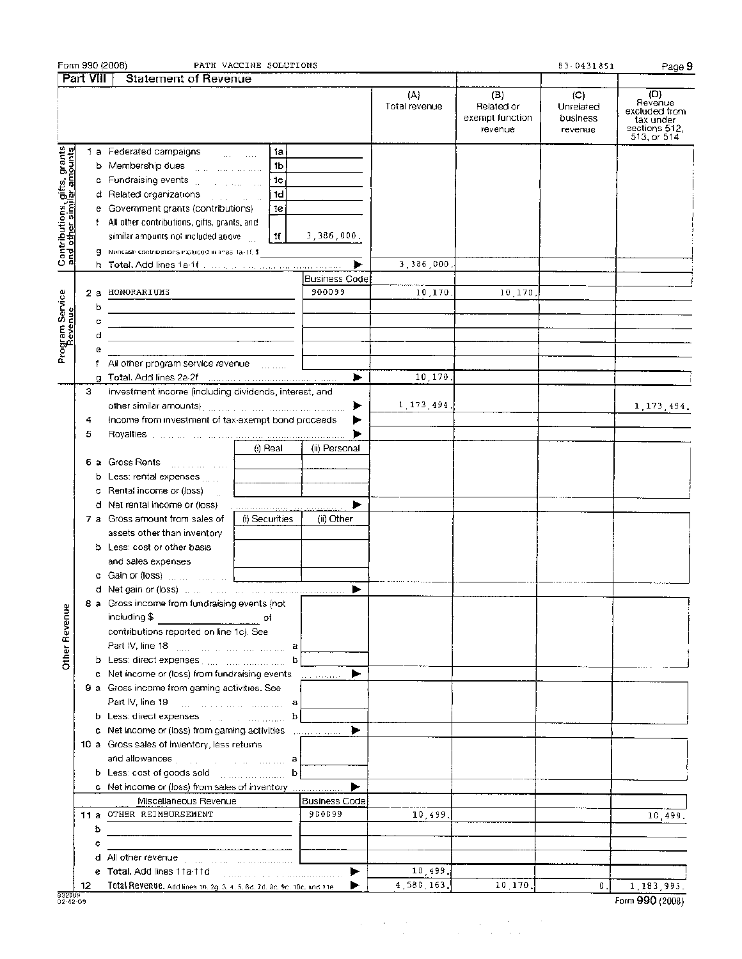|                                                           |                           | Form 990 (2008)                                                                                                 | PATH VACCINE SOLUTIONS           |                      |                      |                                                 | 83-0431851                              | Page 9                                                                       |
|-----------------------------------------------------------|---------------------------|-----------------------------------------------------------------------------------------------------------------|----------------------------------|----------------------|----------------------|-------------------------------------------------|-----------------------------------------|------------------------------------------------------------------------------|
|                                                           | $\sqrt{\text{Part VIII}}$ | <b>Statement of Revenue</b>                                                                                     |                                  |                      |                      |                                                 |                                         |                                                                              |
|                                                           |                           |                                                                                                                 |                                  |                      | (A)<br>Total revenue | (B)<br>Related or<br>exempt function<br>revenue | (C)<br>Unrelated<br>business<br>revenue | (D)<br>Revenue<br>excluded from<br>tax under<br>sections 512.<br>513, or 514 |
|                                                           |                           | 1 a Federated campaigns                                                                                         | 1a<br><b>Service Contract</b>    |                      |                      |                                                 |                                         |                                                                              |
| Contributions, gifts, grants<br>and other similar amounts |                           | b Membership dues with the common                                                                               | 1b                               |                      |                      |                                                 |                                         |                                                                              |
|                                                           |                           | c. Fundraising events [11] [11] [11] [11] [11]                                                                  | 1c                               |                      |                      |                                                 |                                         |                                                                              |
|                                                           |                           | d Related organizations and contact the state                                                                   | 1d                               |                      |                      |                                                 |                                         |                                                                              |
|                                                           |                           | e Government grants (contributions)                                                                             | 1e                               |                      |                      |                                                 |                                         |                                                                              |
|                                                           |                           | f All other contributions, gifts, grants, and                                                                   |                                  |                      |                      |                                                 |                                         |                                                                              |
|                                                           |                           | similar amounts not included above                                                                              | 1f                               | 3,386,000,           |                      |                                                 |                                         |                                                                              |
|                                                           |                           | 9 Noncash contributions included in lines 1a-1f, \$                                                             |                                  |                      |                      |                                                 |                                         |                                                                              |
|                                                           |                           |                                                                                                                 |                                  |                      | 3.386.000            |                                                 |                                         |                                                                              |
|                                                           |                           |                                                                                                                 |                                  | Business Code        |                      |                                                 |                                         |                                                                              |
|                                                           | 2а                        | HONORARIUMS                                                                                                     |                                  | 900099               | 10,170               | 10,170,                                         |                                         |                                                                              |
|                                                           | b                         |                                                                                                                 |                                  |                      |                      |                                                 |                                         |                                                                              |
|                                                           |                           |                                                                                                                 |                                  |                      |                      |                                                 |                                         |                                                                              |
|                                                           | с                         |                                                                                                                 |                                  |                      |                      |                                                 |                                         |                                                                              |
|                                                           | d                         |                                                                                                                 |                                  |                      |                      |                                                 |                                         |                                                                              |
| Program Service<br>Revenue                                | e                         |                                                                                                                 |                                  |                      |                      |                                                 |                                         |                                                                              |
|                                                           |                           | f All other program service revenue [11, 111]                                                                   |                                  |                      |                      |                                                 |                                         |                                                                              |
|                                                           |                           |                                                                                                                 |                                  | ▶                    | 10.170               |                                                 |                                         |                                                                              |
|                                                           | 3.                        | Investment income (including dividends, interest, and                                                           |                                  |                      |                      |                                                 |                                         |                                                                              |
|                                                           |                           |                                                                                                                 |                                  | ▶<br>▶               | 1, 173, 494.         |                                                 |                                         | 1, 173, 494.                                                                 |
|                                                           | 4                         | Income from investment of tax-exempt bond proceeds                                                              |                                  |                      |                      |                                                 |                                         |                                                                              |
|                                                           | 5                         |                                                                                                                 |                                  |                      |                      |                                                 |                                         |                                                                              |
|                                                           |                           |                                                                                                                 | (i) Real                         | (ii) Personal        |                      |                                                 |                                         |                                                                              |
|                                                           |                           | 6 a Gross Rents [11] Line Line                                                                                  |                                  |                      |                      |                                                 |                                         |                                                                              |
|                                                           |                           | b Less: rental expenses                                                                                         |                                  |                      |                      |                                                 |                                         |                                                                              |
|                                                           |                           | c Rental income or (loss)                                                                                       |                                  |                      |                      |                                                 |                                         |                                                                              |
|                                                           |                           | d Net rental income or (loss)                                                                                   |                                  | ▶                    |                      |                                                 |                                         |                                                                              |
|                                                           |                           | 7 a Gross amount from sales of                                                                                  | (i) Securities                   | (ii) Other           |                      |                                                 |                                         |                                                                              |
|                                                           |                           | assets other than inventory                                                                                     |                                  |                      |                      |                                                 |                                         |                                                                              |
|                                                           |                           | <b>b</b> Less: cost or other basis                                                                              |                                  |                      |                      |                                                 |                                         |                                                                              |
|                                                           |                           | and sales expenses                                                                                              |                                  |                      |                      |                                                 |                                         |                                                                              |
|                                                           |                           |                                                                                                                 |                                  |                      |                      |                                                 |                                         |                                                                              |
|                                                           |                           | <b>d</b> Net gain or (loss) $\ldots$ $\ldots$ $\ldots$ $\ldots$ $\ldots$ $\ldots$                               |                                  |                      |                      |                                                 |                                         |                                                                              |
|                                                           |                           | 8 a Gross income from fundraising events (not                                                                   |                                  |                      |                      |                                                 |                                         |                                                                              |
|                                                           |                           | including \$                                                                                                    |                                  |                      |                      |                                                 |                                         |                                                                              |
|                                                           |                           | contributions reported on line 1c). See                                                                         |                                  |                      |                      |                                                 |                                         |                                                                              |
|                                                           |                           | Part IV, line 18 [2010] [2010] [2010] [2010] [2010] [2010] [2010] [2010] [2010] [2010] [2010] [2010] [2010] [30 |                                  |                      |                      |                                                 |                                         |                                                                              |
| Other Revenue                                             |                           | b Less: direct expenses [1111] [1111] [1111] [1111]                                                             | b                                |                      |                      |                                                 |                                         |                                                                              |
|                                                           |                           | c Net income or (loss) from fundraising events                                                                  |                                  | ►                    |                      |                                                 |                                         |                                                                              |
|                                                           |                           | 9 a Gross income from gaming activities. See                                                                    |                                  |                      |                      |                                                 |                                         |                                                                              |
|                                                           |                           |                                                                                                                 | а                                |                      |                      |                                                 |                                         |                                                                              |
|                                                           |                           |                                                                                                                 | b                                |                      |                      |                                                 |                                         |                                                                              |
|                                                           |                           | c Net income or (loss) from gaming activities [100, 2010].                                                      |                                  | ▶                    |                      |                                                 |                                         |                                                                              |
|                                                           |                           | 10 a Gross sales of inventory, less returns                                                                     |                                  |                      |                      |                                                 |                                         |                                                                              |
|                                                           |                           | and allowances with the community of a                                                                          |                                  |                      |                      |                                                 |                                         |                                                                              |
|                                                           |                           | b Less: cost of goods sold www.community                                                                        | b                                |                      |                      |                                                 |                                         |                                                                              |
|                                                           |                           | c Net income or (loss) from sales of inventory                                                                  |                                  |                      |                      |                                                 |                                         |                                                                              |
|                                                           |                           | Miscellaneous Revenue                                                                                           |                                  | <b>Business Code</b> |                      |                                                 |                                         |                                                                              |
|                                                           |                           | 11 a OTHER REIMBURSEMENT                                                                                        |                                  | 900099               | 10,499.              |                                                 |                                         | 10,499.                                                                      |
|                                                           | ь                         |                                                                                                                 |                                  |                      |                      |                                                 |                                         |                                                                              |
|                                                           | c                         |                                                                                                                 | البرابط المواطن وبالموارد والطاط |                      |                      |                                                 |                                         |                                                                              |
|                                                           |                           |                                                                                                                 |                                  |                      |                      |                                                 |                                         |                                                                              |
|                                                           |                           | e Total. Add lines 11a-11d                                                                                      |                                  | ►                    | 10,499.              |                                                 |                                         |                                                                              |
|                                                           | 12                        | Total Revenue, Add lines th, 2g, 3, 4, 5, 6d, 7d, 8c, 9c, 10c, and 11e                                          |                                  |                      | 4,580,163.           | 10.170.                                         | $\mathbf{0}$ ,                          | 1,183,993.                                                                   |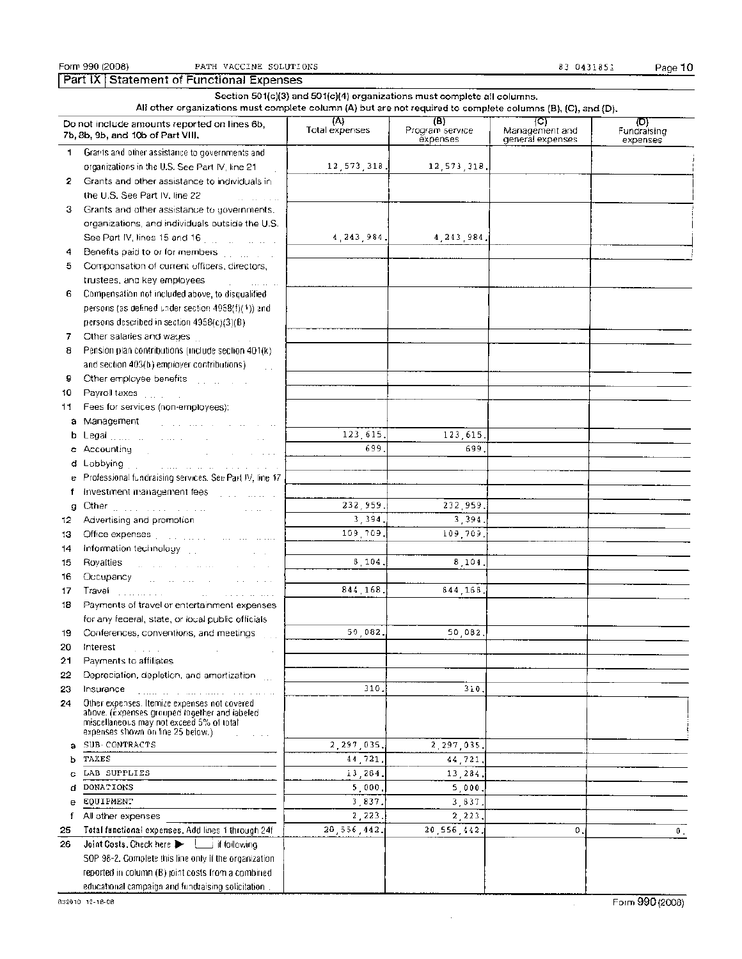|              | Section 501(c)(3) and 501(c)(4) organizations must complete all columns.<br>All other organizations must complete column (A) but are not required to complete columns (B), (C), and (D).                                            |                       |                                     |                                           |                    |  |  |  |  |  |
|--------------|-------------------------------------------------------------------------------------------------------------------------------------------------------------------------------------------------------------------------------------|-----------------------|-------------------------------------|-------------------------------------------|--------------------|--|--|--|--|--|
|              | Do not include amounts reported on lines 6b,<br>7b, 8b, 9b, and 10b of Part VIII,                                                                                                                                                   | (A)<br>Total expenses | (B).<br>Program service<br>expenses | (C)<br>Management and<br>general expenses | (D)<br>Fundraising |  |  |  |  |  |
| $\mathbf{1}$ | Grants and other assistance to governments and                                                                                                                                                                                      |                       |                                     |                                           | expenses           |  |  |  |  |  |
|              | organizations in the U.S. See Part IV, line 21                                                                                                                                                                                      | 12, 573, 318.         | 12, 573, 318.                       |                                           |                    |  |  |  |  |  |
| 2.           | Grants and other assistance to individuals in                                                                                                                                                                                       |                       |                                     |                                           |                    |  |  |  |  |  |
|              | the U.S. See Part IV. line 22                                                                                                                                                                                                       |                       |                                     |                                           |                    |  |  |  |  |  |
| з.           | Grants and other assistance to governments,                                                                                                                                                                                         |                       |                                     |                                           |                    |  |  |  |  |  |
|              | organizations, and individuals outside the U.S.                                                                                                                                                                                     |                       |                                     |                                           |                    |  |  |  |  |  |
|              | See Part IV, lines 15 and 16 [11] [11] [11] [11] [11]                                                                                                                                                                               | 4 243 984.            | 4, 243, 984.                        |                                           |                    |  |  |  |  |  |
| 4            | Benefits paid to or for members with the con-                                                                                                                                                                                       |                       |                                     |                                           |                    |  |  |  |  |  |
| 5            | Componsation of current officers, directors,                                                                                                                                                                                        |                       |                                     |                                           |                    |  |  |  |  |  |
|              | trustees, and key employees<br>and an experience                                                                                                                                                                                    |                       |                                     |                                           |                    |  |  |  |  |  |
| 6            | Compensation not included above, to disqualified                                                                                                                                                                                    |                       |                                     |                                           |                    |  |  |  |  |  |
|              | persons (as defined under section 4958(f)(1)) and                                                                                                                                                                                   |                       |                                     |                                           |                    |  |  |  |  |  |
|              | persons described in section $4958(c)(3)(B)$                                                                                                                                                                                        |                       |                                     |                                           |                    |  |  |  |  |  |
| 7            | Other salaries and wages<br><b>Contractor</b>                                                                                                                                                                                       |                       |                                     |                                           |                    |  |  |  |  |  |
| 8            | Pension plan contributions (include section 401(k)                                                                                                                                                                                  |                       |                                     |                                           |                    |  |  |  |  |  |
|              | and section 403(b) employer contributions).<br>$\mathcal{L}$                                                                                                                                                                        |                       |                                     |                                           |                    |  |  |  |  |  |
| 9            | Other employee benefits [1, 1, 1, 1, 1, 1, 1,                                                                                                                                                                                       |                       |                                     |                                           |                    |  |  |  |  |  |
| 10           |                                                                                                                                                                                                                                     |                       |                                     |                                           |                    |  |  |  |  |  |
| 11.          | Fees for services (non-employees):                                                                                                                                                                                                  |                       |                                     |                                           |                    |  |  |  |  |  |
|              | a Management and construction of the construction of the construction of the construction of the construction of the construction of the construction of the construction of the construction of the construction of the const      |                       |                                     |                                           |                    |  |  |  |  |  |
| b            | Legal <sub>contr</sub> essed and contract the second service                                                                                                                                                                        | 123, 615.             | 123,615.                            |                                           |                    |  |  |  |  |  |
|              | c Accounting the contract of the contract of the contract of the contract of the contract of the contract of the contract of the contract of the contract of the contract of the contract of the contract of the contract of t      | 699                   | 699                                 |                                           |                    |  |  |  |  |  |
|              | d Lobbying [1] The company of the contract of the contract of the contract of the contract of the contract of the contract of the contract of the contract of the contract of the contract of the contract of the contract of       |                       |                                     |                                           |                    |  |  |  |  |  |
|              | e Professional fundraising services. See Part IV, line 17                                                                                                                                                                           |                       |                                     |                                           |                    |  |  |  |  |  |
| f            | Investment management fees and contact the contact of                                                                                                                                                                               |                       |                                     |                                           |                    |  |  |  |  |  |
| g            | Other production of the community of the state of                                                                                                                                                                                   | 232.959.              | 232 959.                            |                                           |                    |  |  |  |  |  |
| 12           | Advertising and promotion                                                                                                                                                                                                           | 3.394.                | 3.394.                              |                                           |                    |  |  |  |  |  |
| 13           | Office expenses [11] a contract the contract of the contract of the contract of the contract of the contract of                                                                                                                     | 109,709.              | 109.709.                            |                                           |                    |  |  |  |  |  |
| 14           | Information technology                                                                                                                                                                                                              |                       |                                     |                                           |                    |  |  |  |  |  |
| 15           | Royalties and a community of the community of the community of the community of the community of the community of the community of the community of the community of the community of the community of the community of the co      | 8,104                 | 8,104.                              |                                           |                    |  |  |  |  |  |
| 16           | Occupancy and a substantial contract of the                                                                                                                                                                                         |                       |                                     |                                           |                    |  |  |  |  |  |
| 17           | Travel <b>Experiment Community</b> and the community of the community of the community of the community of the community of the community of the community of the community of the community of the community of the community of t | 844 168.              | 844.168.                            |                                           |                    |  |  |  |  |  |
| 18           | Payments of travel or entertainment expenses                                                                                                                                                                                        |                       |                                     |                                           |                    |  |  |  |  |  |
|              | for any federal, state, or local public officials                                                                                                                                                                                   |                       |                                     |                                           |                    |  |  |  |  |  |
| 19.          | Conferences, conventions, and meetings                                                                                                                                                                                              | 50 082.               | 50 082                              |                                           |                    |  |  |  |  |  |
| 20           | Interest                                                                                                                                                                                                                            |                       |                                     |                                           |                    |  |  |  |  |  |
| 21           | Payments to affiliates                                                                                                                                                                                                              |                       |                                     |                                           |                    |  |  |  |  |  |
| 22           | Depreciation, depletion, and amortization                                                                                                                                                                                           |                       |                                     |                                           |                    |  |  |  |  |  |
| 23           | Insurance                                                                                                                                                                                                                           | 310.                  | 310.                                |                                           |                    |  |  |  |  |  |
| 24           | Other expenses. Itemize expenses not covered.<br>above. (Expenses grouped together and labeled<br>miscellaneous may not exceed 5% of total<br>expenses shown on line 25 below.)                                                     |                       |                                     |                                           |                    |  |  |  |  |  |
| а            | SUB CONTRACTS                                                                                                                                                                                                                       | 2.297,035,            | 2,297,035.                          |                                           |                    |  |  |  |  |  |
| ь            | TAXES                                                                                                                                                                                                                               | 44,721.               | 44,721.                             |                                           |                    |  |  |  |  |  |
|              | LAB SUPPLIES                                                                                                                                                                                                                        | 13,284.               | 13,284,                             |                                           |                    |  |  |  |  |  |
| ₫            | <b>DONATIONS</b>                                                                                                                                                                                                                    | 5,000                 | 5,000.                              |                                           |                    |  |  |  |  |  |
| e            | <b>EQUIPMENT</b>                                                                                                                                                                                                                    | 3,837.                | 3,837.                              |                                           |                    |  |  |  |  |  |
| f            | All other expenses                                                                                                                                                                                                                  | 2,223                 | 2, 223,                             |                                           |                    |  |  |  |  |  |
| 25           | Total functional expenses, Add lines 1 through 24f                                                                                                                                                                                  | 20,556,442.           | 20,556,442.                         | 0.                                        | Ο.                 |  |  |  |  |  |
| 26           | Joint Costs, Check here<br>i if following                                                                                                                                                                                           |                       |                                     |                                           |                    |  |  |  |  |  |
|              | SOP 98-2. Complete this line only if the organization.                                                                                                                                                                              |                       |                                     |                                           |                    |  |  |  |  |  |
|              | reported in column (B) pint costs from a combined.                                                                                                                                                                                  |                       |                                     |                                           |                    |  |  |  |  |  |
|              | educational campaign and fundraising solicitation.                                                                                                                                                                                  |                       |                                     |                                           |                    |  |  |  |  |  |

 $\bar{z}$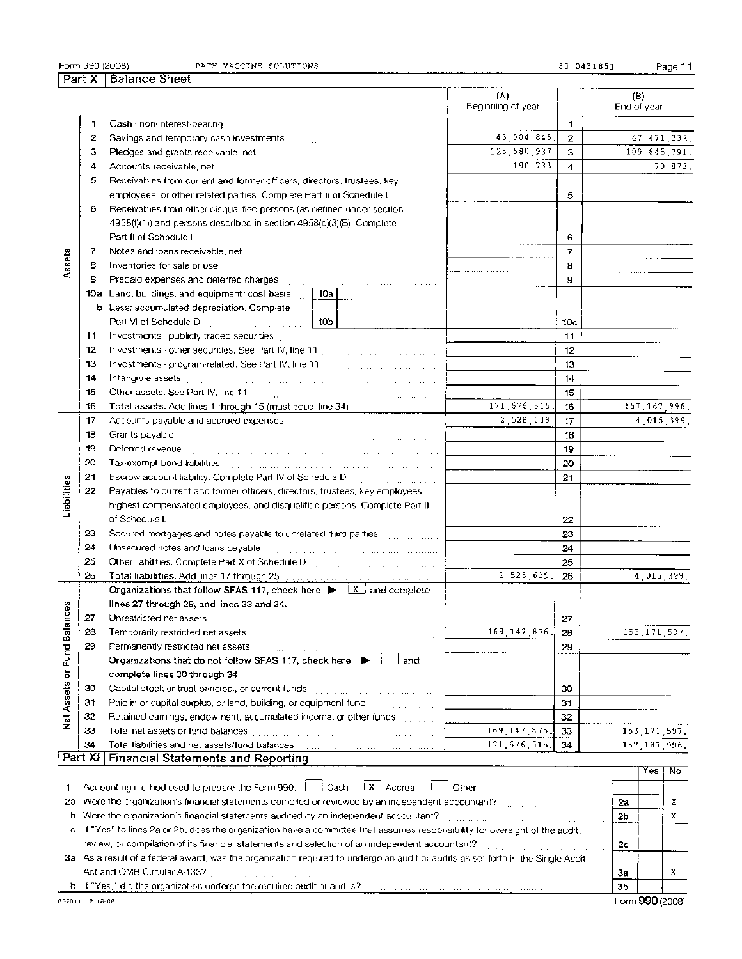|  | PATH VACCINE SOLUTIONS |
|--|------------------------|

83 0431851 Page 11

Τ  $\frac{1}{(A)}$ 

|                       |               |                                                                                                                                                                                                                                | (A)<br>Beginning of year |                | (B)<br>End of year              |
|-----------------------|---------------|--------------------------------------------------------------------------------------------------------------------------------------------------------------------------------------------------------------------------------|--------------------------|----------------|---------------------------------|
|                       | 1             |                                                                                                                                                                                                                                |                          | 1.             |                                 |
|                       | 2             | Savings and temporary cash investments [1111]                                                                                                                                                                                  | 45, 904, 845,            | $\mathbf{2}$   | 47, 471, 332.                   |
|                       | з             | and the company of the company                                                                                                                                                                                                 | 125,580,937.             | 3              | 109 645 791.                    |
|                       |               | Pledges and grants receivable, net and an analyzing and an analyzing problem of the state                                                                                                                                      | 190.733.                 |                |                                 |
|                       | 4             | Accounts receivable, net the contract of the contract of the contract of                                                                                                                                                       |                          | 4              | 70,873,                         |
|                       | 5             | Receivables from current and former officers, directors, trustees, key                                                                                                                                                         |                          |                |                                 |
|                       |               | employees, or other related parties. Complete Part II of Schedule L                                                                                                                                                            |                          | 5              |                                 |
|                       | 6             | Receivables from other oisqualified persons (as befined under section                                                                                                                                                          |                          |                |                                 |
|                       |               | 4958(f)(1)) and persons described in section 4958(c)(3)(B). Complete                                                                                                                                                           |                          |                |                                 |
|                       |               | Part II of Schedule L<br>المناولة والمناول المناول المتعارف والمتحدث المتحدث والمناول والمتحدث وبالمناول والمتحدث والمناول                                                                                                     |                          | 6              |                                 |
|                       | 7             | Notes and foans receivable, net [11] result is a series of the contract of the contract of the contract of the contract of the contract of the contract of the contract of the contract of the contract of the contract of the |                          | $\overline{7}$ |                                 |
| Assets                | 8             | Inventories for sale or use                                                                                                                                                                                                    |                          | 8              |                                 |
|                       | 9             | Prepaid expenses and deferred charges                                                                                                                                                                                          |                          | 9              |                                 |
|                       | 10a           | Land, buildings, and equipment: cost basis<br>10a                                                                                                                                                                              |                          |                |                                 |
|                       |               | b Less: accumulated depreciation. Complete                                                                                                                                                                                     |                          |                |                                 |
|                       |               | Part VI of Schedule D<br>10b<br>and the company of the second                                                                                                                                                                  |                          | 10c            |                                 |
|                       | 11            | Investments publicly traded securities<br><b>Contractor</b>                                                                                                                                                                    |                          | 11             |                                 |
|                       | 12            | Investments · other securities. See Part IV, line 11                                                                                                                                                                           |                          | 12             |                                 |
|                       | 13            |                                                                                                                                                                                                                                |                          | 13             |                                 |
|                       | 14            | Intangible assets a companion of the companion of the companion of the companion                                                                                                                                               |                          | 14             |                                 |
|                       | 15            | Other assets. See Part IV, line 11<br>and the company of the com-                                                                                                                                                              |                          | 15             |                                 |
|                       | 16            |                                                                                                                                                                                                                                | 171, 676, 515.           | 16             | 157, 187, 996.                  |
|                       | 17            | Accounts payable and accrued expenses [11, 11, 11, 11, 11, 11]<br>and the company of the company                                                                                                                               | 2,528,639.               | 17             | 4 016 399.                      |
|                       | 18            | Grants payable<br>المتبدل والمناوب المناوب المتحدث والمتحدث والمتحدث والمتحدث والمناوب والمناوب والمتحدث                                                                                                                       |                          | 18             |                                 |
|                       | 19            | Deferred revenue<br>.<br>The component of the component of the component of the component of the component of the component of the comp                                                                                        |                          | 19             |                                 |
|                       | 20            | Tax-exempt bond liabilities [11] minimum and a constrained and an article of                                                                                                                                                   |                          | 20             |                                 |
|                       | 21            | Escrow account liability. Complete Part IV of Schedule D.<br>.                                                                                                                                                                 |                          | 21             |                                 |
| Liabilities           | 22            | Payables to current and former officers, directors, trustees, key employees,                                                                                                                                                   |                          |                |                                 |
|                       |               | highest compensated employees, and disqualified persons. Complete Part II                                                                                                                                                      |                          |                |                                 |
|                       |               | of Schedule L                                                                                                                                                                                                                  |                          | 22             |                                 |
|                       | 23            | Secured mortgages and notes payable to unrelated third parties [11, 11, 11, 11, 11]                                                                                                                                            |                          | 23             |                                 |
|                       | 24            | Unsecured notes and loans payable and the contract of the contract in money                                                                                                                                                    |                          | 24             |                                 |
|                       | 25            | Other liabilities. Complete Part X of Schedule Denganger and Constanting Construction                                                                                                                                          |                          | 25             |                                 |
|                       | 26            |                                                                                                                                                                                                                                | 2,528,639                | 26             | 4,016,399.                      |
|                       |               | Organizations that follow SFAS 117, check here $\blacktriangleright$ $\lambda$ and complete                                                                                                                                    |                          |                |                                 |
|                       |               | lines 27 through 29, and lines 33 and 34.                                                                                                                                                                                      |                          |                |                                 |
| ances                 | 27            | Unrestricted net assets [1111] [1111] [1111] [1111]                                                                                                                                                                            |                          | 27             |                                 |
|                       | 28            | and the company<br>Temporarily restricted net assets [1] many many many many                                                                                                                                                   | 169, 147, 876            | 28             | 153, 171, 597.                  |
|                       | 29            | and and the contract of the pro-<br>Permanently restricted net assets                                                                                                                                                          |                          | 29             |                                 |
|                       |               | provided a state and<br>Organizations that do not follow SFAS 117, check here $\blacktriangleright$<br>jand:                                                                                                                   |                          |                |                                 |
|                       |               | complete lines 30 through 34.                                                                                                                                                                                                  |                          |                |                                 |
|                       | 30            |                                                                                                                                                                                                                                |                          | 30             |                                 |
| Net Assets or Fund Ba | 31            | Paid-in or capital surplus, or land, building, or equipment fund-                                                                                                                                                              |                          | 31             |                                 |
|                       |               | and he can be a serious                                                                                                                                                                                                        |                          |                |                                 |
|                       | 32<br>33      |                                                                                                                                                                                                                                | 169, 147, 876,           | 32             |                                 |
|                       |               |                                                                                                                                                                                                                                |                          | 33             | 153, 171, 597.                  |
|                       | 34<br>Part XI | Total liabilities and net assets/fund balances                                                                                                                                                                                 | 171, 676, 515.           | 34             | 157 187 996                     |
|                       |               | <b>Financial Statements and Reporting</b>                                                                                                                                                                                      |                          |                | $V_{\text{es}} + V_{\text{on}}$ |

|                                                                                                                                 |                | res             | -NO |
|---------------------------------------------------------------------------------------------------------------------------------|----------------|-----------------|-----|
| Accounting method used to prepare the Form 990: $L_{\text{c}}$ Cash $\pm x$ , Accrual $L_{\text{c}}$ Other                      |                |                 |     |
| 2a Were the organization's financial statements compiled or reviewed by an independent accountant?                              | 2а             |                 |     |
| b Were the organization's financial statements audited by an independent accountant?                                            | 2 <sub>b</sub> |                 |     |
| c if "Yes" to lines 2a or 2b, does the organization have a committee that assumes responsibility for oversight of the audit.    |                |                 |     |
| review, or compilation of its financial statements and selection of an independent accountant?                                  | 2c             |                 |     |
| 3a As a result of a federal award, was the organization required to undergo an audit or audits as set forth in the Single Audit |                |                 |     |
|                                                                                                                                 | За             |                 |     |
| b If "Yes," did the organization undergo the required audit or audits?                                                          | Зb             |                 |     |
| 32011 12 18 08                                                                                                                  |                | Form 990 (2008) |     |
|                                                                                                                                 |                |                 |     |

 $\sim$ 

 $\sim 10$ 

Form 990 (2008)

Part X | Balance Sheet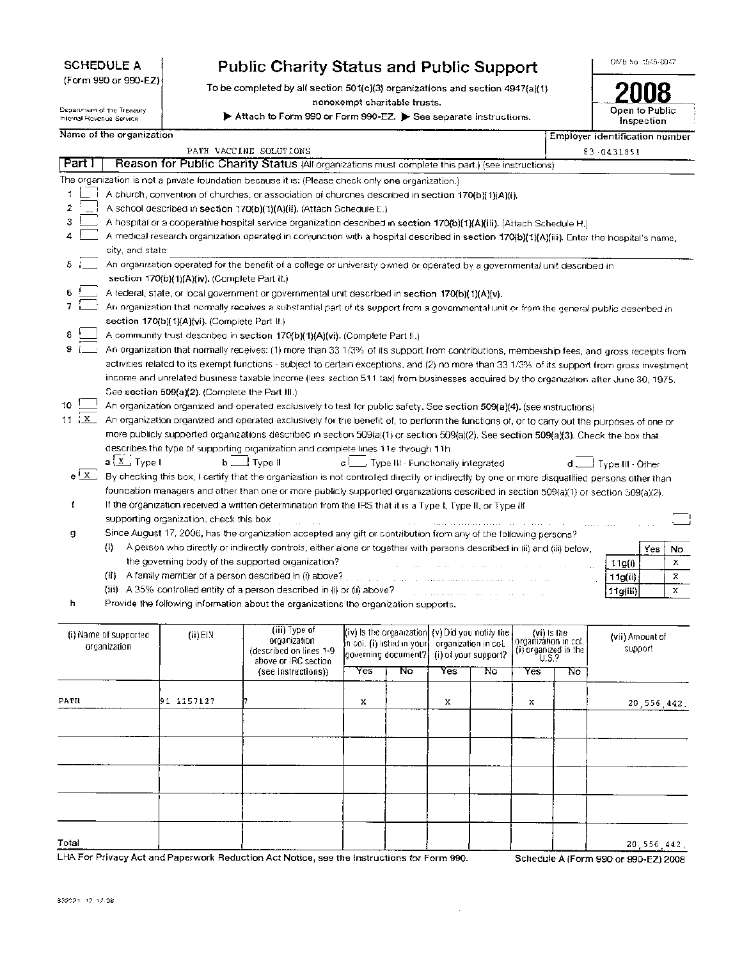| <b>SCHEDULE A</b> |  |
|-------------------|--|
|-------------------|--|

(Form 990 or 990-EZ)

Department of the Treasury Internal Revenue Service

# **Public Charity Status and Public Support**

To be completed by all section 501(c)(3) organizations and section 4947(a)(1) nonexempt charitable trusts.

10. Attach to Form 990 or Form 990-EZ. > See separate instructions.

OMB No. 1545-0047

| Open to Public<br>Inspection   |
|--------------------------------|
| Employer identification number |

Name of the organization

|                |                                                                                                                           |                                                 |                                                                                                                                               |                                                                  |    |                      |                      |                               |    | ергеует таеттынооңтогт палпоет |     |    |
|----------------|---------------------------------------------------------------------------------------------------------------------------|-------------------------------------------------|-----------------------------------------------------------------------------------------------------------------------------------------------|------------------------------------------------------------------|----|----------------------|----------------------|-------------------------------|----|--------------------------------|-----|----|
| Part I         |                                                                                                                           |                                                 | PATH VACCINE SOLUTIONS<br>Reason for Public Charity Status (All organizations must complete this part.) (see instructions)                    |                                                                  |    |                      |                      |                               |    | 83 0431851                     |     |    |
|                |                                                                                                                           |                                                 |                                                                                                                                               |                                                                  |    |                      |                      |                               |    |                                |     |    |
|                |                                                                                                                           |                                                 | The organization is not a private foundation because it is: (Please check only one organization.)                                             |                                                                  |    |                      |                      |                               |    |                                |     |    |
| 1              |                                                                                                                           |                                                 | A church, convention of churches, or association of churches described in section 170(b)(1)(A)(i).                                            |                                                                  |    |                      |                      |                               |    |                                |     |    |
| $\overline{2}$ |                                                                                                                           |                                                 | A school described in section 170(b)(1)(A)(ii), (Attach Schedule E.)                                                                          |                                                                  |    |                      |                      |                               |    |                                |     |    |
| 3              |                                                                                                                           |                                                 | A hospital or a cooperative hospital service organization described in section 170(b)(1)(A)(iii). (Attach Schedule H.)                        |                                                                  |    |                      |                      |                               |    |                                |     |    |
|                |                                                                                                                           |                                                 | A medical research organization operated in conjunction with a hospital described in section 170(b)(1)(A)(iii). Enter the hospital's name,    |                                                                  |    |                      |                      |                               |    |                                |     |    |
|                | city, and state:                                                                                                          |                                                 |                                                                                                                                               |                                                                  |    |                      |                      |                               |    |                                |     |    |
| 5.             | An organization operated for the benefit of a college or university owned or operated by a governmental unit described in |                                                 |                                                                                                                                               |                                                                  |    |                      |                      |                               |    |                                |     |    |
|                |                                                                                                                           | section 170(b)(1)(A)(iv). (Complete Part il.)   |                                                                                                                                               |                                                                  |    |                      |                      |                               |    |                                |     |    |
|                |                                                                                                                           |                                                 | A federal, state, or local government or governmental unit described in section 170(b)(1)(A)(v).                                              |                                                                  |    |                      |                      |                               |    |                                |     |    |
|                |                                                                                                                           |                                                 | An organization that normally receives a substantial part of its support from a governmental unit or from the general public described in     |                                                                  |    |                      |                      |                               |    |                                |     |    |
|                |                                                                                                                           | section 170(b)(1)(A)(vi). (Complete Part II.)   |                                                                                                                                               |                                                                  |    |                      |                      |                               |    |                                |     |    |
|                |                                                                                                                           |                                                 | A community trust described in section 170(b)(1)(A)(vi). (Complete Part II.)                                                                  |                                                                  |    |                      |                      |                               |    |                                |     |    |
|                |                                                                                                                           |                                                 | An organization that normally receives: (1) more than 33 1/3% of its support from contributions, membership fees, and gross receipts from     |                                                                  |    |                      |                      |                               |    |                                |     |    |
|                |                                                                                                                           |                                                 | activities related to its exempt functions - subject to certain exceptions, and (2) no more than 33 1/3% of its support from gross investment |                                                                  |    |                      |                      |                               |    |                                |     |    |
|                |                                                                                                                           |                                                 | income and unrelated business taxable income (less section 511 tax) from businesses acquired by the organization after June 30, 1975.         |                                                                  |    |                      |                      |                               |    |                                |     |    |
|                |                                                                                                                           | See section 509(a)(2). (Complete the Part III.) |                                                                                                                                               |                                                                  |    |                      |                      |                               |    |                                |     |    |
| 10             |                                                                                                                           |                                                 | An organization organized and operated exclusively to test for public safety. See section 509(a)(4), (see mstructions)                        |                                                                  |    |                      |                      |                               |    |                                |     |    |
| $11 \tX$       |                                                                                                                           |                                                 | An organization organized and operated exclusively for the benefit of, to perform the functions of, or to carry out the purposes of one or    |                                                                  |    |                      |                      |                               |    |                                |     |    |
|                |                                                                                                                           |                                                 | more publicly supported organizations described in section 509(a)(1) or section 509(a)(2). See section 509(a)(3). Check the box that          |                                                                  |    |                      |                      |                               |    |                                |     |    |
|                |                                                                                                                           |                                                 | describes the type of supporting organization and complete lines 11e through 11h.                                                             |                                                                  |    |                      |                      |                               |    |                                |     |    |
|                | $a \nvert \underline{x}$ , Type I                                                                                         |                                                 | $b$ $\Box$ Type II                                                                                                                            | c Complete Historial European Type III - Functionally integrated |    |                      |                      |                               |    | d __ Type III - Other          |     |    |
| $e^{\int x}$   |                                                                                                                           |                                                 | By checking this box, I certify that the organization is not controlled directly or indirectly by one or more disqualified persons other than |                                                                  |    |                      |                      |                               |    |                                |     |    |
|                |                                                                                                                           |                                                 | foundation managers and other than one or more publicly supported organizations described in section 509(a)(1) or section 509(a)(2).          |                                                                  |    |                      |                      |                               |    |                                |     |    |
| f              |                                                                                                                           |                                                 | If the organization received a written determination from the IRS that it is a Type I, Type II, or Type III                                   |                                                                  |    |                      |                      |                               |    |                                |     |    |
|                |                                                                                                                           | supporting organization, check this box         |                                                                                                                                               |                                                                  |    |                      |                      |                               |    |                                |     |    |
| g              |                                                                                                                           |                                                 | Since August 17, 2006, has the organization accepted any gift or contribution from any of the following persons?                              |                                                                  |    |                      |                      |                               |    |                                |     |    |
|                | $\{i\}$                                                                                                                   |                                                 | A person who directly or indirectly controls, either alone or together with persons described in (ii) and (iii) below,                        |                                                                  |    |                      |                      |                               |    |                                | Yes | No |
|                |                                                                                                                           |                                                 | the governing body of the supported organization?                                                                                             |                                                                  |    |                      |                      |                               |    | 11g(i)                         |     | Х  |
|                |                                                                                                                           |                                                 | (ii) A family member of a person described in (i) above?                                                                                      |                                                                  |    |                      |                      |                               |    | 11g(ii)                        |     | x  |
|                |                                                                                                                           |                                                 | (iii) A 35% controlled entity of a person described in (i) or (ii) above?                                                                     |                                                                  |    |                      |                      |                               |    | 11g(iii)                       |     | х  |
| h              |                                                                                                                           |                                                 | Provide the following information about the organizations the organization supports.                                                          |                                                                  |    |                      |                      |                               |    |                                |     |    |
|                |                                                                                                                           |                                                 |                                                                                                                                               |                                                                  |    |                      |                      |                               |    |                                |     |    |
|                |                                                                                                                           |                                                 | (iii) Type of                                                                                                                                 | (iv) is the organization (v) Did you notify the                  |    |                      |                      | (vi) Is the                   |    |                                |     |    |
|                | (i) Name of supported<br>organization                                                                                     | $(ii)$ EIN                                      | organization                                                                                                                                  | in coi. (i) iisted in your                                       |    |                      | organization in coi. | organizátion in col.          |    | (vii) Amount of                |     |    |
|                |                                                                                                                           |                                                 | (described on lines 1-9)<br>above or IRC section                                                                                              | governing document?                                              |    | (i) of your support? |                      | (i) organized in the<br>U.S.? |    | support                        |     |    |
|                |                                                                                                                           |                                                 | (see instructions))                                                                                                                           | Yes                                                              | ᠊᠗ | Yes                  | No                   | Yes                           | No |                                |     |    |
|                |                                                                                                                           |                                                 |                                                                                                                                               |                                                                  |    |                      |                      |                               |    |                                |     |    |

PATH 91-1157127 7 X X X X X X 20,556,442. III Total 20,556,442.

÷.

LHA For Privacy Act and Paperwork Reduction Act Notice, see the Instructions for Form 990. Schedule A (Form 990 or 990-EZ) 2008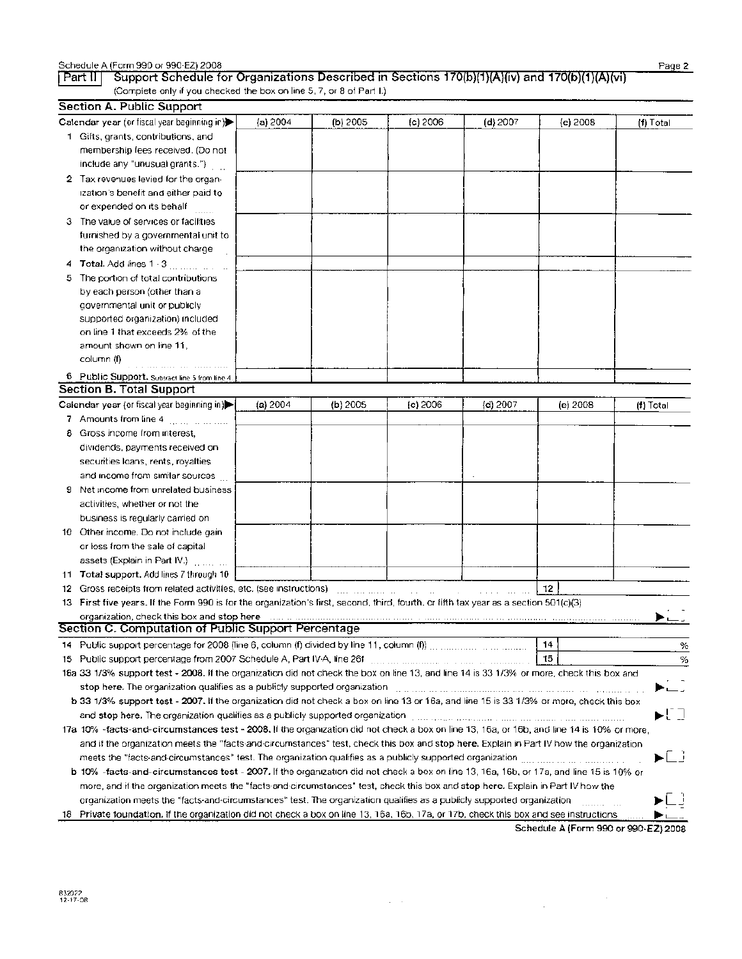|    | Section A. Public Support                                                                                                                                                                                   |          |          |          |                                                                                                                                                                                                                                |             |             |  |  |
|----|-------------------------------------------------------------------------------------------------------------------------------------------------------------------------------------------------------------|----------|----------|----------|--------------------------------------------------------------------------------------------------------------------------------------------------------------------------------------------------------------------------------|-------------|-------------|--|--|
|    | Calendar year (or fiscal year beginning in)                                                                                                                                                                 | (a) 2004 | (b) 2005 | (c) 2006 | (d) 2007                                                                                                                                                                                                                       | (e) 2008    | $(f)$ Total |  |  |
|    | 1 Gifts, grants, contributions, and                                                                                                                                                                         |          |          |          |                                                                                                                                                                                                                                |             |             |  |  |
|    | membership fees received. (Do not                                                                                                                                                                           |          |          |          |                                                                                                                                                                                                                                |             |             |  |  |
|    | include any "unusual grants.")                                                                                                                                                                              |          |          |          |                                                                                                                                                                                                                                |             |             |  |  |
|    | 2 Tax revenues levied for the organ-                                                                                                                                                                        |          |          |          |                                                                                                                                                                                                                                |             |             |  |  |
|    | ization's benefit and either paid to                                                                                                                                                                        |          |          |          |                                                                                                                                                                                                                                |             |             |  |  |
|    | or expended on its behalf                                                                                                                                                                                   |          |          |          |                                                                                                                                                                                                                                |             |             |  |  |
|    |                                                                                                                                                                                                             |          |          |          |                                                                                                                                                                                                                                |             |             |  |  |
|    | 3 The value of services or facilities                                                                                                                                                                       |          |          |          |                                                                                                                                                                                                                                |             |             |  |  |
|    | furnished by a governmental unit to                                                                                                                                                                         |          |          |          |                                                                                                                                                                                                                                |             |             |  |  |
|    | the organization without charge                                                                                                                                                                             |          |          |          |                                                                                                                                                                                                                                |             |             |  |  |
|    |                                                                                                                                                                                                             |          |          |          |                                                                                                                                                                                                                                |             |             |  |  |
| 5. | The portion of total contributions                                                                                                                                                                          |          |          |          |                                                                                                                                                                                                                                |             |             |  |  |
|    | by each person (other than a                                                                                                                                                                                |          |          |          |                                                                                                                                                                                                                                |             |             |  |  |
|    | governmental unit or publicly                                                                                                                                                                               |          |          |          |                                                                                                                                                                                                                                |             |             |  |  |
|    | supported organization) included                                                                                                                                                                            |          |          |          |                                                                                                                                                                                                                                |             |             |  |  |
|    | on line 1 that exceeds 2% of the                                                                                                                                                                            |          |          |          |                                                                                                                                                                                                                                |             |             |  |  |
|    | amount shown on line 11,                                                                                                                                                                                    |          |          |          |                                                                                                                                                                                                                                |             |             |  |  |
|    | column (f)                                                                                                                                                                                                  |          |          |          |                                                                                                                                                                                                                                |             |             |  |  |
|    | 6 Public Support, Subtract line 5 from line 4.                                                                                                                                                              |          |          |          |                                                                                                                                                                                                                                |             |             |  |  |
|    | Section B. Total Support                                                                                                                                                                                    |          |          |          |                                                                                                                                                                                                                                |             |             |  |  |
|    | Calendar year (or fiscal year beginning in)                                                                                                                                                                 | (a) 2004 | (b) 2005 | (c) 2006 | (d) 2007                                                                                                                                                                                                                       | (e) 2008    | (f) Total   |  |  |
|    | 7 Amounts from line 4 [11, 11, 11, 11, 11, 11]                                                                                                                                                              |          |          |          |                                                                                                                                                                                                                                |             |             |  |  |
|    | 8 Gross income from interest,                                                                                                                                                                               |          |          |          |                                                                                                                                                                                                                                |             |             |  |  |
|    | dividends, payments received on                                                                                                                                                                             |          |          |          |                                                                                                                                                                                                                                |             |             |  |  |
|    | securities loans, rents, royalties                                                                                                                                                                          |          |          |          |                                                                                                                                                                                                                                |             |             |  |  |
|    | and income from similar sources                                                                                                                                                                             |          |          |          |                                                                                                                                                                                                                                |             |             |  |  |
| 9. | Net income from unrelated business                                                                                                                                                                          |          |          |          |                                                                                                                                                                                                                                |             |             |  |  |
|    | activities, whether or not the                                                                                                                                                                              |          |          |          |                                                                                                                                                                                                                                |             |             |  |  |
|    | business is regularly carried on                                                                                                                                                                            |          |          |          |                                                                                                                                                                                                                                |             |             |  |  |
|    | 10 Other income. Do not include gain                                                                                                                                                                        |          |          |          |                                                                                                                                                                                                                                |             |             |  |  |
|    | or loss from the sale of capital                                                                                                                                                                            |          |          |          |                                                                                                                                                                                                                                |             |             |  |  |
|    | assets (Explain in Part IV.) [11, 11, 11]                                                                                                                                                                   |          |          |          |                                                                                                                                                                                                                                |             |             |  |  |
|    | 11 Total support. Add lines 7 through 10                                                                                                                                                                    |          |          |          |                                                                                                                                                                                                                                |             |             |  |  |
|    |                                                                                                                                                                                                             |          |          |          |                                                                                                                                                                                                                                | 12          |             |  |  |
|    | 12 Gross receipts from related activities, etc. (see instructions)<br>13 First five years. If the Form 990 is for the organization's first, second, third, fourth, or fifth tax year as a section 501(c)(3) |          |          |          | and the community of the state of the state of the state of the state of the state of the state of the state of the state of the state of the state of the state of the state of the state of the state of the state of the st |             |             |  |  |
|    |                                                                                                                                                                                                             |          |          |          |                                                                                                                                                                                                                                |             |             |  |  |
|    | organization, check this box and stop here<br>Section C. Computation of Public Support Percentage                                                                                                           |          |          |          |                                                                                                                                                                                                                                |             |             |  |  |
|    |                                                                                                                                                                                                             |          |          |          |                                                                                                                                                                                                                                | $\sqrt{14}$ |             |  |  |
| 14 |                                                                                                                                                                                                             |          |          |          |                                                                                                                                                                                                                                | 15          | ℅           |  |  |
|    | 15 Public support percentage from 2007 Schedule A, Part IV-A, line 26f.                                                                                                                                     |          |          |          |                                                                                                                                                                                                                                |             | %           |  |  |
|    | 16a 33 1/3% support test - 2008. If the organization did not check the box on line 13, and line 14 is 33 1/3% or more, check this box and                                                                   |          |          |          |                                                                                                                                                                                                                                |             |             |  |  |
|    |                                                                                                                                                                                                             |          |          |          |                                                                                                                                                                                                                                |             |             |  |  |
|    | b 33 1/3% support test - 2007. If the organization did not check a box on line 13 or 16a, and line 15 is 33 1/3% or more, check this box                                                                    |          |          |          |                                                                                                                                                                                                                                |             |             |  |  |
|    |                                                                                                                                                                                                             |          |          |          |                                                                                                                                                                                                                                |             | ►59         |  |  |
|    | 17a 10% -facts-and-circumstances test - 2008. If the organization did not check a box on line 13, 16a, or 16b, and line 14 is 10% or more,                                                                  |          |          |          |                                                                                                                                                                                                                                |             |             |  |  |
|    | and if the organization meets the "facts-and-circumstances" test, check this box and stop here. Explain in Part IV how the organization                                                                     |          |          |          |                                                                                                                                                                                                                                |             |             |  |  |
|    |                                                                                                                                                                                                             |          |          |          |                                                                                                                                                                                                                                |             | ►⊟          |  |  |
|    | b 10% -facts-and-circumstances test - 2007. If the organization did not check a box on line 13, 16a, 16b, or 17a, and line 15 is 10% or                                                                     |          |          |          |                                                                                                                                                                                                                                |             |             |  |  |
|    | more, and if the organization meets the "facts-and-circumstances" test, check this box and stop here. Explain in Part IV how the                                                                            |          |          |          |                                                                                                                                                                                                                                |             |             |  |  |
|    | organization meets the "facts-and-circumstances" test. The organization qualifies as a publicly supported organization                                                                                      |          |          |          |                                                                                                                                                                                                                                | .           |             |  |  |
|    | 18 Private foundation. If the organization did not check a box on line 13, 16a, 16b, 17a, or 17b, check this box and see instructions                                                                       |          |          |          |                                                                                                                                                                                                                                |             |             |  |  |

 $\Delta \sim 0.5$ 

Schedule A (Form 990 or 990-EZ) 2008

 $\sim$   $\sim$ 

 $\Delta \sim 10^{11}$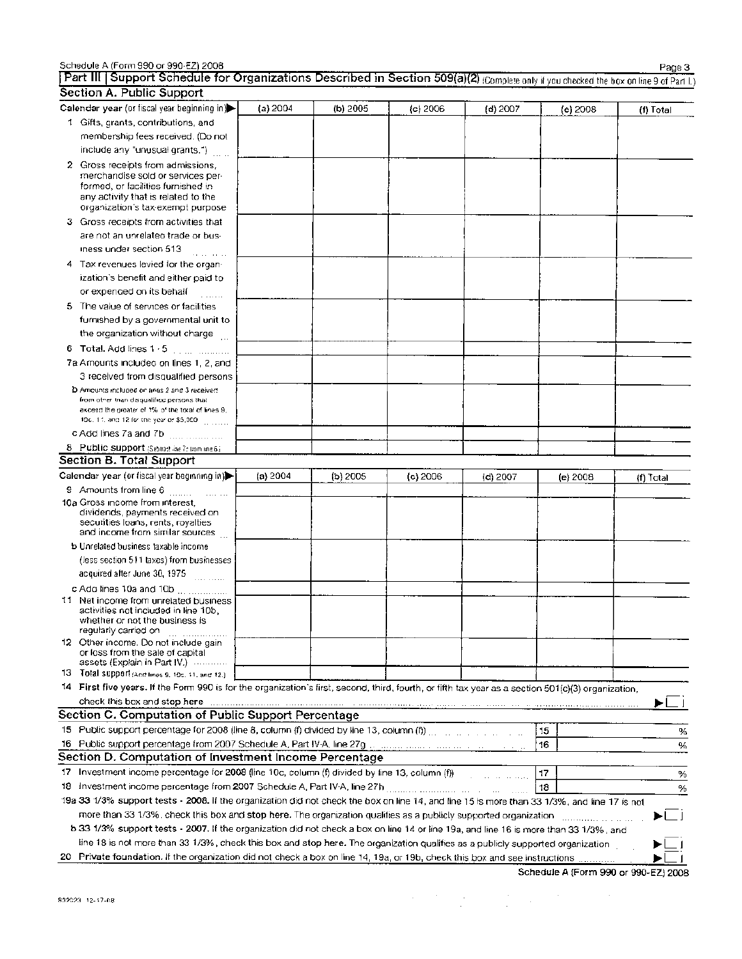| Schedule A (Form 990 or 990-EZ) 2008                                                                                                                                                                                                                                 |            |            |          |                                        |          | Page 3    |
|----------------------------------------------------------------------------------------------------------------------------------------------------------------------------------------------------------------------------------------------------------------------|------------|------------|----------|----------------------------------------|----------|-----------|
| Part III   Support Schedule for Organizations Described in Section 509(a)(2) (Complete only if you checked the box on line 9 of Part I.)                                                                                                                             |            |            |          |                                        |          |           |
| Section A. Public Support                                                                                                                                                                                                                                            |            |            |          |                                        |          |           |
| Calendar year (or fiscal year beginning in)                                                                                                                                                                                                                          | (a) $2004$ | (b) 2005   | (c) 2006 | $(d)$ 2007                             | (e) 2008 | (f) Total |
| 1 Gifts, grants, contributions, and                                                                                                                                                                                                                                  |            |            |          |                                        |          |           |
| membership fees received. (Do not                                                                                                                                                                                                                                    |            |            |          |                                        |          |           |
| include any "unusual grants.")                                                                                                                                                                                                                                       |            |            |          |                                        |          |           |
| 2 Gross receipts from admissions,<br>merchandise sold or services per-<br>formed, or facilities furnished in                                                                                                                                                         |            |            |          |                                        |          |           |
| any activity that is related to the<br>organization's tax-exempt purpose                                                                                                                                                                                             |            |            |          |                                        |          |           |
| 3 Gross receipts from activities that                                                                                                                                                                                                                                |            |            |          |                                        |          |           |
| are not an unrelated trade or bus-                                                                                                                                                                                                                                   |            |            |          |                                        |          |           |
| iness under section 513                                                                                                                                                                                                                                              |            |            |          |                                        |          |           |
| 4 Tax revenues levied for the organ-                                                                                                                                                                                                                                 |            |            |          |                                        |          |           |
| ization's benefit and either paid to                                                                                                                                                                                                                                 |            |            |          |                                        |          |           |
| or expended on its behalf                                                                                                                                                                                                                                            |            |            |          |                                        |          |           |
| 5 The value of services or facilities                                                                                                                                                                                                                                |            |            |          |                                        |          |           |
| furnished by a governmental unit to                                                                                                                                                                                                                                  |            |            |          |                                        |          |           |
| the organization without charge                                                                                                                                                                                                                                      |            |            |          |                                        |          |           |
|                                                                                                                                                                                                                                                                      |            |            |          |                                        |          |           |
| 7a Amounts included on lines 1, 2, and                                                                                                                                                                                                                               |            |            |          |                                        |          |           |
| 3 received from disqualified persons                                                                                                                                                                                                                                 |            |            |          |                                        |          |           |
| D Amounts included on lines 2 and 3 received                                                                                                                                                                                                                         |            |            |          |                                        |          |           |
| from other than disqualified persons that                                                                                                                                                                                                                            |            |            |          |                                        |          |           |
| excess the greater of 1% of the total of lines 9,<br>10c, 11, and 12 for the year or \$5,000 [100].                                                                                                                                                                  |            |            |          |                                        |          |           |
|                                                                                                                                                                                                                                                                      |            |            |          |                                        |          |           |
| 8 Public support (Subtract line 7c from ine 6.)                                                                                                                                                                                                                      |            |            |          |                                        |          |           |
| Section B. Total Support                                                                                                                                                                                                                                             |            |            |          |                                        |          |           |
| Calendar year (or fiscal year beginning in)                                                                                                                                                                                                                          | (a) 2004   | $(b)$ 2005 | (c) 2006 | $(d)$ 2007                             | (e) 2008 | {f) Total |
| 9 Amounts from line 6                                                                                                                                                                                                                                                |            |            |          |                                        |          |           |
| 10a Gross income from interest.<br>dividends, payments received on<br>securities loans, rents, royalties<br>and income from similar sources                                                                                                                          |            |            |          |                                        |          |           |
| b Unrelated business taxable income                                                                                                                                                                                                                                  |            |            |          |                                        |          |           |
| (less section 511 taxes) from businesses                                                                                                                                                                                                                             |            |            |          |                                        |          |           |
| acquired after June 30, 1975                                                                                                                                                                                                                                         |            |            |          |                                        |          |           |
| c Ado lines 10a and 10b                                                                                                                                                                                                                                              |            |            |          |                                        |          |           |
| 11 Net income from unrelated business<br>activities not included in line 10b.<br>whether or not the business is<br>regularly carried on                                                                                                                              |            |            |          |                                        |          |           |
| 12 Other income. Do not include gain<br>or loss from the sale of capital                                                                                                                                                                                             |            |            |          |                                        |          |           |
| assets (Explain in Part IV.)<br>13 Total support (And lines 9, 10c, 11, and 12.)                                                                                                                                                                                     |            |            |          |                                        |          |           |
| 14 First five years. If the Form 990 is for the organization's first, second, third, fourth, or fifth tax year as a section 501(c)(3) organization,                                                                                                                  |            |            |          |                                        |          |           |
|                                                                                                                                                                                                                                                                      |            |            |          |                                        |          |           |
| check this box and stop here with an anti-communication of the contract of the contract of the communication of the<br>Section C. Computation of Public Support Percentage                                                                                           |            |            |          |                                        |          |           |
| 15 Public support percentage for 2008 (line 8, column (f) divided by line 13, column (f)) with a compact that the contract of                                                                                                                                        |            |            |          |                                        |          |           |
| 16 Public support percentage from 2007 Schedule A, Part IV-A, line 27g management of the control of the control of                                                                                                                                                   |            |            |          |                                        | 15       | %         |
| Section D. Computation of Investment Income Percentage                                                                                                                                                                                                               |            |            |          |                                        | 16       | %         |
|                                                                                                                                                                                                                                                                      |            |            |          |                                        |          |           |
| 17 Investment income percentage for 2008 (line 10c, column (f) divided by line 13, column (f))                                                                                                                                                                       |            |            |          | <u>.</u><br>1910 - Jan Jamar, amerikan | 17       | %         |
|                                                                                                                                                                                                                                                                      |            |            |          |                                        | 118      | %         |
| 19a 33 1/3% support tests - 2008. If the organization did not check the box on line 14, and line 15 is more than 33 1/3%, and line 17 is not                                                                                                                         |            |            |          |                                        |          |           |
| more than 33 1/3%, check this box and stop here. The organization qualities as a publicly supported organization management<br>b 33 1/3% support tests - 2007. If the organization did not check a box on line 14 or line 19a, and line 16 is more than 33 1/3%, and |            |            |          |                                        |          | ▶∟⊥       |
| line 18 is not more than 33 1/3%, check this box and stop here. The organization qualifies as a publicly supported organization                                                                                                                                      |            |            |          |                                        |          |           |
| 20 Private foundation. If the organization did not check a box on line 14, 19a, or 19b, check this box and see instructions                                                                                                                                          |            |            |          |                                        |          |           |

**Schedule A (Form 990 or 990-EZ) 2008** 

| Schedule A (Form 990 or 990-EZ) 2008 |  |  |  |
|--------------------------------------|--|--|--|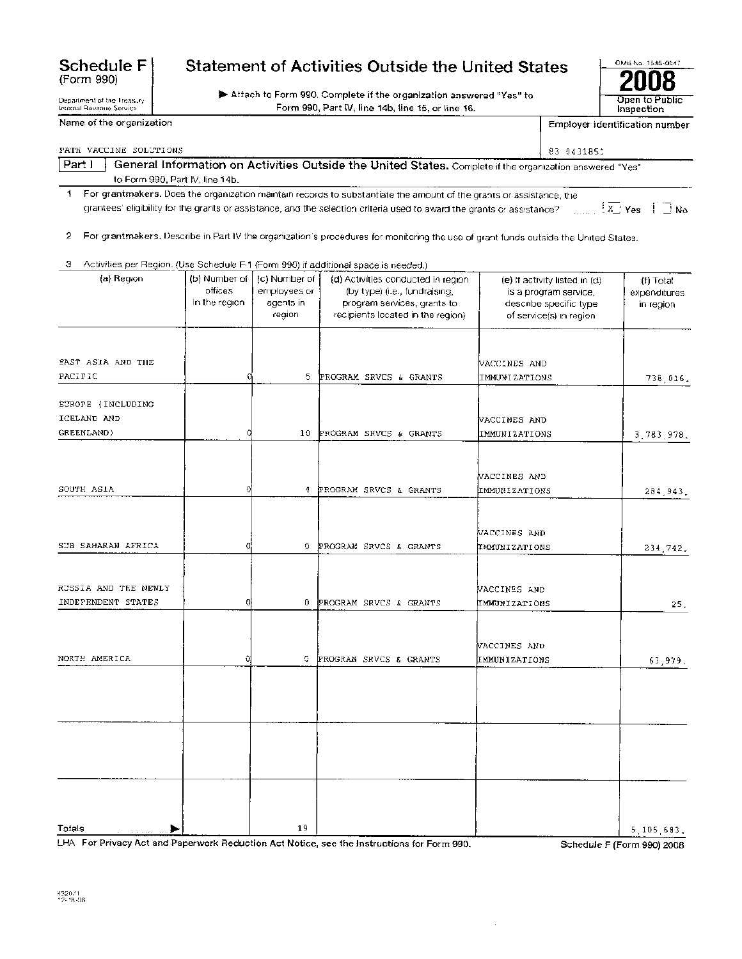## **Statement of Activities Outside the United States**

110- Attach to Form 990. Complete if the organization answered "Yes" to

Form 990, Part IV, line 14b, line 15, or line 16.

| PATH VACCINE SOLUTIONS   |                                 |                 |                                                                                                                                     | 83 0431851                                             |                                    |
|--------------------------|---------------------------------|-----------------|-------------------------------------------------------------------------------------------------------------------------------------|--------------------------------------------------------|------------------------------------|
| Part I                   |                                 |                 | General Information on Activities Outside the United States. Complete if the organization answered "Yes"                            |                                                        |                                    |
|                          | to Form 990, Part IV. line 14b. |                 |                                                                                                                                     |                                                        |                                    |
| $\mathbf{f}$             |                                 |                 | For grantmakers. Does the organization maintain records to substantiate the amount of the grants or assistance, the                 |                                                        |                                    |
|                          |                                 |                 | grantees' eligibility for the grants or assistance, and the selection criteria used to award the grants or assistance?              |                                                        | $\frac{1}{2}$ Yes $\frac{1}{2}$ No |
|                          |                                 |                 |                                                                                                                                     |                                                        |                                    |
| 2                        |                                 |                 | For grantmakers. Describe in Part IV the organization's procedures for monitoring the use of grant funds outside the United States. |                                                        |                                    |
| з                        |                                 |                 | Activities per Region. (Use Schedule F-1 (Form 990) if additional space is needed.)                                                 |                                                        |                                    |
| (a) Region               | (b) Number of                   | (c) Number of   | (d) Activities conducted in region                                                                                                  |                                                        |                                    |
|                          | offices                         | employees or    | (by type) (i.e., fundraising,                                                                                                       | (e) If activity listed in (d)<br>is a program service. | (f) Total<br>expenditures          |
|                          | in the region.                  | agents in       | program services, grants to                                                                                                         | describe specific type                                 | in region                          |
|                          |                                 | region          | recipients located in the region).                                                                                                  | of service(s) in region                                |                                    |
|                          |                                 |                 |                                                                                                                                     |                                                        |                                    |
|                          |                                 |                 |                                                                                                                                     |                                                        |                                    |
| <b>EAST ASIA AND THE</b> |                                 |                 |                                                                                                                                     | VACCINES AND                                           |                                    |
| PACIFIC                  |                                 | 5.              | PROGRAM SRVCS & GRANTS                                                                                                              | IMMUNIZATIONS                                          | 738.016.                           |
| EUROPE (INCLUDING        |                                 |                 |                                                                                                                                     |                                                        |                                    |
| ICELAND AND              |                                 |                 |                                                                                                                                     | NACCINES AND                                           |                                    |
| GREENLAND)               |                                 | 10 <sub>1</sub> | PROGRAM SRVCS & GRANTS                                                                                                              | IMMUNIZATIONS                                          | 3.783.978.                         |
|                          |                                 |                 |                                                                                                                                     |                                                        |                                    |
|                          |                                 |                 |                                                                                                                                     | WACCINES AND                                           |                                    |
| SOUTH ASIA               |                                 |                 | 4 PROGRAM SRVCS & GRANTS                                                                                                            | IMMUNIZATIONS                                          |                                    |
|                          |                                 |                 |                                                                                                                                     |                                                        | 284 943.                           |
|                          |                                 |                 |                                                                                                                                     |                                                        |                                    |
|                          |                                 |                 |                                                                                                                                     | VACCINES AND                                           |                                    |
| SUB SAHARAN AFRICA       |                                 | 0.              | PROGRAM SRVCS & GRANTS                                                                                                              | IMMUNIZATIONS                                          | 234 742.                           |

ACCINES AND

ACCINES AND

IMMUNIZATIONS 25.

NORTH AMERICA  $\begin{array}{ccc} 0 & \cdots & 0 \end{array}$  D PROGRAM SRVCS & GRANTS IMMUNIZATIONS 63,979. Totals iflo' 19 5,105,683. LHA For Privacy Act and Paperwork Reduction Act Notice, see the Instructions for Form 990. Schedule F (Form 990) 2008

INDEPENDENT STATES  $\begin{array}{ccc} | & 0 & 0 \end{array}$  D PROGRAM SRVCS & GRANTS

**Schedule F**  (Form 990)

Department of the Treasury Internal Revenue Service

RUSSIA AND THE NEWLY

| Name of the organization |
|--------------------------|

Employer identification number

**2008**  Open to Public Inspection

OMB No. 1545-0047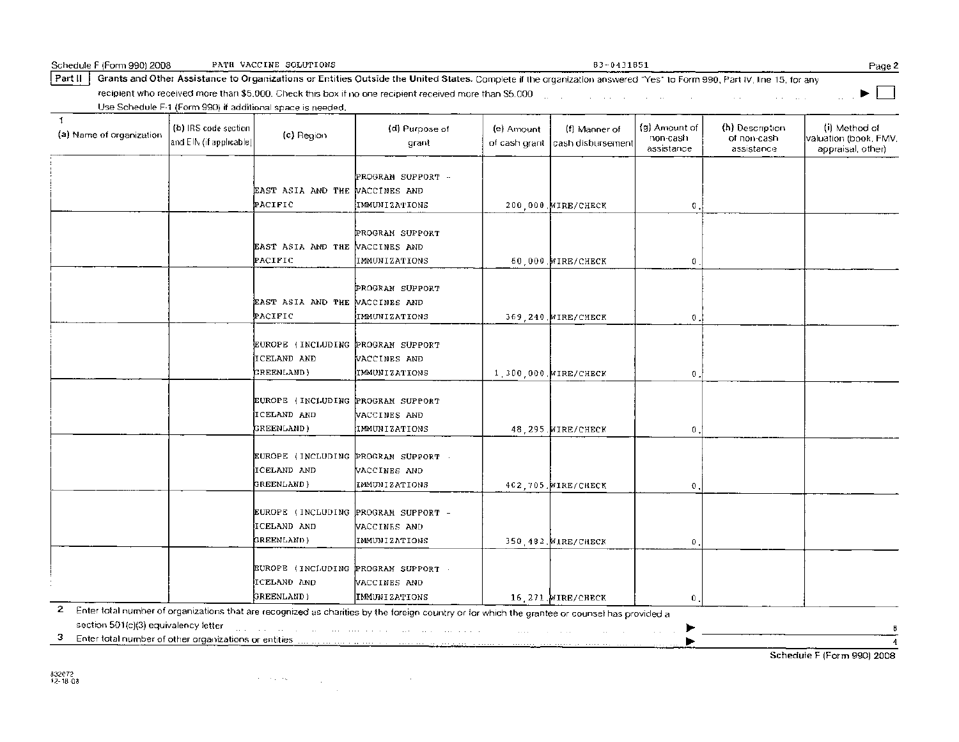| Schedule F (Form 990) 2008                                  |                                                  | PATH VACCINE SOLUTIONS                                           |                                                                                                                                                                                                                                |                             | 83-0431851                         |                                         |                                              | Page 2                                                      |
|-------------------------------------------------------------|--------------------------------------------------|------------------------------------------------------------------|--------------------------------------------------------------------------------------------------------------------------------------------------------------------------------------------------------------------------------|-----------------------------|------------------------------------|-----------------------------------------|----------------------------------------------|-------------------------------------------------------------|
| Part II                                                     |                                                  |                                                                  | Grants and Other Assistance to Organizations or Entities Outside the United States. Complete if the organization answered "Yes" to Form 990, Part IV, line 15, for any                                                         |                             |                                    |                                         |                                              |                                                             |
|                                                             |                                                  |                                                                  | recipient who received more than \$5,000. Check this box if no one recipient received more than \$5,000                                                                                                                        |                             |                                    |                                         |                                              |                                                             |
|                                                             |                                                  | Use Schedule F-1 (Form 990) if additional space is needed.       |                                                                                                                                                                                                                                |                             |                                    |                                         |                                              |                                                             |
| $\mathbf{1}$<br>(a) Name of organization                    | (b) IRS code section<br>and EIN (if applicable). | (c) Region                                                       | (d) Purpose of<br>grant                                                                                                                                                                                                        | (e) Amount<br>of cash grant | (f) Manner of<br>cash disbursement | (g) Amount of<br>non-cash<br>assistance | (h) Description<br>of non-cash<br>assistance | (i) Method of<br>valuation (book, FMV,<br>appraisal, other) |
|                                                             |                                                  | EAST ASIA AND THE WACCINES AND<br>PACIFIC                        | PROGRAM SUPPORT -<br>IMMUNIZATIONS                                                                                                                                                                                             |                             | 200 000 WIRE/CHECK                 | $\mathbf 0$                             |                                              |                                                             |
|                                                             |                                                  | EAST ASIA AND THE VACCINES AND<br>PACIFIC                        | PROGRAM SUPPORT<br>IMMUNIZATIONS                                                                                                                                                                                               |                             | 60,000. WIRE/CHECK                 | 0                                       |                                              |                                                             |
|                                                             |                                                  | EAST ASIA AND THE WACCINES AND<br>PACIFIC                        | PROGRAM SUPPORT<br>IMMUNIZATIONS                                                                                                                                                                                               |                             | 369, 240. MIRE/CHECK               | $\mathbf 0$ .                           |                                              |                                                             |
|                                                             |                                                  | EUROPE (INCLUDING PROGRAM SUPPORT<br>ICELAND AND<br>GREENLAND)   | VACCINES AND<br><b>TMMUNIZATIONS</b>                                                                                                                                                                                           |                             | 1,300,000 WIRE/CHECK               | $\mathbf{0}$ .                          |                                              |                                                             |
|                                                             |                                                  | EUROPE (INCLUDING PROGRAM SUPPORT<br>ICELAND AND<br>GREENLAND)   | VACCINES AND<br>IMMUNIZATIONS                                                                                                                                                                                                  |                             | 48 295 WIRE/CHECK                  | $\mathbf{0}$ .                          |                                              |                                                             |
|                                                             |                                                  | EUROPE (INCLUDING PROGRAM SUPPORT -<br>ICELAND AND<br>GREENLAND) | VACCINES AND<br>IMMUNIZATIONS                                                                                                                                                                                                  |                             | 402,705. MIRE/CHECK                | $\mathbf{0}$ .                          |                                              |                                                             |
|                                                             |                                                  | EUROPE (INCLUDING<br>ICELAND AND<br>GREENLAND)                   | PROGRAM SUPPORT -<br>VACCINES AND<br>IMMUNIZATIONS                                                                                                                                                                             |                             | 350 482. MIRE/CHECK                | $\mathbf{0}$ ,                          |                                              |                                                             |
|                                                             |                                                  | EUROPE (INCLUDING PROGRAM SUPPORT<br>ICELAND AND<br>GREENLAND)   | VACCINES AND<br>IMMUNIZATIONS                                                                                                                                                                                                  |                             | 16.271. WIRE/CHECK                 | 0                                       |                                              |                                                             |
| 2                                                           |                                                  |                                                                  | Enter total number of organizations that are recognized as charities by the foreign country or for which the grantee or counsel has provided a                                                                                 |                             |                                    |                                         |                                              |                                                             |
| section 501(c)(3) equivalency letter                        |                                                  |                                                                  | the community of the community of the community of the community of the community of the community of the community of the community of the community of the community of the community of the community of the community of t | $\ldots$                    |                                    |                                         |                                              |                                                             |
| 3.<br>Enter total number of other organizations or entities |                                                  | says and have also a special company                             | The company of the company of the company of the                                                                                                                                                                               |                             |                                    |                                         |                                              | 4                                                           |

Schedule F (Form 990) 2008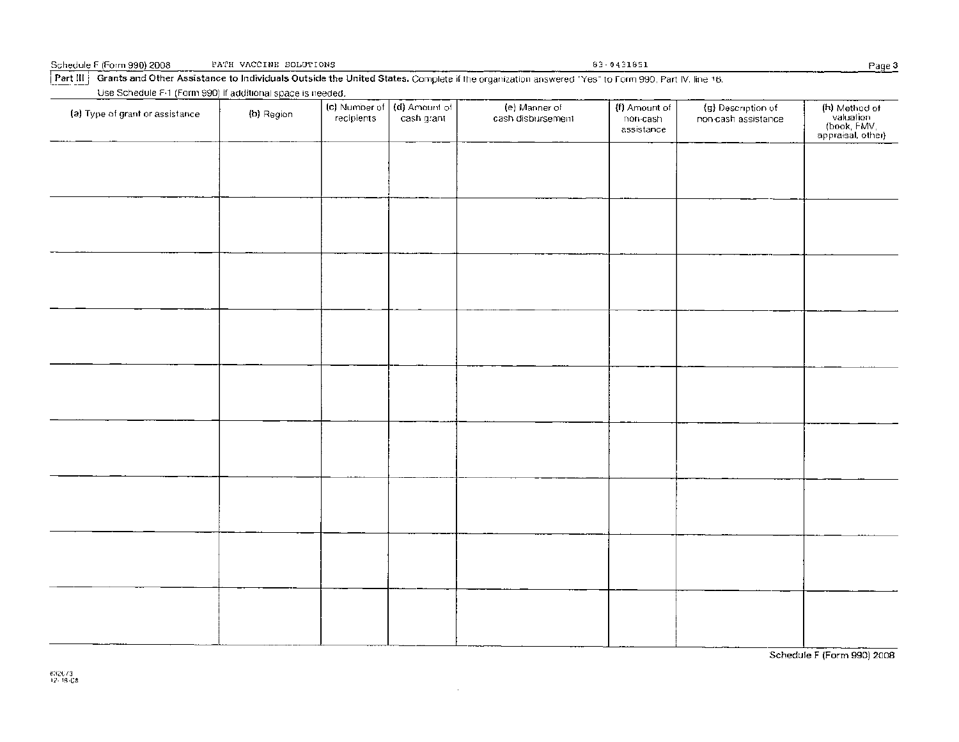| Schedule F (Form 990) 2008 | PATH VACCINE SCLUTIONS |
|----------------------------|------------------------|
|----------------------------|------------------------|

Part III  $\parallel$  Grants and Other Assistance to Individuals Outside the United States. Complete if the organization answered "Yes" to Form 990, Part IV, line 16.

Use Schedule F-1 (Form 990) if additional space is needed.

| (a) Type of grant or assistance | (b) Region | recipients | (c) Number of (d) Amount of<br>cash grant | (e) Manner of<br>cash disbursement | {f) Amount of<br>non-cash<br>assistance | (g) Description of<br>non-cash assistance | (h) Method of<br>valuation<br>(book, FMV,<br>appraisal, other) |
|---------------------------------|------------|------------|-------------------------------------------|------------------------------------|-----------------------------------------|-------------------------------------------|----------------------------------------------------------------|
|                                 |            |            |                                           |                                    |                                         |                                           |                                                                |
|                                 |            |            |                                           |                                    |                                         |                                           |                                                                |
|                                 |            |            |                                           |                                    |                                         |                                           |                                                                |
|                                 |            |            |                                           |                                    |                                         |                                           |                                                                |
|                                 |            |            |                                           |                                    |                                         |                                           |                                                                |
|                                 |            |            |                                           |                                    |                                         |                                           |                                                                |
|                                 |            |            |                                           |                                    |                                         |                                           |                                                                |
|                                 |            |            |                                           |                                    |                                         |                                           |                                                                |
|                                 |            |            |                                           |                                    |                                         |                                           |                                                                |
|                                 |            |            |                                           |                                    |                                         |                                           |                                                                |

 $\sim$ 

Schedule F (Form 990) 2008

83 - 0431851 Page 3

832073 12- <sup>1</sup> 8-08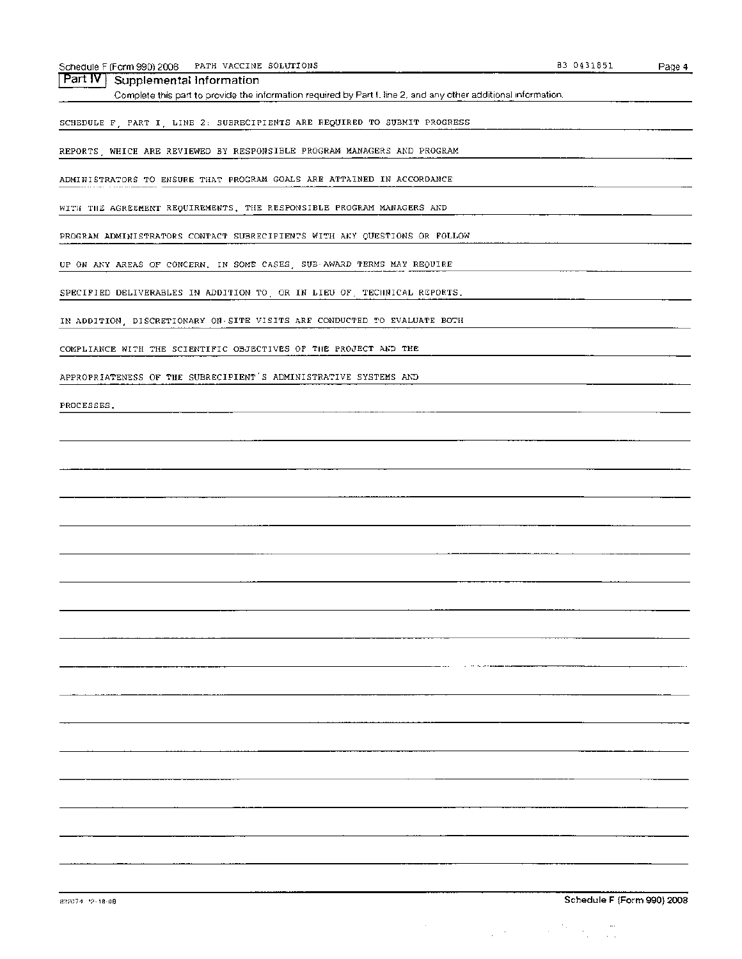| ⊆ (Form 990) 2008 | SOLUTIONS    | 3185. | Page 4 |
|-------------------|--------------|-------|--------|
| Schedule F        | PATH VACCINE | -04   |        |
|                   | .            |       |        |

Part IV | Supplemental Information

Complete this part to provide the information required by Part I, line 2, and any other additional information.

SCHEDULE F, PART I, LINE 2: SUBRECIPIENTS ARE REQUIRED TO SUBMIT PROGRESS

REPORTS, WHICH ARE REVIEWED BY RESPONSIBLE PROGRAM MANAGERS AND PROGRAM

ADMINISTRATORS TO ENSURE THAT PROGRAM GOALS ARE ATTAINED IN ACCORDANCE

WITH THE AGREEMENT REQUIREMENTS. THE RESPONSIBLE PROGRAM MANAGERS AND

PROGRAM ADMINISTRATORS CONTACT SUBRECIPIENTS WITH ANY QUESTIONS OR FOLLOW

UP ON ANY AREAS OF CONCERN. IN SOME CASES, SUB-AWARD TERMS MAY REQUIRE

SPECIFIED DELIVERABLES IN ADDITION TO, OR IN LIEU OF, TECHNICAL REPORTS.

IN ADDITION, DISCRETIONARY ON-SITE VISITS ARE CONDUCTED TO EVALUATE BOTH

COMPLIANCE WITH THE SCIENTIFIC OBJECTIVES OF THE PROJECT AND THE

APPROPRIATENESS OF THE SUBRECIPIENT'S ADMINISTRATIVE SYSTEMS AND

PROCESSES.

 $\label{eq:2.1} \frac{1}{\sqrt{2\pi}}\left(\frac{1}{\sqrt{2\pi}}\right)^{1/2}\left(\frac{1}{\sqrt{2\pi}}\right)^{1/2}\left(\frac{1}{\sqrt{2\pi}}\right)^{1/2}\left(\frac{1}{\sqrt{2\pi}}\right)^{1/2}\left(\frac{1}{\sqrt{2\pi}}\right)^{1/2}\left(\frac{1}{\sqrt{2\pi}}\right)^{1/2}\left(\frac{1}{\sqrt{2\pi}}\right)^{1/2}\left(\frac{1}{\sqrt{2\pi}}\right)^{1/2}\left(\frac{1}{\sqrt{2\pi}}\right)^{1/2}\left(\frac{1}{\sqrt{$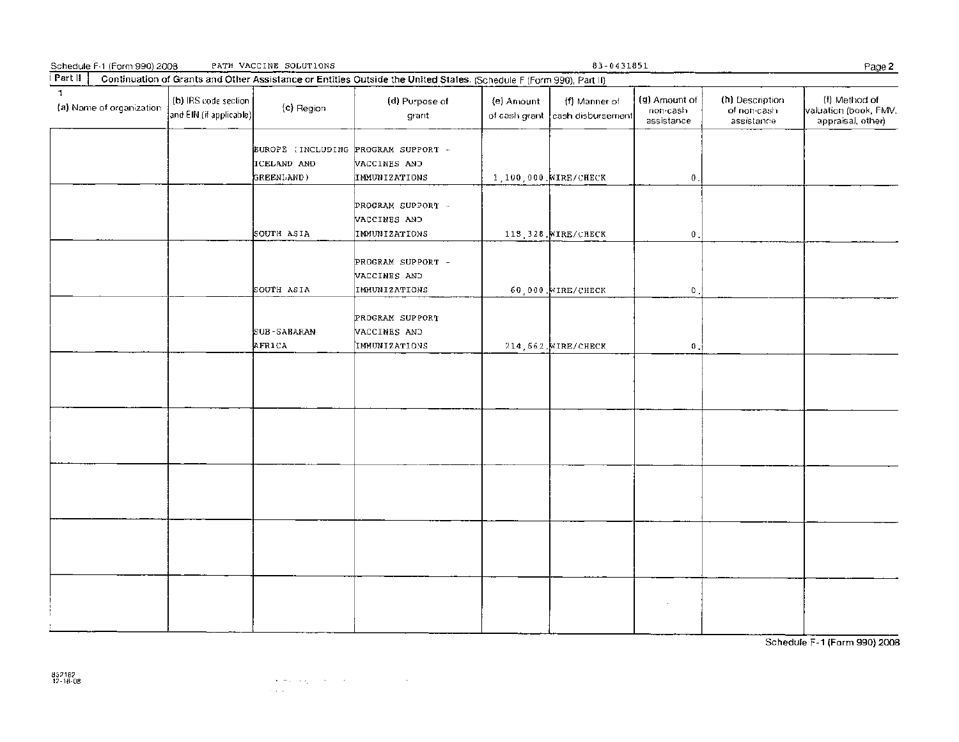| Schedule F-1 (Form 990) 2008             |                                                 | PATH VACCINE SOLUTIONS                                           |                                                                                                                     |            | $83 - 0431851$                                   |                                         |                                              | Page 2                                                      |
|------------------------------------------|-------------------------------------------------|------------------------------------------------------------------|---------------------------------------------------------------------------------------------------------------------|------------|--------------------------------------------------|-----------------------------------------|----------------------------------------------|-------------------------------------------------------------|
| Part II                                  |                                                 |                                                                  | Continuation of Grants and Other Assistance or Entities Outside the United States. (Schedule F (Form 990), Part II) |            |                                                  |                                         |                                              |                                                             |
| $\mathbf{I}$<br>(a) Name of organization | (b) IRS code section<br>and EIN (if applicable) | (c) Region                                                       | (d) Purpose of<br>grant                                                                                             | (e) Amount | (f) Manner of<br>of cash grant cash disbursement | (g) Amount of<br>non-cash<br>assistance | (h) Description<br>of non-cash<br>assistance | (i) Method of<br>valuation (book, FMV.<br>appraisal, other) |
|                                          |                                                 | EUROPE (INCLUDING PROGRAM SUPPORT -<br>ICELAND AND<br>GREENLAND) | VACCINES AND<br>IMMUNIZATIONS                                                                                       |            | 1,100,000. WIRE/CHECK                            | $\boldsymbol{0}$ .                      |                                              |                                                             |
|                                          |                                                 | SOUTH ASIA                                                       | PROGRAM SUPPORT -<br>VACCINES AND<br>IMMUNIZATIONS                                                                  |            | 113,328. WIRE/CHECK                              | $\mathbf{0}$                            |                                              |                                                             |
|                                          |                                                 | SOUTH ASIA                                                       | PROGRAM SUPPORT -<br>VACCINES AND<br>IMMUNIZATIONS                                                                  |            | 60,000. WIRE/CHECK                               | $\theta$                                |                                              |                                                             |
|                                          |                                                 | <b>SUB-SABARAN</b><br>AFRICA                                     | PROGRAM SUPPORT<br>VACCINES AND<br>IMMUNIZATIONS                                                                    |            | 214, 662. MIRE/CHECK                             | $\mathbf 0$ .                           |                                              |                                                             |
|                                          |                                                 |                                                                  |                                                                                                                     |            |                                                  |                                         |                                              |                                                             |
|                                          |                                                 |                                                                  |                                                                                                                     |            |                                                  |                                         |                                              |                                                             |
|                                          |                                                 |                                                                  |                                                                                                                     |            |                                                  |                                         |                                              |                                                             |
|                                          |                                                 |                                                                  |                                                                                                                     |            |                                                  |                                         |                                              |                                                             |
|                                          |                                                 |                                                                  |                                                                                                                     |            |                                                  |                                         |                                              |                                                             |

Schedule F-1 (Form 990) 2008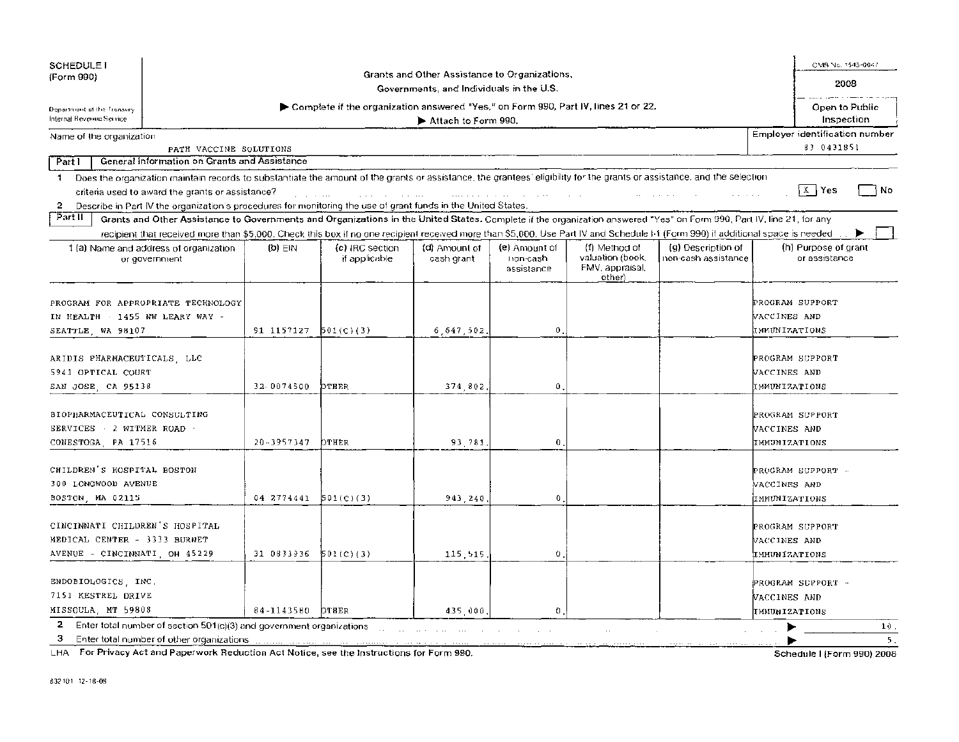| <b>SCHEDULE I</b>                                                                              |                                                                                                                                                                                |            |                                                                                                                                                                                                                                |                                                                                           |                                           |                                                                |                                           | CMS No. 1545-0047                                  |
|------------------------------------------------------------------------------------------------|--------------------------------------------------------------------------------------------------------------------------------------------------------------------------------|------------|--------------------------------------------------------------------------------------------------------------------------------------------------------------------------------------------------------------------------------|-------------------------------------------------------------------------------------------|-------------------------------------------|----------------------------------------------------------------|-------------------------------------------|----------------------------------------------------|
| (Form 990)                                                                                     |                                                                                                                                                                                |            |                                                                                                                                                                                                                                | Grants and Other Assistance to Organizations,<br>Governments, and Individuals in the U.S. |                                           |                                                                |                                           | 2008                                               |
|                                                                                                |                                                                                                                                                                                |            |                                                                                                                                                                                                                                |                                                                                           |                                           |                                                                |                                           |                                                    |
| Department of the Treasury<br>Internal Revenue Service                                         |                                                                                                                                                                                |            | ► Complete if the organization answered "Yes," on Form 990, Part IV, lines 21 or 22.                                                                                                                                           | Attach to Form 990.                                                                       |                                           |                                                                |                                           | Open to Public<br>Inspection                       |
| Name of the organization                                                                       |                                                                                                                                                                                |            |                                                                                                                                                                                                                                |                                                                                           |                                           |                                                                |                                           | Employer identification number                     |
|                                                                                                | PATH VACCINE SOLUTIONS                                                                                                                                                         |            |                                                                                                                                                                                                                                |                                                                                           |                                           |                                                                |                                           | 63 0431851                                         |
| <b>Part I</b>                                                                                  | General Information on Grants and Assistance                                                                                                                                   |            |                                                                                                                                                                                                                                |                                                                                           |                                           |                                                                |                                           |                                                    |
|                                                                                                | 1 Does the organization maintain records to substantiate the amount of the grants or assistance, the grantees' eligibility for the grants or assistance, and the selection     |            |                                                                                                                                                                                                                                |                                                                                           |                                           |                                                                |                                           |                                                    |
|                                                                                                | criteria used to award the grants or assistance?                                                                                                                               |            |                                                                                                                                                                                                                                |                                                                                           |                                           |                                                                |                                           | $X$ Yes<br>. No                                    |
| 2                                                                                              | Describe in Part IV the organization's procedures for monitoring the use of grant funds in the United States.                                                                  |            |                                                                                                                                                                                                                                | and a state of the state of the                                                           | <b>Contractor</b>                         |                                                                |                                           |                                                    |
| Part II                                                                                        | Grants and Other Assistance to Governments and Organizations in the United States. Complete if the organization answered "Yes" on Form 990, Part IV, line 21, for any          |            |                                                                                                                                                                                                                                |                                                                                           |                                           |                                                                |                                           |                                                    |
|                                                                                                | recipient that received more than \$5,000. Check this box if no one recipient received more than \$5,000. Use Part IV and Schedule F1 (Form 990) if additional space is needed |            |                                                                                                                                                                                                                                |                                                                                           |                                           |                                                                |                                           |                                                    |
|                                                                                                | 1 (a) Name and address of organization<br>or government                                                                                                                        | (p) EIN    | (c) IRC section<br>if applicable                                                                                                                                                                                               | (d) Amount of<br>cash grant                                                               | (e) Amount of<br>tion-cash.<br>assistance | (f) Method of<br>valuation (book,<br>FMV, appraisal,<br>other) | (g) Description of<br>non-cash assistance | (h) Purpose of grant<br>or assistance              |
| IN HEALTH 1455 NW LEARY WAY -<br>SEATTLE, WA 98107                                             | PROGRAM FOR APPROPRIATE TECHNOLOGY                                                                                                                                             | 91 1157127 | 501(c)(3)                                                                                                                                                                                                                      | 6,647,502.                                                                                | $\mathbf{0}$                              |                                                                |                                           | PROGRAM SUPPORT<br>WACCINES AND<br>IMMUNIZATIONS   |
| ARIDIS PHARMACEUTICALS LLC<br>5941 OPTICAL COURT<br>SAN JOSE CA 95138                          |                                                                                                                                                                                | 32-0074500 | OTHER                                                                                                                                                                                                                          | 374,802                                                                                   | $\bf{0}$                                  |                                                                |                                           | PROGRAM SUPPORT<br>VACCINES AND<br>IMMUNIZATIONS   |
| BIOPHARMACEUTICAL CONSULTING<br>SERVICES 2 WITMER ROAD -<br>CONESTOGA, PA 17516                |                                                                                                                                                                                | 20-3957347 | OTHER                                                                                                                                                                                                                          | 93.781.                                                                                   | 0                                         |                                                                |                                           | PROGRAM SUPPORT<br>NACCINES AND<br>IMMUNIZATIONS   |
| CHILDREN'S HOSPITAL BOSTON<br>300 LONGWOOD AVENUE<br>BOSTON, MA 02115                          |                                                                                                                                                                                | 04 2774441 | 501 <sub>(c)(3)</sub>                                                                                                                                                                                                          | 943.240                                                                                   | 0                                         |                                                                |                                           | PROGRAM SUPPORT -<br>VACCINES AND<br>IMMUNIZATIONS |
| CINCINNATI CHILDREN'S HOSPITAL<br>MEDICAL CENTER - 3333 BURNET<br>AVENUE - CINCINNATI OH 45229 |                                                                                                                                                                                | 31 0833936 | 501(C)(3)                                                                                                                                                                                                                      | 115 515                                                                                   | 0                                         |                                                                |                                           | PROGRAM SUPPORT<br>VACCINES AND<br>IMMUNIZATIONS   |
| ENDOBIOLOGICS, INC.<br>7151 KESTREL DRIVE<br>MISSOULA, MT 59808                                |                                                                                                                                                                                | 84-1143580 | <b>OTHER</b>                                                                                                                                                                                                                   | 435,000,                                                                                  | 0                                         |                                                                |                                           | PROGRAM SUPPORT -<br>NACCINES AND<br>IMMUNIZATIONS |
| 2<br>3                                                                                         | Enter total number of section 501(c)(3) and government organizations<br>Enter total number of other organizations                                                              |            | a and a complete and a complete state of the complete state of the state of the state of the state of the state of the state of the state of the state of the state of the state of the state of the state of the state of the |                                                                                           |                                           |                                                                |                                           | 10.<br>5 <sub>1</sub>                              |

LHA For Privacy Act and Paperwork Reduction Act Notice, see the Instructions for Form 990. Schedule I (Form 990) 2008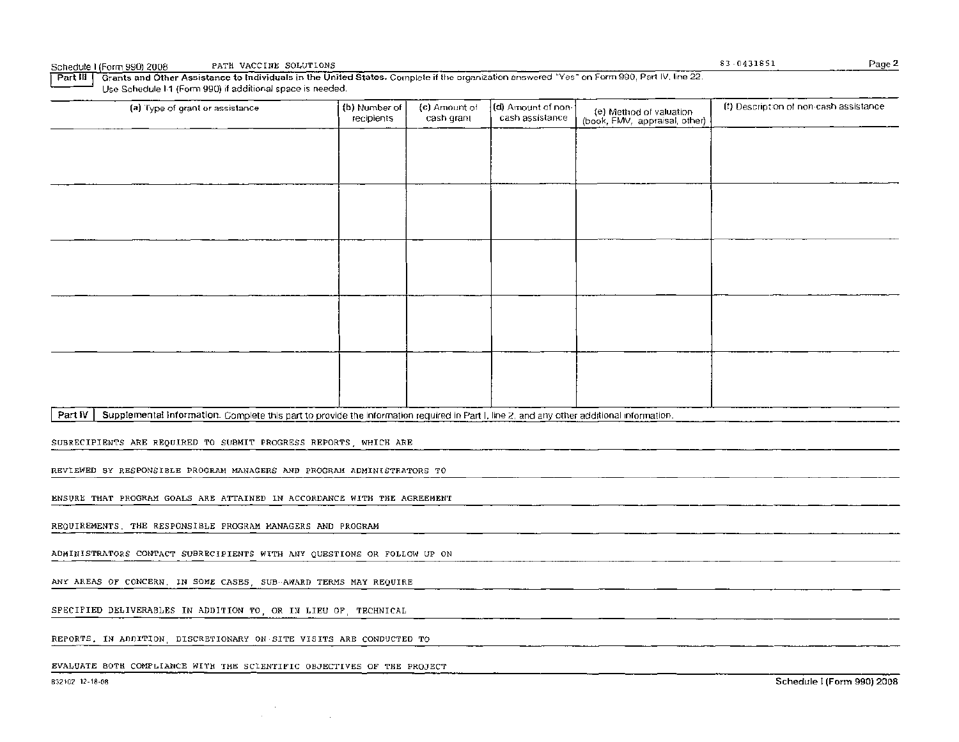| Schedule I (Form 990) 2008 . |  | PATH VACCINE SOLUTIONS |  |
|------------------------------|--|------------------------|--|
|                              |  |                        |  |

Part III I Grants and Other Assistance to Individuals in the United States. Complete if the organization answered "Yes" on Form 990, Part IV, line 22. Use Schedule I-1 (Form 990) if additional space is needed.

| (a) Type of grant or assistance                                                                                                                      | (b) Number of<br>recipients | (c) Amount of<br>cash grant | (d) Amount of non-<br>cash assistance | (e) Method of valuation<br>(book, FMV, appraisal, other) | (f) Description of non-cash assistance |  |  |  |  |
|------------------------------------------------------------------------------------------------------------------------------------------------------|-----------------------------|-----------------------------|---------------------------------------|----------------------------------------------------------|----------------------------------------|--|--|--|--|
|                                                                                                                                                      |                             |                             |                                       |                                                          |                                        |  |  |  |  |
|                                                                                                                                                      |                             |                             |                                       |                                                          |                                        |  |  |  |  |
|                                                                                                                                                      |                             |                             |                                       |                                                          |                                        |  |  |  |  |
|                                                                                                                                                      |                             |                             |                                       |                                                          |                                        |  |  |  |  |
|                                                                                                                                                      |                             |                             |                                       |                                                          |                                        |  |  |  |  |
|                                                                                                                                                      |                             |                             |                                       |                                                          |                                        |  |  |  |  |
|                                                                                                                                                      |                             |                             |                                       |                                                          |                                        |  |  |  |  |
|                                                                                                                                                      |                             |                             |                                       |                                                          |                                        |  |  |  |  |
|                                                                                                                                                      |                             |                             |                                       |                                                          |                                        |  |  |  |  |
|                                                                                                                                                      |                             |                             |                                       |                                                          |                                        |  |  |  |  |
| Supplemental Information. Complete this part to provide the information required in Part I, line 2, and any other additional information.<br>Part IV |                             |                             |                                       |                                                          |                                        |  |  |  |  |
| SUBRECIPIENTS ARE REQUIRED TO SUBMIT PROGRESS REPORTS, WHICH ARE                                                                                     |                             |                             |                                       |                                                          |                                        |  |  |  |  |
| REVIEWED BY RESPONSIBLE PROGRAM MANAGERS AND PROGRAM ADMINISTRATORS TO                                                                               |                             |                             |                                       |                                                          |                                        |  |  |  |  |
| ENSURE THAT PROGRAM GOALS ARE ATTAINED IN ACCORDANCE WITH THE AGREEMENT                                                                              |                             |                             |                                       |                                                          |                                        |  |  |  |  |
| REQUIREMENTS. THE RESPONSIBLE PROGRAM MANAGERS AND PROGRAM                                                                                           |                             |                             |                                       |                                                          |                                        |  |  |  |  |
| ADMINISTRATORS CONTACT SUBRECIPIENTS WITH ANY QUESTIONS OR FOLLOW UP ON                                                                              |                             |                             |                                       |                                                          |                                        |  |  |  |  |
| ANY AREAS OF CONCERN. IN SOME CASES, SUB-AWARD TERMS MAY REQUIRE                                                                                     |                             |                             |                                       |                                                          |                                        |  |  |  |  |
| SPECIFIED DELIVERABLES IN ADDITION TO, OR IN LIEU OF, TECHNICAL                                                                                      |                             |                             |                                       |                                                          |                                        |  |  |  |  |
| REPORTS. IN ADDITION, DISCRETIONARY ON SITE VISITS ARE CONDUCTED TO                                                                                  |                             |                             |                                       |                                                          |                                        |  |  |  |  |
|                                                                                                                                                      |                             |                             |                                       |                                                          |                                        |  |  |  |  |

EVALUATE BOTH COMPLIANCE WITH THE SCIENTIFIC OBJECTIVES OF THE PROJECT

 $\sim$ 

 $\sim$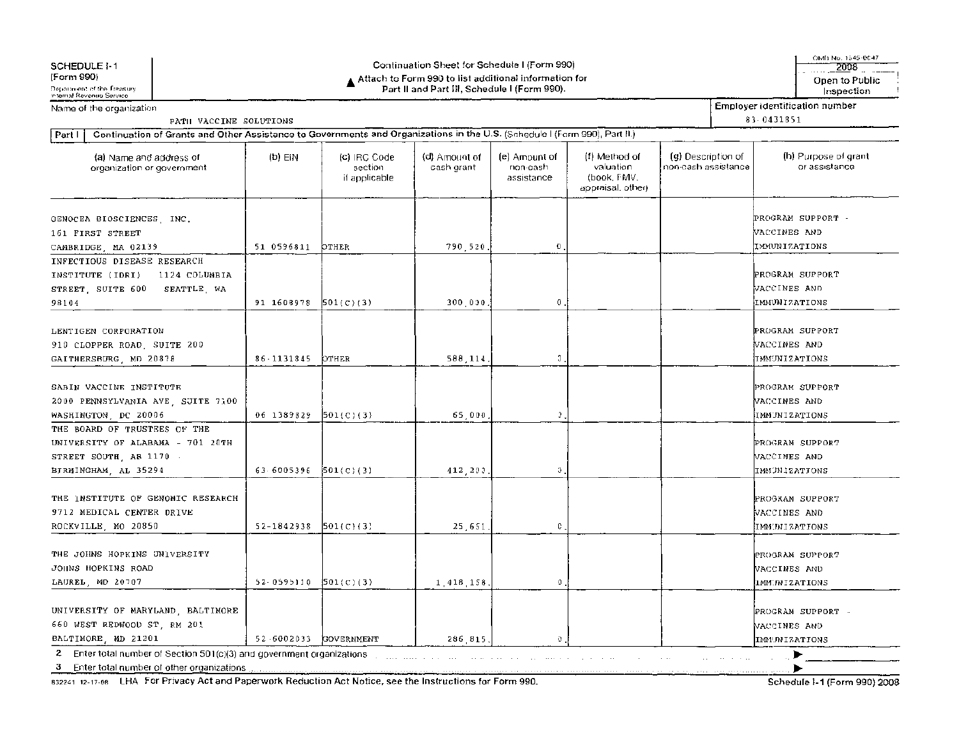| SCHEDULE 1-1                                                                                                                         |                                                                                                         |                                          | Continuation Sheet for Schedule I (Form 990) |                                         |                                                                |                                            |  | OMB No. 1545-0047<br>2008                               |
|--------------------------------------------------------------------------------------------------------------------------------------|---------------------------------------------------------------------------------------------------------|------------------------------------------|----------------------------------------------|-----------------------------------------|----------------------------------------------------------------|--------------------------------------------|--|---------------------------------------------------------|
| (Form 990)<br>Department of the Treasury<br>internal Revenue Service                                                                 | ▲ Attach to Form 990 to list additional information for<br>Part II and Part III, Schedule I (Form 990). |                                          |                                              |                                         |                                                                |                                            |  | Open to Public<br>Inspection                            |
| Name of the organization                                                                                                             |                                                                                                         |                                          |                                              |                                         |                                                                |                                            |  | <b>Employer identification number</b>                   |
| PATH VACCINE SOLUTIONS                                                                                                               |                                                                                                         |                                          |                                              |                                         |                                                                |                                            |  | 83 0431851                                              |
| Continuation of Grants and Other Assistance to Governments and Organizations in the U.S. (Schedule I (Form 990), Part II.)<br>Part I |                                                                                                         |                                          |                                              |                                         |                                                                |                                            |  |                                                         |
| (a) Name and address of<br>organization or government                                                                                | (b) EIN                                                                                                 | (c) IRC Code<br>section<br>if applicable | (d) Amount of<br>cash grant                  | (e) Amount of<br>non-cash<br>assistance | (f) Method of<br>valuation<br>(book, FMV,<br>appraisal, other) | (g) Description of<br>non-cash assistance. |  | (h) Purpose of grant<br>or assistance                   |
| GENOCEA BIOSCIENCES INC.<br>161 FIRST STREET<br>CAMBRIDGE, MA 02139                                                                  | 51 0596811                                                                                              | OTHER                                    | 790,520                                      | $\bf{0}$                                |                                                                |                                            |  | PROGRAM SUPPORT -<br>VACCINES AND<br>IMMUNIZATIONS      |
| INFECTIOUS DISEASE RESEARCH<br>1124 COLUMBIA<br>INSTITUTE (IDRI)<br>STREET, SUITE 600<br>SEATTLE, WA<br>98104                        | 91 1608978                                                                                              | 501(C)(3)                                | 300,030                                      | 0                                       |                                                                |                                            |  | PROGRAM SUPPORT<br>VACCINES AND<br><b>IMHUNIZATIONS</b> |
| LENTIGEN CORPORATION<br>910 CLOPPER ROAD, SUITE 200<br>GAITHERSBURG, MD 20878                                                        | $86 - 1131845$                                                                                          | OTHER                                    | 588,114                                      | C                                       |                                                                |                                            |  | PROGRAM SUPPORT<br>VACCINES AND<br><b>IMMUNIZATIONS</b> |
| SABIN VACCINE INSTITUTE<br>2000 PENNSYLVANIA AVE SJITE 7100<br>WASHINGTON, DC 20006                                                  | 06 1389829                                                                                              | 501(c)(3)                                | 65,000                                       | $\mathfrak{I}$ .                        |                                                                |                                            |  | PROGRAM SUPPORT<br>VACCINES AND<br>IMMUNIZATIONS        |
| THE BOARD OF TRUSTEES OF THE<br>UNIVERSITY OF ALABAMA - 701 20TH<br>STREET SOUTH, AB 1170 -<br>BIRMINGHAM, AL 35294                  | 63 6005396                                                                                              | [501(C)(3)]                              | 412,200                                      | O                                       |                                                                |                                            |  | PROGRAM SUPPORT<br>VACCINES AND<br>IMMUNIZATIONS        |
| THE INSTITUTE OF GENOMIC RESEARCH<br>9712 MEDICAL CENTER DRIVE<br>ROCKVILLE MO 20850                                                 | 52-1842938                                                                                              | 501(C)(3)                                | 25,651                                       | $\mathbb{C}$ .                          |                                                                |                                            |  | PROGRAM SUPPORT<br>VACCINES AND<br>IMMYNIZATIONS        |
| THE JOHNS HOPKINS UNIVERSITY<br>JOHNS HOPKINS ROAD<br>LAUREL, MD 20707                                                               | 52-0595110 ${501(C)(3)}$                                                                                |                                          | 1 418 158                                    | $\Omega$ .                              |                                                                |                                            |  | PROGRAM SUPPORT<br>VACCINES AND<br><b>IMM:NIZATIONS</b> |
| UNIVERSITY OF MARYLAND BALTIMORE<br>660 WEST REDWOOD ST, RM 201<br>BALTIMORE, MD 21201                                               | 52-6002033                                                                                              | <b>GOVERNMENT</b>                        | 286 815                                      | Ð                                       |                                                                |                                            |  | PROGRAM SUPPORT -<br>VACCINES AND<br>IMPONIZATIONS      |
| Enter total number of Section 501(c)(3) and government organizations<br>2<br>3                                                       |                                                                                                         |                                          |                                              | and a state of the                      |                                                                |                                            |  |                                                         |

832241 12-17-08 LHA For Privacy Act and Paperwork Reduction Act Notice, see the Instructions for Form 990.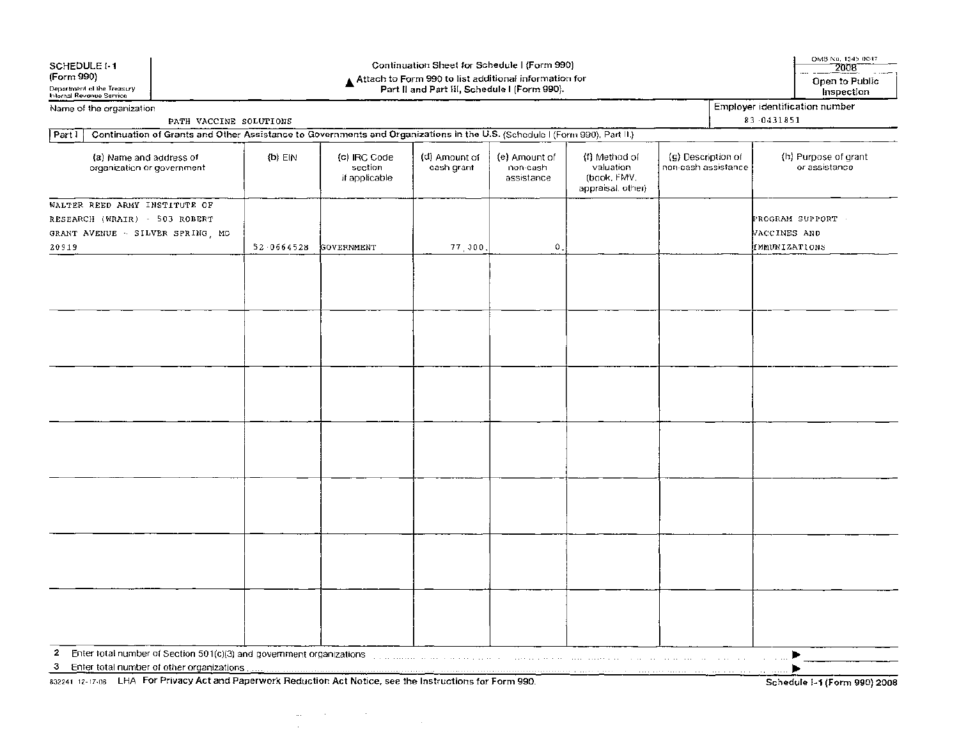| SCHEDULE 1-1<br>(Form 990)                             |                                                                                                                                                         | Continuation Sheet for Schedule I (Form 990)<br>▲ Attach to Form 990 to list additional information for<br>Part II and Part III, Schedule I (Form 990). |                                          |                                                                                                                |                                         |                                                                |                                           | OMB No. 1545-0047<br>2008<br>Open to Public |                                                    |
|--------------------------------------------------------|---------------------------------------------------------------------------------------------------------------------------------------------------------|---------------------------------------------------------------------------------------------------------------------------------------------------------|------------------------------------------|----------------------------------------------------------------------------------------------------------------|-----------------------------------------|----------------------------------------------------------------|-------------------------------------------|---------------------------------------------|----------------------------------------------------|
| Department of the Treasury<br>Internal Revenue Service |                                                                                                                                                         |                                                                                                                                                         |                                          |                                                                                                                |                                         |                                                                |                                           |                                             | Inspection                                         |
| Name of the organization                               |                                                                                                                                                         |                                                                                                                                                         |                                          |                                                                                                                |                                         |                                                                |                                           |                                             | Employer identification number                     |
|                                                        | PATH VACCINE SOLUTIONS                                                                                                                                  |                                                                                                                                                         |                                          |                                                                                                                |                                         |                                                                |                                           |                                             | 83 0431851                                         |
| Partl                                                  | Continuation of Grants and Other Assistance to Governments and Organizations in the U.S. (Schedule I (Form 990), Part II.)                              |                                                                                                                                                         |                                          |                                                                                                                |                                         |                                                                |                                           |                                             |                                                    |
|                                                        | (a) Name and address of<br>organization or government                                                                                                   | $(b)$ EIN                                                                                                                                               | (c) IRC Code<br>section<br>if applicable | (d) Amount of<br>cash grant                                                                                    | (e) Amount of<br>non-cash<br>assistance | (f) Method of<br>valuation<br>(book, FMV.<br>appraisal, other) | (g) Description of<br>non-cash assistance |                                             | (h) Purpose of grant<br>or assistance              |
| 20919                                                  | WALTER REED ARMY INSTITUTE OF<br>RESEARCH (WRAIR) - 503 ROBERT<br>GRANT AVENUE - SILVER SPRING, MC                                                      | 52 0664528                                                                                                                                              | <b>GOVERNMENT</b>                        | 77,000                                                                                                         | $\mathbf{0}$ .                          |                                                                |                                           |                                             | PROGRAM SUPPORT -<br>VACCINES AND<br>IMMUNIZATIONS |
|                                                        |                                                                                                                                                         |                                                                                                                                                         |                                          |                                                                                                                |                                         |                                                                |                                           |                                             |                                                    |
|                                                        |                                                                                                                                                         |                                                                                                                                                         |                                          |                                                                                                                |                                         |                                                                |                                           |                                             |                                                    |
|                                                        |                                                                                                                                                         |                                                                                                                                                         |                                          |                                                                                                                |                                         |                                                                |                                           |                                             |                                                    |
|                                                        |                                                                                                                                                         |                                                                                                                                                         |                                          |                                                                                                                |                                         |                                                                |                                           |                                             |                                                    |
|                                                        |                                                                                                                                                         |                                                                                                                                                         |                                          |                                                                                                                |                                         |                                                                |                                           |                                             |                                                    |
|                                                        |                                                                                                                                                         |                                                                                                                                                         |                                          |                                                                                                                |                                         |                                                                |                                           |                                             |                                                    |
|                                                        |                                                                                                                                                         |                                                                                                                                                         |                                          |                                                                                                                |                                         |                                                                |                                           |                                             |                                                    |
|                                                        |                                                                                                                                                         |                                                                                                                                                         |                                          |                                                                                                                |                                         |                                                                |                                           |                                             |                                                    |
|                                                        |                                                                                                                                                         |                                                                                                                                                         |                                          |                                                                                                                |                                         |                                                                |                                           |                                             |                                                    |
|                                                        |                                                                                                                                                         |                                                                                                                                                         |                                          |                                                                                                                |                                         |                                                                |                                           |                                             |                                                    |
|                                                        |                                                                                                                                                         |                                                                                                                                                         |                                          |                                                                                                                |                                         |                                                                |                                           |                                             |                                                    |
|                                                        |                                                                                                                                                         |                                                                                                                                                         |                                          |                                                                                                                |                                         |                                                                |                                           |                                             |                                                    |
|                                                        |                                                                                                                                                         |                                                                                                                                                         |                                          |                                                                                                                |                                         |                                                                |                                           |                                             |                                                    |
|                                                        |                                                                                                                                                         |                                                                                                                                                         |                                          |                                                                                                                |                                         |                                                                |                                           |                                             |                                                    |
| 2                                                      | Enter total number of Section 501(c)(3) and government organizations                                                                                    |                                                                                                                                                         |                                          | . The component of the contract of the component of the contract of the contract of $\mathcal{O}(\mathcal{E})$ |                                         |                                                                |                                           |                                             |                                                    |
| з                                                      | Enter total number of other organizations<br>832241 12-17-06 LHA For Privacy Act and Paperwork Reduction Act Notice, see the Instructions for Form 990. |                                                                                                                                                         |                                          |                                                                                                                |                                         |                                                                |                                           |                                             | Schedule 1-1 (Form 990) 2008                       |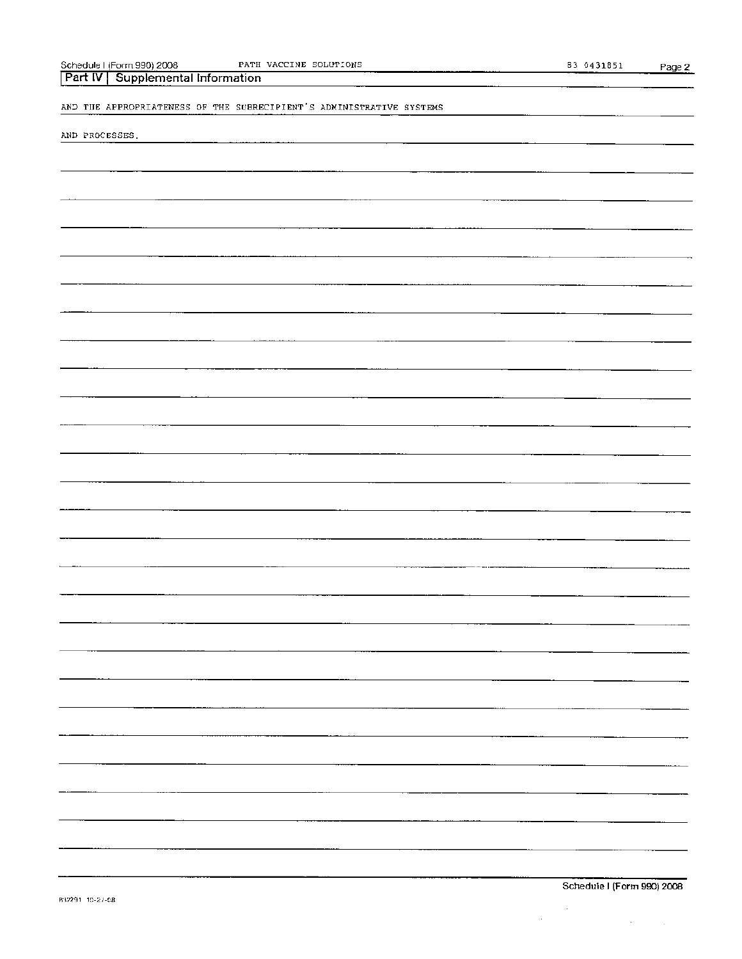| Part $ V $<br>Supplemental Information                               |    |
|----------------------------------------------------------------------|----|
| AND THE APPROPRIATENESS OF THE SUBRECIPIENT'S ADMINISTRATIVE SYSTEMS |    |
| AND PROCESSES.                                                       |    |
|                                                                      |    |
|                                                                      |    |
|                                                                      |    |
|                                                                      |    |
|                                                                      |    |
|                                                                      |    |
|                                                                      |    |
|                                                                      |    |
|                                                                      |    |
|                                                                      |    |
|                                                                      |    |
|                                                                      |    |
|                                                                      |    |
|                                                                      |    |
|                                                                      |    |
|                                                                      |    |
|                                                                      | Ξ. |
|                                                                      |    |
|                                                                      | ļ  |
|                                                                      |    |
|                                                                      |    |
|                                                                      |    |
|                                                                      |    |
|                                                                      |    |
|                                                                      |    |
|                                                                      |    |

ScheduleI(Form 990)2008 PATH VACCINE SOLUTIONS 83-0431851 Page 2

 $\label{eq:2.1} \frac{1}{\sqrt{2}}\sum_{i=1}^n\frac{1}{\sqrt{2}}\sum_{i=1}^n\frac{1}{\sqrt{2}}\sum_{i=1}^n\frac{1}{\sqrt{2}}\sum_{i=1}^n\frac{1}{\sqrt{2}}\sum_{i=1}^n\frac{1}{\sqrt{2}}\sum_{i=1}^n\frac{1}{\sqrt{2}}\sum_{i=1}^n\frac{1}{\sqrt{2}}\sum_{i=1}^n\frac{1}{\sqrt{2}}\sum_{i=1}^n\frac{1}{\sqrt{2}}\sum_{i=1}^n\frac{1}{\sqrt{2}}\sum_{i=1}^n\frac$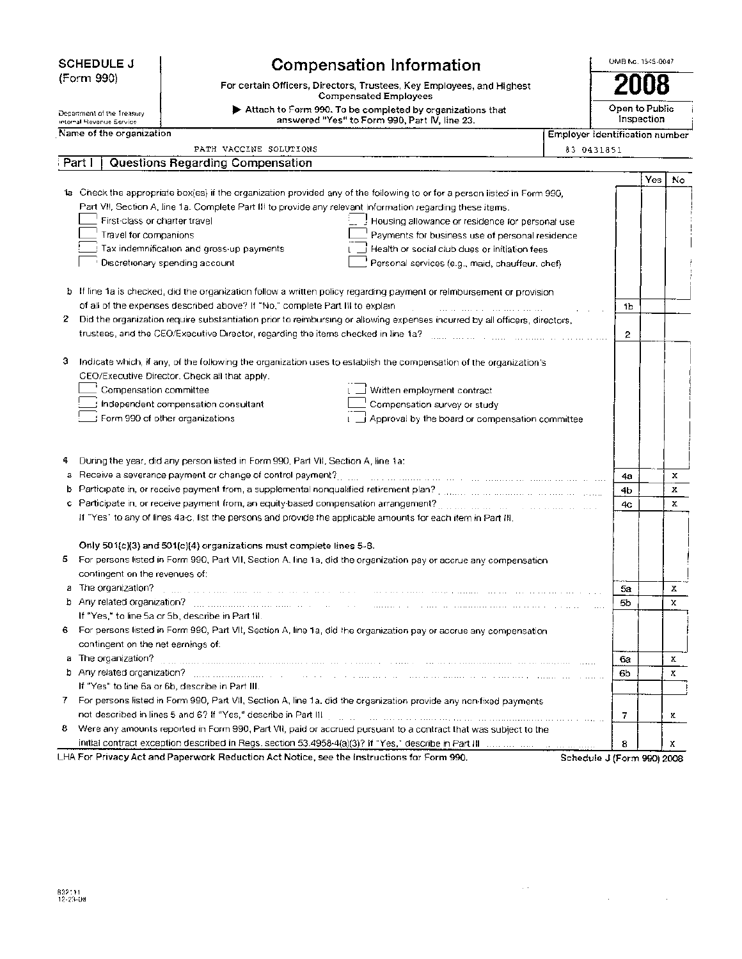| <b>SCHEDULE J</b> |  |
|-------------------|--|
| (Form 990)        |  |

Department of the Treasury

# **Compensation Information**

 $\blacktriangleright$  Attach to Form 990. To be completed by organizations that answered "Yes" to Form 990, Part IV, line 23.

For certain Officers, Directors, Trustees, Key Employees, and Highest Compensated Employees

Open to Public Inspection

Employer identification number

OMB No. 1545-0047

**2008** 

| internal Hevenue Service. |  |
|---------------------------|--|
| Name of the organization  |  |

Part I | Questions Regarding Compensation

PATH VACCINE SOLUTIONS

| 83 0431851 |
|------------|

 $\sim$   $\sim$ 

 $\mathcal{L}$ 

|   |                                                                                                                                                                                                                                     |                            | Yes. | No          |
|---|-------------------------------------------------------------------------------------------------------------------------------------------------------------------------------------------------------------------------------------|----------------------------|------|-------------|
|   | ta Check the appropriate box(es) if the organization provided any of the following to or for a person listed in Form 990,                                                                                                           |                            |      |             |
|   | Part VII, Section A, line 1a. Complete Part III to provide any relevant information regarding these items.                                                                                                                          |                            |      |             |
|   | First-class or charter travel<br>Housing allowance or residence for personal use                                                                                                                                                    |                            |      |             |
|   | Travel for companions<br>Payments for business use of personal residence                                                                                                                                                            |                            |      |             |
|   | Tax indemnification and gross-up payments<br>Health or social club dues or initiation fees                                                                                                                                          |                            |      |             |
|   | Discretionary spending account<br>Personal services (e.g., maid, chauffeur, chef)                                                                                                                                                   |                            |      |             |
|   | b If line 1a is checked, did the organization follow a written policy regarding payment or reimbursement or provision                                                                                                               |                            |      |             |
|   | of all of the expenses described above? If "No," complete Part III to explain                                                                                                                                                       | 1b                         |      |             |
| 2 | Did the organization require substantiation prior to reimbursing or allowing expenses incurred by all officers, directors,                                                                                                          |                            |      |             |
|   |                                                                                                                                                                                                                                     | $\overline{2}$             |      |             |
|   |                                                                                                                                                                                                                                     |                            |      |             |
| з | Indicate which, if any, of the following the organization uses to establish the compensation of the organization's<br>CEO/Executive Director. Check all that apply.                                                                 |                            |      |             |
|   | Compensation committee<br>J Written employment contract                                                                                                                                                                             |                            |      |             |
|   | Independent compensation consultant<br>Compensation survey or study                                                                                                                                                                 |                            |      |             |
|   | Approval by the board or compensation committee<br>Form 990 of other organizations                                                                                                                                                  |                            |      |             |
|   |                                                                                                                                                                                                                                     |                            |      |             |
|   |                                                                                                                                                                                                                                     |                            |      |             |
| 4 | During the year, did any person listed in Form 990, Part VII, Section A, line 1a:                                                                                                                                                   |                            |      |             |
|   |                                                                                                                                                                                                                                     | 4a                         |      | x           |
|   |                                                                                                                                                                                                                                     | 4b                         |      | x           |
|   |                                                                                                                                                                                                                                     | 4c                         |      | x           |
|   | If "Yes" to any of lines 4a-c, list the persons and provide the applicable amounts for each item in Part III.                                                                                                                       |                            |      |             |
|   | Only 501(c)(3) and 501(c)(4) organizations must complete lines 5-8.                                                                                                                                                                 |                            |      |             |
| 5 | For persons listed in Form 990, Part VII, Section A, line 1a, did the organization pay or accrue any compensation                                                                                                                   |                            |      |             |
|   | contingent on the revenues of:                                                                                                                                                                                                      |                            |      |             |
|   | a The organization?                                                                                                                                                                                                                 | 5a                         |      | x           |
|   | b Any related organization? [11] measure in the contract of the contract of the contract of the contract of the contract of the contract of the contract of the contract of the contract of the contract of the contract of th      | 5b                         |      | x           |
|   | If "Yes," to line 5a or 5b, describe in Part III.                                                                                                                                                                                   |                            |      |             |
|   | 6 For persons listed in Form 990, Part VII, Section A, line 1a, did the organization pay or accrue any compensation                                                                                                                 |                            |      |             |
|   | contingent on the net earnings of:                                                                                                                                                                                                  |                            |      |             |
|   | a The organization? www.communication.com/communication/communication/communication/communication/communicatio                                                                                                                      | 6а                         |      | $\mathbf x$ |
|   | b Any related organization? <b>Election</b> 2008 of the contract of the contract of the contract of the contract of the contract of the contract of the contract of the contract of the contract of the contract of the contract of | 6b                         |      | x           |
|   | If "Yes" to line 6a or 6b, describe in Part III.                                                                                                                                                                                    |                            |      |             |
|   | 7 For persons fisted in Form 990, Part VII, Section A, line 1a, did the organization provide any non-fixed payments                                                                                                                 |                            |      |             |
|   | .                                                                                                                                                                                                                                   | 7                          |      | x           |
| 8 | Were any amounts reported in Form 990, Part VII, paid or accrued pursuant to a contract that was subject to the                                                                                                                     |                            |      |             |
|   |                                                                                                                                                                                                                                     | 8                          |      | x           |
|   | LHA For Privacy Act and Paperwork Reduction Act Notice, see the Instructions for Form 990.                                                                                                                                          | Schedule J (Form 990) 2008 |      |             |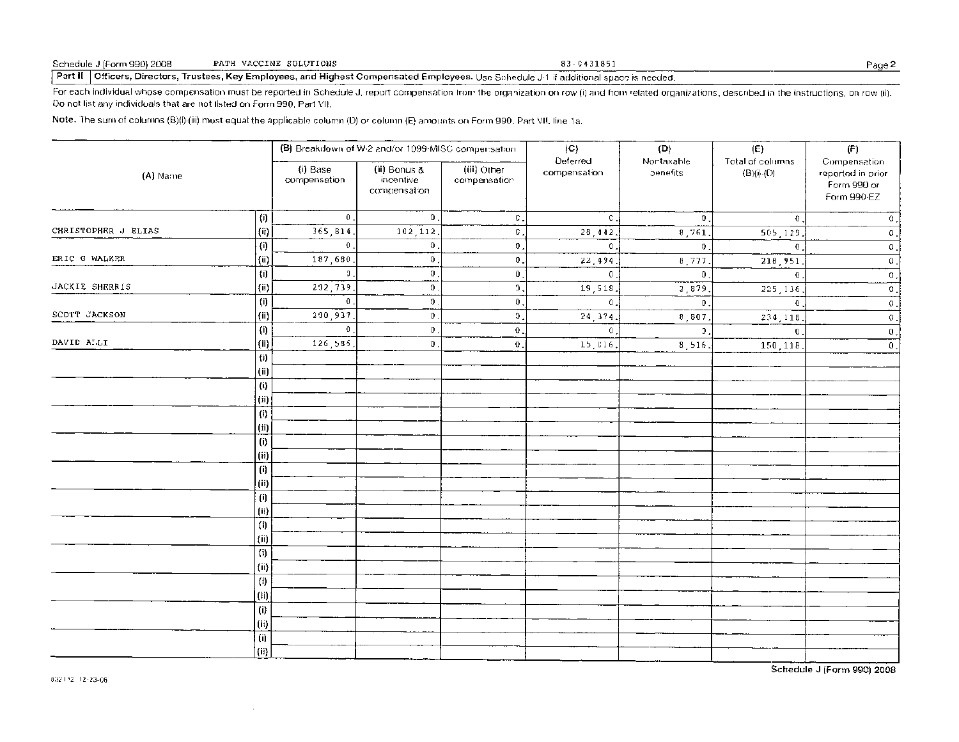#### Schedule J (Form 990) 2008 PATH VACCINE SOLUTIONS 83-0431851 Page 2

Part II Officers, Directors, Trustees, Key Employees, and Highest Compensated Employees. Use Schedule J-1 if additional space is needed.

For each individual whose compensation must be reported in Schedule J, report compensation from the organization on row (i) and from related organizations, described in the instructions, on row (ii). Do not list any individuals that are not listed on Form 990, Part VII.

Note. The sum of columns (B)(i)-(iii) must equal the applicable column (D) or column (E) amounts on Form 990, Part VII line la.

| (A) Name            |                                                 |                          | (B) Breakdown of W-2 and/or 1099-MISC compensation |                             | (C)<br>Deferred | (D)<br>Nortaxable | (E)                                  | (F)                                                             |
|---------------------|-------------------------------------------------|--------------------------|----------------------------------------------------|-----------------------------|-----------------|-------------------|--------------------------------------|-----------------------------------------------------------------|
|                     |                                                 | (i) Base<br>compensation | (ii) Bonus &<br>incentive<br>compensation          | (iii) Other<br>compensation | compensation    | benefits          | Total of columns<br>$(B)(i)$ - $(D)$ | Compensation<br>reported in prior<br>Form 990 or<br>Form 990-EZ |
|                     | $\left( i\right)$                               | $\mathbf{0}$ .           | $\mathbf 0$ .                                      | С.                          | $\mathbb{C}$ .  | $\bm{0}$ .        | $\bf{0}$                             | 0                                                               |
| CHRISTOPHER J ELIAS | $\langle \mathsf{ii} \rangle$                   | 365,814                  | 102,112                                            | C.                          | 28,442.         | 8,761             | 505,129                              | $\mathbb O$ .                                                   |
|                     | $\left\langle \mathbf{i}\right\rangle$          | $\mathbf 0$              | $\mathbf 0$ .                                      | $\mathbf 0$                 | $\theta$ .      | $\bm{0}$ .        | $\bf{0}$                             | $\mathbb O$                                                     |
| ERIC G WALKER       | (i)                                             | 187,680                  | $\mathbf 0$ .                                      | $\overline{\mathbf{0}}$ .   | 22,494          | 8,777             | 218,951                              | $\mathbb O$ .                                                   |
|                     | (i)                                             | O.                       | $\mathbf 0$ .                                      | $\mathbf{0}$ .              | $\mathbf{0}$ .  | $\mathbf{0}$ .    | $\mathbf 0$                          | $\mathsf{O}$                                                    |
| JACKIE SHERRIS      | $\langle \mathrm{ii} \rangle$                   | 202,739                  | 0                                                  | 0,                          | 19,518          | 2,879             | 225, 136                             | 0                                                               |
|                     | (i)                                             | $\mathbf 0$              | 0                                                  | $\mathbf{0}$ .              | $\theta$ .      | $\theta$ .        | $\mathbf 0$                          | $\mathbb O$ .                                                   |
| SCOTT JACKSON       | $\{ii\}$                                        | 200,937                  | $\bm{0}$ .                                         | $\mathfrak{I}$ .            | 24,374.         | 8,807.            | 234,118                              | $\mathbb O$ .                                                   |
|                     | (i)                                             | $\mathbf 0$              | $\theta$ .                                         | 0                           | $\mathbf{0}$    | $\overline{3}$ .  | $\mathbf 0$                          | $\boldsymbol{0}$ .                                              |
| DAVID ALLI          | $\vert$ (ii)                                    | 126,585                  | Ο.                                                 | $\mathbf 0$                 | 15,016.         | 8,516.            | 150,118                              | $\mathbf{0}$ .                                                  |
|                     | $\{i\}$                                         |                          |                                                    |                             |                 |                   |                                      |                                                                 |
|                     | $\left( \text{ii} \right)$                      |                          |                                                    |                             |                 |                   |                                      |                                                                 |
|                     | $\left\langle i\right\rangle$                   |                          |                                                    |                             |                 |                   |                                      |                                                                 |
|                     | (ii)                                            |                          |                                                    |                             |                 |                   |                                      |                                                                 |
|                     | $\{i\}$                                         |                          |                                                    |                             |                 |                   |                                      |                                                                 |
|                     | $\qquad \qquad \textbf{(ii)}$<br>$\overline{0}$ |                          |                                                    |                             |                 |                   |                                      |                                                                 |
|                     | (ii)                                            |                          |                                                    |                             |                 |                   |                                      |                                                                 |
|                     | (i)                                             |                          |                                                    |                             |                 |                   |                                      |                                                                 |
|                     | (ii)                                            |                          |                                                    |                             |                 |                   |                                      |                                                                 |
|                     | $\left( \mathsf{i}\right)$                      |                          |                                                    |                             |                 |                   |                                      |                                                                 |
|                     | $\qquad \qquad \textbf{(ii)}$                   |                          |                                                    |                             |                 |                   |                                      |                                                                 |
|                     | $\left( i\right)$                               |                          |                                                    |                             |                 |                   |                                      |                                                                 |
|                     | (ii)                                            |                          |                                                    |                             |                 |                   |                                      |                                                                 |
|                     | $\left(\hat{\textbf{\i}}\right)$                |                          |                                                    |                             |                 |                   |                                      |                                                                 |
|                     | $\left\langle \mathsf{ii} \right\rangle$        |                          |                                                    |                             |                 |                   |                                      |                                                                 |
|                     | $\{i\}$                                         |                          |                                                    |                             |                 |                   |                                      |                                                                 |
|                     | (i)                                             |                          |                                                    |                             |                 |                   |                                      |                                                                 |
|                     | (i)                                             |                          |                                                    |                             |                 |                   |                                      |                                                                 |
|                     | (i)                                             |                          |                                                    |                             |                 |                   |                                      |                                                                 |
|                     | (i)                                             |                          |                                                    |                             |                 |                   |                                      |                                                                 |
|                     | (ii)                                            |                          |                                                    |                             |                 |                   |                                      |                                                                 |

Schedule J (Form 990) 2008

 $\sim$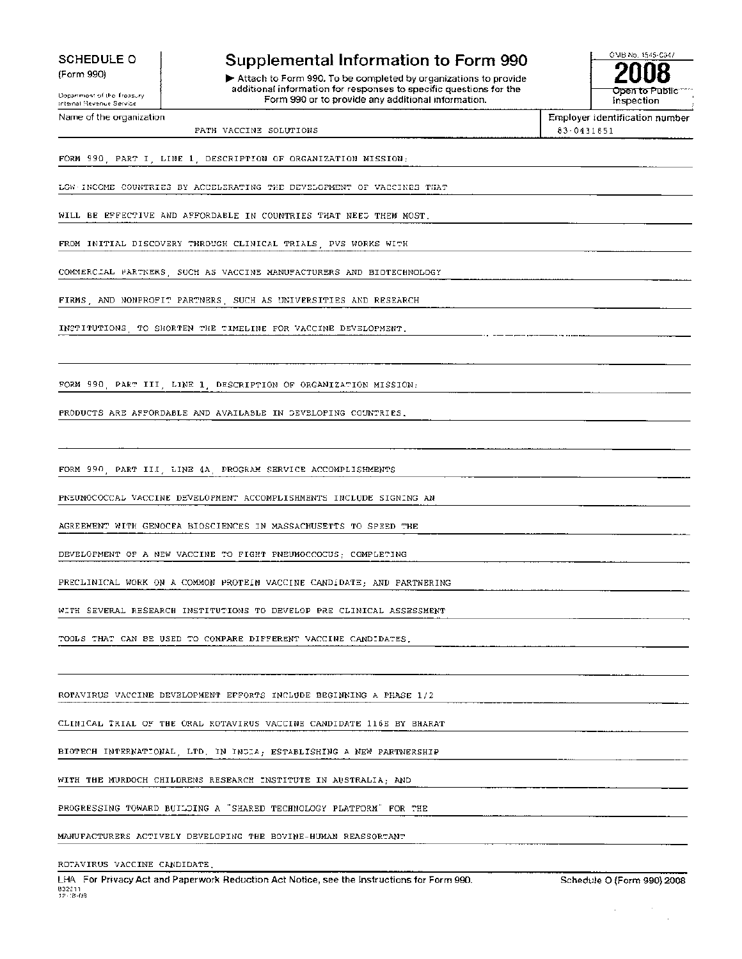**SCHEDULE 0** 

(Form 990)

**Supplemental Information to Form 990** 

 $\blacktriangleright$  Attach to Form 990. To be completed by organizations to provide additional information for responses to specific questions for the Form 990 or to provide any additional information.



 $\sim$ 

# Department of the Treasury internal Revenue Service Name of the organization PATH VACCINE SOLUTIONS Employer identification number 83 - 0431851 FORM 990, PART I, LINE 1, DESCRIPTION OF ORGANIZATION MISSION: LOW•INCOME COUNTRIES BY ACCELERATING THE DEVELOPMENT OF VACCINES THAT WILL BE EFFECTIVE AND AFFORDABLE IN COUNTRIES THAT NEED THEM MOST, FROM INITIAL DISCOVERY THROUGH CLINICAL TRIALS, PVS WORKS WITH COMMERCIAL PARTNERS, SUCH AS VACCINE MANUFACTURERS AND BIOTECHNOLOGY FIRMS, AND NONPROFIT PARTNERS, SUCH AS UNIVERSITIES AND RESEARCH INSTITUTIONS, TO SHORTEN THE TIMELINE FOR VACCINE DEVELOPMENT, FORM 990, PART III, LINE 1, DESCRIPTION OF ORGANIZATION MISSION: PRODUCTS ARE AFFORDABLE AND AVAILABLE IN DEVELOPING COUNTRIES, FORM 990, PART III, LINE 4A, PROGRAM SERVICE ACCOMPLISHMENTS PNEUMOCOCCAL VACCINE DEVELOPMENT ACCOMPLISHMENTS INCLUDE SIGNING AN AGREEMENT WITH GENOCEA BIOSCIENCES IN MASSACHUSETTS TO SPEED THE DEVELOPMENT OF A NEW VACCINE TO FIGHT PNEUMOCCOCUS; COMPLETING PRECLINICAL WORK ON A COMMON PROTEIN VACCINE CANDIDATE; AND PARTNERING WITH SEVERAL RESEARCH INSTITUTIONS TO DEVELOP PRE CLINICAL ASSESSMENT TOOLS THAT CAN BE USED TO COMPARE DIFFERENT VACCINE CANDIDATES, ROTAVIRUS VACCINE DEVELOPMENT EFFORTS INCLUDE BEGINNING A PHASE 1/2 CLINICAL TRIAL OF THE ORAL ROTAVIRUS VACCINE CANDIDATE 116E BY BHARAT BIOTECH INTERNATIONAL, LTD, IN INDIA; ESTABLISHING A NEW PARTNERSHIP WITH THE MURDOCH CHILDRENS RESEARCH INSTITUTE IN AUSTRALIA; AND PROGRESSING TOWARD BUILDING A "SHARED TECHNOLOGY PLATFORM" FOR THE MANUFACTURERS ACTIVELY DEVELOPING THE BOVINE-HUMAN REASSORTANT ROTAVIRUS VACCINE CANDIDATE. LHA For Privacy Act and Paperwork Reduction Act Notice, see the Instructions for Form 990. Schedule O (Form 990) 2008 832211 12-18-08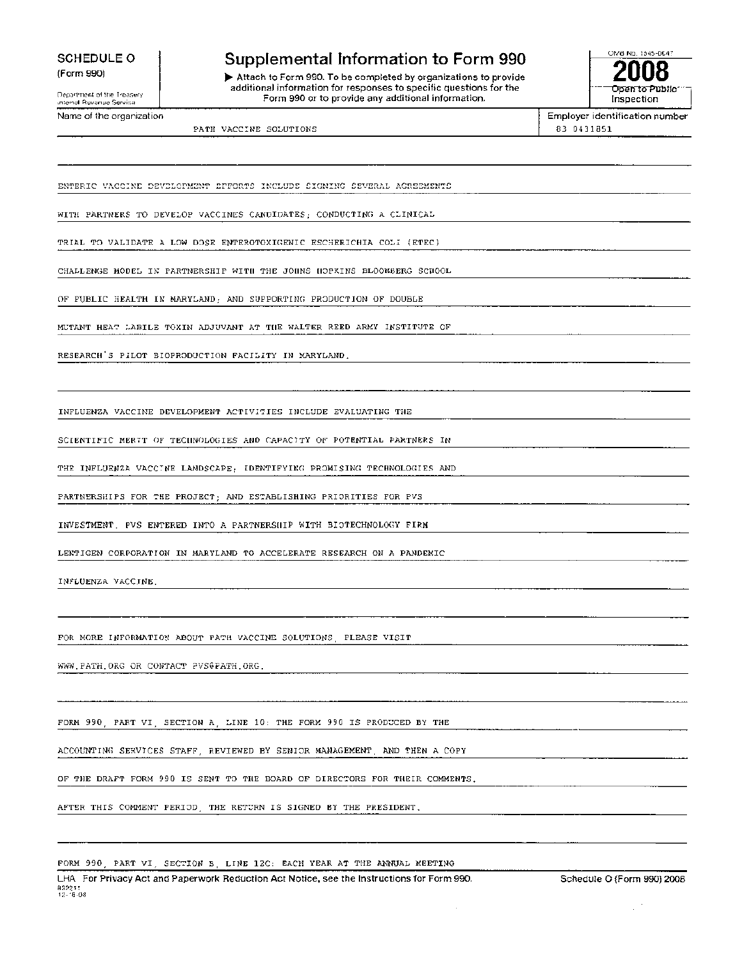SCHEDULE 0 (Form 990)

Department of the Treasury Internal Revenue Service

Name of the organization

### **Supplemental Information to Form 990**

Attach to Form 990. To be completed by organizations to provide additional information for responses to specific questions for the Form 990 or to provide any additional information.



Employer identification number 83-0431851

PATH VACCINE SOLUTIONS

ENTERIC VACCINE DEVELOPMENT ErFORTS INCLUDE SIGNING SEVERAL AGREEMENTS

WITH PARTNERS TO DEVELOP VACCINES CANDIDATES; CONDUCTING A CLINICAL

TRIAL TO VALIDATE A LOW DOSE ENTEROTOXIGENIC ESCHERICHIA COLI (ETEC)

CHALLENGE MODEL IN PARTNERSHIP WITH THE JOHNS HOPKINS BLOOMBERG SCHOOL

OF PUBLIC HEALTH IN MARYLAND; AND SUPPORTING PRODUCTION OF DOUBLE

MUTANT HEAT-LABILE TOXIN ADJUVANT AT THE WALTER REED ARMY INSTITUTE OF

RESEARCH'S PILOT BIOPRODUCTION FACILITY IN MARYLAND.

INFLUENZA VACCINE DEVELOPMENT ACTIVITIES INCLUDE EVALUATING THE

SCIENTIFIC MERIT OF TECHNOLOGIES AND CAPACITY OF POTENTIAL PARTNERS IN

THE INFLUENZA VACCINE LANDSCAPE; IDENTIFYING PROMISING TECHNOLOGIES AND

PARTNERSHIPS FOR THE PROJECT; AND ESTABLISHING PRIORITIES FOR PVS

INVESTMENT. PVS ENTERED INTO A PARTNERSHIP WITH BIOTECHNOLOGY FIRM

LENTIGEN CORPORATION IN MARYLAND TO ACCELERATE RESEARCH ON A PANDEMIC

INFLUENZA VACCINE.

FOR MORE INFORMATION ABOUT PATH VACCINE SOLUTIONS, PLEASE VISIT

PATH.ORGOR CONTACT PVS0PATH.ORG .

FORM 990, PART VI, SECTION A, LINE 10: THE FORM 990 IS PRODUCED BY THE

ACCOUNTING SERVICES STAFF, REVIEWED BY SENIOR MANAGEMENT, AND THEN A COPY

OF THE DRAFT FORM 990 IS SENT TO THE BOARD OF DIRECTORS FOR THEIR COMMENTS.

AFTER THIS COMMENT PERIOD, THE RETURN IS SIGNED BY THE PRESIDENT.

FORM 990, PART VI, SECTION B, LINE 12C: EACH YEAR AT THE ANNUAL MEETING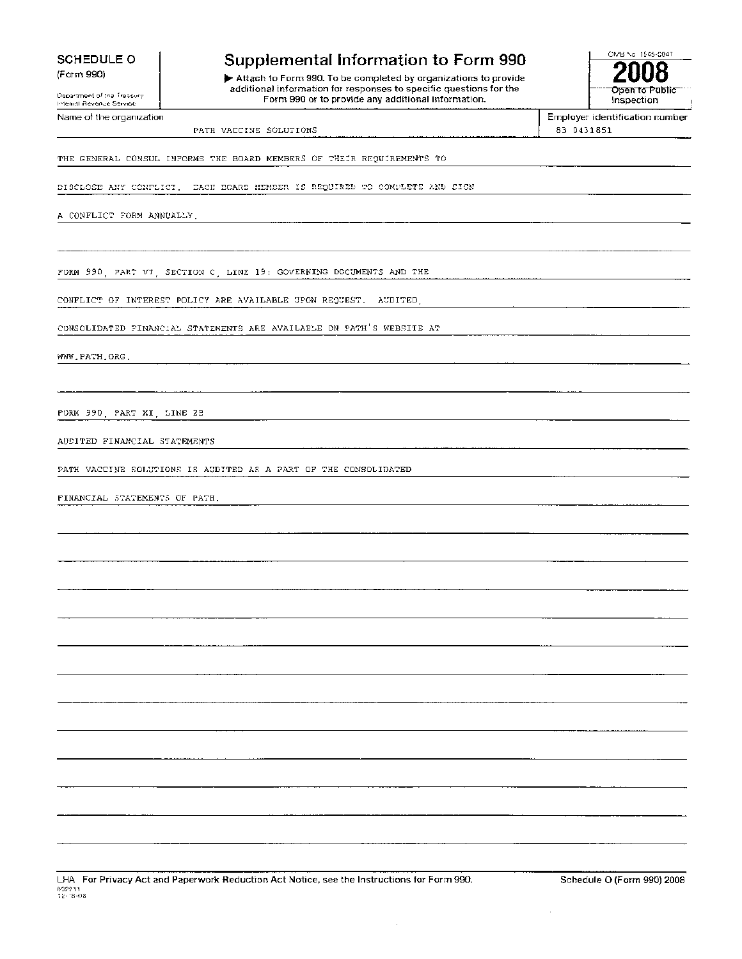**SCHEDULE 0**  (Form 990)

### Department of the Treasury Internal Revenue Service Name of the organization

### **Supplemental Information to Form 990**

**0.** Attach to Form 990. To be completed by organizations to provide additional information for responses to specific questions for the Form 990 or to provide any additional information.



Employer identification number 83 0431851

PATH VACCINE SOLUTIONS

THE GENERAL CONSUL INFORMS THE BOARD MEMBERS OF THEIR REQUIREMENTS TO

BISCLOSE ANY CONFLICT. BACH BOARD MEMBER IS REQUIRED TO COMPLETE AND SIGN

A CONFLICT FORM ANNUALLY.

FORM 990, PART VI, SECTION C, LINE 19: GOVERNING DOCUMENTS AND THE

CONFLICT OF INTEREST POLICY ARE AVAILABLE UPON REQUEST. AUDITED,

CONSOLIDATED FINANCIAL STATEMENTS ARE AVAILABLE ON PATH'S WEBSITE AT

WWW.PATH.ORG .

FORM 990, PART XI, LINE 2B

AUDITED FINANCIAL STATEMENTS

PATH VACCINE SOLUTIONS IS AUDITED AS A PART OF THE CONSOLIDATED

FINANCIAL STATEMENTS OF PATH.

LHA For Privacy Act and Paperwork Reduction Act Notice, see the Instructions for Form 990. Schedule O (Form 990) 2008 832211 12-18-08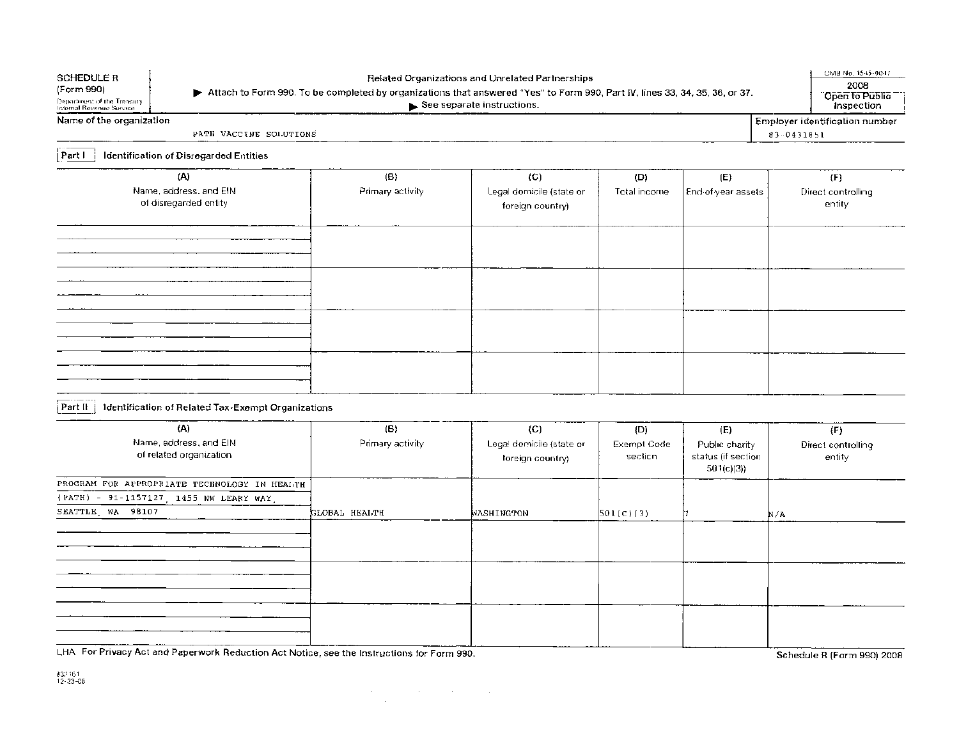| <b>SCHEDULE R</b><br>(Form 990)<br>Department of the Treasury.<br>Internal Revenue Service | > Attach to Form 990. To be completed by organizations that answered "Yes" to Form 990, Part IV, lines 33, 34, 35, 36, or 37. | Related Organizations and Unrelated Partnerships<br>See separate instructions. |                               |                                                          |            | OMB No. 1545-0047<br>2008<br>Open to Public<br>Inspection |
|--------------------------------------------------------------------------------------------|-------------------------------------------------------------------------------------------------------------------------------|--------------------------------------------------------------------------------|-------------------------------|----------------------------------------------------------|------------|-----------------------------------------------------------|
| Name of the organization                                                                   |                                                                                                                               |                                                                                |                               |                                                          |            | Employer identification number                            |
| PATE VACCINE SOLUTIONS                                                                     |                                                                                                                               |                                                                                |                               |                                                          | 83-0431851 |                                                           |
| Identification of Disregarded Entities<br>Partl                                            |                                                                                                                               |                                                                                |                               |                                                          |            |                                                           |
| (A)<br>Name, address, and EIN<br>of disregarded entity                                     | $\langle B \rangle$<br>Primary activity                                                                                       | (C)<br>Legal domicile (state or<br>foreign country)                            | (D)<br>Total income           | (E)<br>End-of-year assets                                |            | (F)<br>Direct controlling<br>entity                       |
|                                                                                            |                                                                                                                               |                                                                                |                               |                                                          |            |                                                           |
|                                                                                            |                                                                                                                               |                                                                                |                               |                                                          |            |                                                           |
| Part II $\frac{1}{2}$<br>Identification of Related Tax-Exempt Organizations                |                                                                                                                               |                                                                                |                               |                                                          |            |                                                           |
|                                                                                            |                                                                                                                               |                                                                                |                               |                                                          |            |                                                           |
| (A)<br>Name, address, and EIN<br>of related organization                                   | (B)<br>Primary activity                                                                                                       | (C)<br>Legal domicile (state or<br>foreign country)                            | (D)<br>Exempt Code<br>section | (E)<br>Public charity<br>status (if section<br>501(c)(3) |            | (F)<br>Direct controlling<br>entity                       |
| PROGRAM FOR APPROPRIATE TECHNOLOGY IN HEALTH                                               |                                                                                                                               |                                                                                |                               |                                                          |            |                                                           |
| (PATH) - 91-1157127, 1455 NW LEARY WAY<br>SEATTLE WA 98107                                 | GLOBAL HEALTH                                                                                                                 | WASHINGTON                                                                     | 501(C)(3)                     |                                                          | N/A        |                                                           |
|                                                                                            |                                                                                                                               |                                                                                |                               |                                                          |            |                                                           |
|                                                                                            |                                                                                                                               |                                                                                |                               |                                                          |            |                                                           |
| $\sim$ $  -$                                                                               |                                                                                                                               |                                                                                |                               |                                                          |            |                                                           |

 $\label{eq:2.1} \frac{1}{\sqrt{2\pi}}\frac{1}{\sqrt{2\pi}}\int_{\mathbb{R}^3}\frac{1}{\sqrt{2\pi}}\left(\frac{1}{\sqrt{2\pi}}\int_{\mathbb{R}^3}\frac{1}{\sqrt{2\pi}}\frac{1}{\sqrt{2\pi}}\frac{1}{\sqrt{2\pi}}\frac{1}{\sqrt{2\pi}}\frac{1}{\sqrt{2\pi}}\frac{1}{\sqrt{2\pi}}\frac{1}{\sqrt{2\pi}}\frac{1}{\sqrt{2\pi}}\frac{1}{\sqrt{2\pi}}\frac{1}{\sqrt{2\pi}}\frac{1}{\sqrt{2\pi}}\frac{1}{\sqrt$ 

LHA For Privacy Act and Paperwork Reduction Act Notice, see the Instructions for Form 990.

Schedule R (Form 990) 2008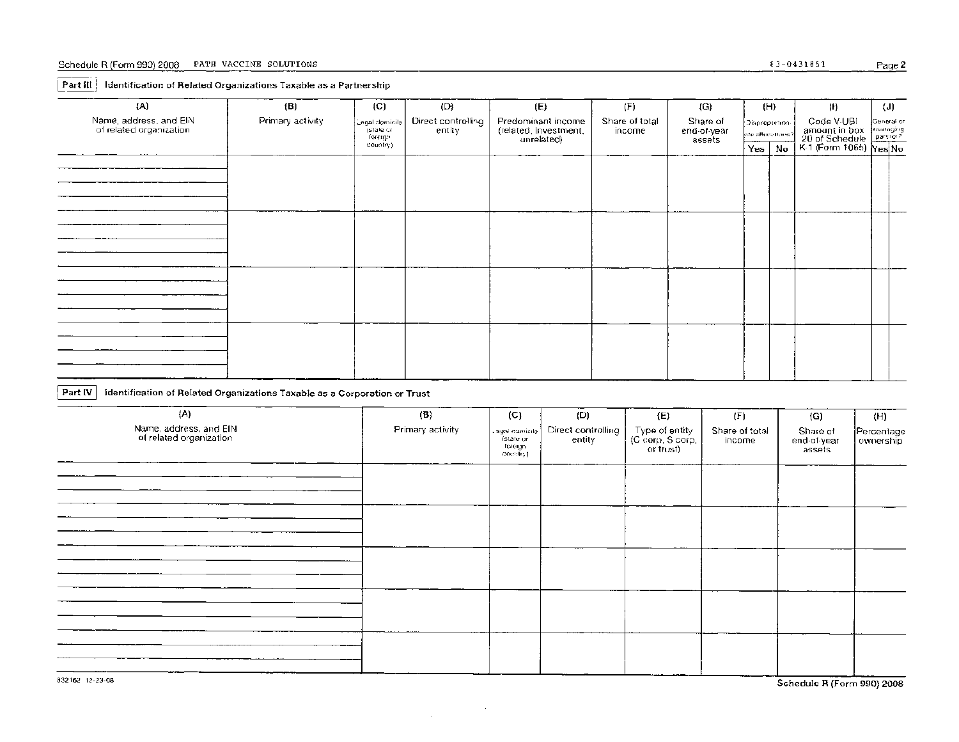### Schedule R (Form 990) 2008 PATH VACCINE SOLUTIONS  $\frac{83 - 0431851}{2}$  Page 2

#### Part **III** | Identification of Related Organizations Taxable as a Partnership

| (H)<br>Name, address, and EIN<br>Primary activity<br>Code V-UBI<br>Direct controlling<br>Predominant income<br>Share of total<br>Share of<br>¦Genera⊁or.<br>Legal domicile<br>Disproportion-<br>of related organization<br>amount in box<br>20 of Schedule<br>K-1 (Form 1065) Yes No<br>(related, investment,<br>entity<br>end-of-year<br>(state or<br>income<br>are allocations?<br>foreign<br>unrelated)<br>assets<br>country).<br>Yes  <br>No | (A) | (B) | (C) | (D) | (E) |     |     |  |  |  |  |     |     |
|--------------------------------------------------------------------------------------------------------------------------------------------------------------------------------------------------------------------------------------------------------------------------------------------------------------------------------------------------------------------------------------------------------------------------------------------------|-----|-----|-----|-----|-----|-----|-----|--|--|--|--|-----|-----|
|                                                                                                                                                                                                                                                                                                                                                                                                                                                  |     |     |     |     |     | (F) | (G) |  |  |  |  | (1) | (J) |
|                                                                                                                                                                                                                                                                                                                                                                                                                                                  |     |     |     |     |     |     |     |  |  |  |  |     |     |
|                                                                                                                                                                                                                                                                                                                                                                                                                                                  |     |     |     |     |     |     |     |  |  |  |  |     |     |
|                                                                                                                                                                                                                                                                                                                                                                                                                                                  |     |     |     |     |     |     |     |  |  |  |  |     |     |
|                                                                                                                                                                                                                                                                                                                                                                                                                                                  |     |     |     |     |     |     |     |  |  |  |  |     |     |
|                                                                                                                                                                                                                                                                                                                                                                                                                                                  |     |     |     |     |     |     |     |  |  |  |  |     |     |
|                                                                                                                                                                                                                                                                                                                                                                                                                                                  |     |     |     |     |     |     |     |  |  |  |  |     |     |
|                                                                                                                                                                                                                                                                                                                                                                                                                                                  |     |     |     |     |     |     |     |  |  |  |  |     |     |
|                                                                                                                                                                                                                                                                                                                                                                                                                                                  |     |     |     |     |     |     |     |  |  |  |  |     |     |
|                                                                                                                                                                                                                                                                                                                                                                                                                                                  |     |     |     |     |     |     |     |  |  |  |  |     |     |
|                                                                                                                                                                                                                                                                                                                                                                                                                                                  |     |     |     |     |     |     |     |  |  |  |  |     |     |
|                                                                                                                                                                                                                                                                                                                                                                                                                                                  |     |     |     |     |     |     |     |  |  |  |  |     |     |
|                                                                                                                                                                                                                                                                                                                                                                                                                                                  |     |     |     |     |     |     |     |  |  |  |  |     |     |
|                                                                                                                                                                                                                                                                                                                                                                                                                                                  |     |     |     |     |     |     |     |  |  |  |  |     |     |
|                                                                                                                                                                                                                                                                                                                                                                                                                                                  |     |     |     |     |     |     |     |  |  |  |  |     |     |
|                                                                                                                                                                                                                                                                                                                                                                                                                                                  |     |     |     |     |     |     |     |  |  |  |  |     |     |
|                                                                                                                                                                                                                                                                                                                                                                                                                                                  |     |     |     |     |     |     |     |  |  |  |  |     |     |
|                                                                                                                                                                                                                                                                                                                                                                                                                                                  |     |     |     |     |     |     |     |  |  |  |  |     |     |
|                                                                                                                                                                                                                                                                                                                                                                                                                                                  |     |     |     |     |     |     |     |  |  |  |  |     |     |
|                                                                                                                                                                                                                                                                                                                                                                                                                                                  |     |     |     |     |     |     |     |  |  |  |  |     |     |
|                                                                                                                                                                                                                                                                                                                                                                                                                                                  |     |     |     |     |     |     |     |  |  |  |  |     |     |
|                                                                                                                                                                                                                                                                                                                                                                                                                                                  |     |     |     |     |     |     |     |  |  |  |  |     |     |

### **Part IV** Identification of Related Organizations Taxable as a Corporation or Trust

| (A)                                               | $\left( \mathbf{B}\right)$ | (C)                                                 | (D)                          | (E)                                                                                                                                             | (F)                      | (G)                               | (H)                     |
|---------------------------------------------------|----------------------------|-----------------------------------------------------|------------------------------|-------------------------------------------------------------------------------------------------------------------------------------------------|--------------------------|-----------------------------------|-------------------------|
| Name, address, and EIN<br>of related organization | Primary activity           | Legal domicile<br>ístate or<br>foreign<br>cosmiry). | Direct controlling<br>entity | $\begin{array}{c} \left. \begin{array}{c} \text{Type of entity} \\ \text{(C Corp. S Corp.} \\ \text{or trust)} \end{array} \right  \end{array}$ | Share of total<br>income | Share of<br>end-of-year<br>assets | Percentage<br>ownership |
|                                                   |                            |                                                     |                              |                                                                                                                                                 |                          |                                   |                         |
|                                                   |                            |                                                     |                              |                                                                                                                                                 |                          |                                   |                         |
|                                                   |                            |                                                     |                              |                                                                                                                                                 |                          |                                   |                         |
|                                                   |                            |                                                     |                              |                                                                                                                                                 |                          |                                   |                         |
|                                                   |                            |                                                     |                              |                                                                                                                                                 |                          |                                   |                         |

 $\sim 10^7$ 

 $\sim 10^{-1}$ 

832162 12-23-08 Schedule R Form 990) 2008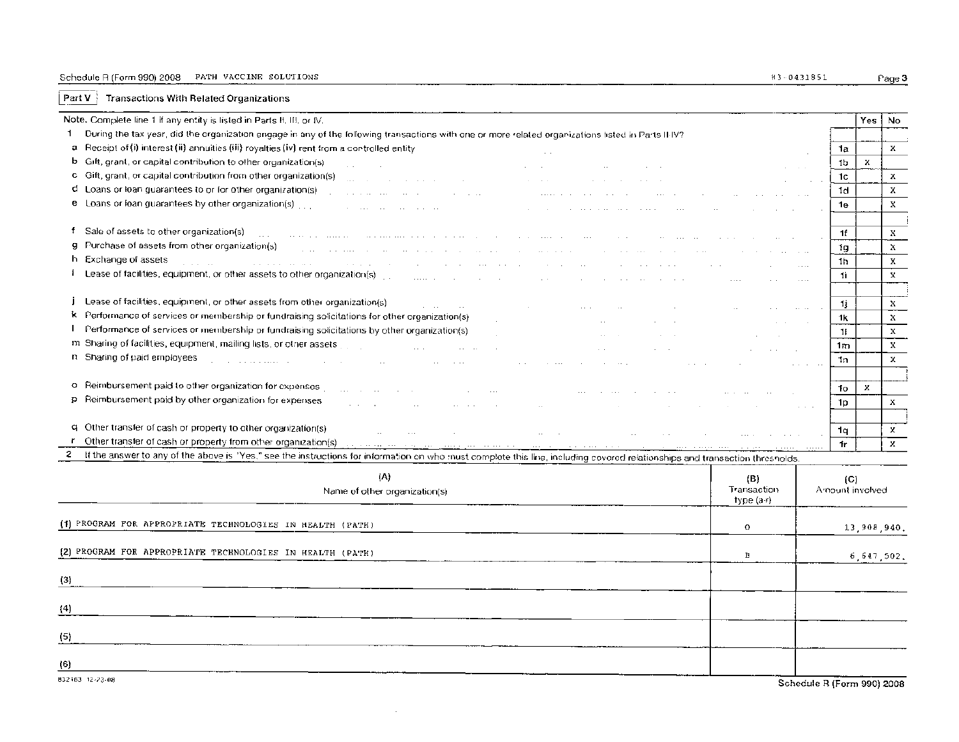### Schedule R (Form 990) 2008 PATH VACCINE SOLUTIONS (83-0431851 Page 3

 $\sqrt{\frac{PartV}{1}}$  Transactions With Related Organizations

|     | Note. Complete line 1 if any entity is listed in Parts II. III, or IV.                                                                                                                                                                                                            |             |                            |                        | Yes          | No           |
|-----|-----------------------------------------------------------------------------------------------------------------------------------------------------------------------------------------------------------------------------------------------------------------------------------|-------------|----------------------------|------------------------|--------------|--------------|
| 1.  | During the tax year, did the organization engage in any of the following transactions with one or more related organizations listed in Parts II-IV?                                                                                                                               |             |                            |                        |              |              |
| а   | Receipt of (i) interest (ii) annuities (iii) royalties (iv) rent from a controlled entity                                                                                                                                                                                         |             |                            | 1a                     |              | x            |
| b   | Gift, grant, or capital contribution to other organization(s).                                                                                                                                                                                                                    |             |                            | 1b                     | $\mathbf{x}$ |              |
|     | and the con-<br>c Gift, grant, or capital contribution from other organization(s)                                                                                                                                                                                                 |             |                            | 1c                     |              | x            |
|     | d Loans or loan guarantees to or for other organization(s)                                                                                                                                                                                                                        |             |                            | 1d                     |              | х            |
|     | and the state of the state of the state of the<br>e Loans or loan guarantees by other organization(s) [11].                                                                                                                                                                       |             |                            | 1e                     |              | X            |
|     | services and the contract of the service                                                                                                                                                                                                                                          |             |                            |                        |              |              |
|     | f Sale of assets to other organization(s)                                                                                                                                                                                                                                         |             |                            |                        |              |              |
|     | the community of the community of the community of the community of the community of the community of the community of the community of the community of the community of the community of the community of the community of t<br>g Purchase of assets from other organization(s) |             |                            | 1f                     |              | X            |
|     | and the company of the second company<br>h Exchange of assets                                                                                                                                                                                                                     |             |                            | 1g                     |              | $\mathbf{x}$ |
|     | the contract of the contract of<br>state and the company                                                                                                                                                                                                                          |             |                            | 1h                     |              | х            |
|     | 1 Lease of facilities, equipment, or other assets to other organization(s)                                                                                                                                                                                                        |             |                            | 1ì.                    |              | x            |
|     |                                                                                                                                                                                                                                                                                   |             |                            |                        |              |              |
|     | Lease of facilities, equipment, or other assets from other organization(s)                                                                                                                                                                                                        |             |                            | 1j                     |              | X            |
|     | k Performance of services or membership or fundraising solicitations for other organization(s)                                                                                                                                                                                    |             |                            | 1k                     |              | x            |
|     | Performance of services or membership or fundraising solicitations by other organization(s)                                                                                                                                                                                       |             |                            | 11                     |              | $\mathbf x$  |
|     | m. Sharing of facilities, equipment, mailing lists, or other assets<br><b>Section</b><br><b>Sales State</b>                                                                                                                                                                       |             |                            | 1m                     |              | x            |
|     | n Sharing of paid employees                                                                                                                                                                                                                                                       |             |                            | 1n.                    |              | х            |
|     |                                                                                                                                                                                                                                                                                   |             |                            |                        |              |              |
|     | o Reimbursement paid to other organization for expenses                                                                                                                                                                                                                           |             |                            | 1o                     | ×            |              |
|     | p Reimbursement paid by other organization for expenses                                                                                                                                                                                                                           |             |                            | 1p                     |              | $\mathbf{x}$ |
|     |                                                                                                                                                                                                                                                                                   |             |                            |                        |              |              |
|     | q Other transfer of cash or property to other organization(s).<br>and the state<br>$\sim$ $\sim$<br>$\sim$ 100 $\sim$                                                                                                                                                             |             |                            | 1q                     |              | x            |
|     | r Other transfer of cash or property from other organization(s) with the contract of the contract of the contract of the contract of the contract of the contract of the contract of the contract of the contract of the contr                                                    |             |                            | Ťr.                    |              | $\mathbf{x}$ |
| 2.  | If the answer to any of the above is "Yes," see the instructions for information on who must complete this line, including covered relationships and transaction thresholds.                                                                                                      |             |                            |                        |              |              |
|     | (A)                                                                                                                                                                                                                                                                               | (B)         |                            |                        |              |              |
|     | Name of other organization(s)                                                                                                                                                                                                                                                     | Transaction |                            | (C)<br>Amount involved |              |              |
|     |                                                                                                                                                                                                                                                                                   | type (a-r)  |                            |                        |              |              |
|     |                                                                                                                                                                                                                                                                                   |             |                            |                        |              |              |
|     | (1) PROGRAM FOR APPROPRIATE TECHNOLOGIES IN HEALTH (PATH)                                                                                                                                                                                                                         | $\circ$     |                            |                        | 13,908,940.  |              |
|     |                                                                                                                                                                                                                                                                                   |             |                            |                        |              |              |
|     | (2) PROGRAM FOR APPROPRIATE TECHNOLOGIES IN HEALTH (PATH)                                                                                                                                                                                                                         | Β           |                            |                        | 6,647,502.   |              |
|     |                                                                                                                                                                                                                                                                                   |             |                            |                        |              |              |
| (3) |                                                                                                                                                                                                                                                                                   |             |                            |                        |              |              |
|     |                                                                                                                                                                                                                                                                                   |             |                            |                        |              |              |
| (4) |                                                                                                                                                                                                                                                                                   |             |                            |                        |              |              |
|     |                                                                                                                                                                                                                                                                                   |             |                            |                        |              |              |
| (5) |                                                                                                                                                                                                                                                                                   |             |                            |                        |              |              |
|     |                                                                                                                                                                                                                                                                                   |             |                            |                        |              |              |
| (6) |                                                                                                                                                                                                                                                                                   |             |                            |                        |              |              |
|     | 832163 12-23-08                                                                                                                                                                                                                                                                   |             | Schedule B (Form 990) 2008 |                        |              |              |
|     |                                                                                                                                                                                                                                                                                   |             |                            |                        |              |              |

 $\alpha$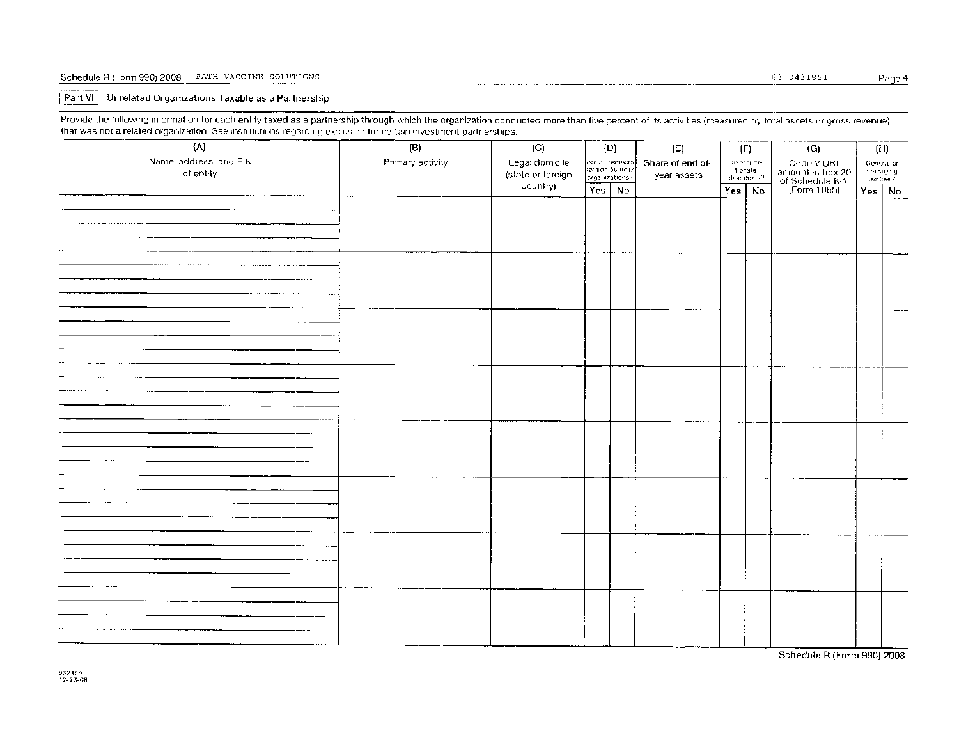#### Schedule R (Form 990) 2008 PATH VACCINE SOLUTIONS 83 - 2008 Page 4 - 0431851 Page 4

#### Part VI | Unrelated Organizations Taxable as a Partnership

Provide the following information for each entity taxed as a partnership through which the organization conducted more than five percent of its activities (measured by total assets or gross revenue) that was not a related organization. See instructions regarding exclusion for certain investment partnerships.

| (A)                                 | (B)              | (C)                                 | (D)      |                                                                                             | $\left(\mathsf{E}\right)$ |                                       | (F) | (G)                                                              |               | (H)                                  |
|-------------------------------------|------------------|-------------------------------------|----------|---------------------------------------------------------------------------------------------|---------------------------|---------------------------------------|-----|------------------------------------------------------------------|---------------|--------------------------------------|
| Name, address, and EIN<br>of entity | Primary activity | Legal domicile<br>(state or foreign |          | Are all partners<br>section 50 1(c)(3)<br>organizations?<br>Share of end of-<br>year assets |                           | Dispreper-<br>tionate<br>aliseations? |     | Code V-UBI<br>amount in box 20<br>of Schedule K-1<br>(Form 1065) |               | General or<br>Intanaging<br>Intana ? |
|                                     |                  | country)                            | Yes   No |                                                                                             |                           | Yes No                                |     |                                                                  | $Yes \mid No$ |                                      |
|                                     |                  |                                     |          |                                                                                             |                           |                                       |     |                                                                  |               |                                      |
|                                     |                  |                                     |          |                                                                                             |                           |                                       |     |                                                                  |               |                                      |
|                                     |                  |                                     |          |                                                                                             |                           |                                       |     |                                                                  |               |                                      |
|                                     |                  |                                     |          |                                                                                             |                           |                                       |     |                                                                  |               |                                      |
|                                     |                  |                                     |          |                                                                                             |                           |                                       |     |                                                                  |               |                                      |
|                                     |                  |                                     |          |                                                                                             |                           |                                       |     |                                                                  |               |                                      |
|                                     |                  |                                     |          |                                                                                             |                           |                                       |     |                                                                  |               |                                      |
|                                     |                  |                                     |          |                                                                                             |                           |                                       |     |                                                                  |               |                                      |
|                                     |                  |                                     |          |                                                                                             |                           |                                       |     |                                                                  |               |                                      |
|                                     |                  |                                     |          |                                                                                             |                           |                                       |     |                                                                  |               |                                      |
|                                     |                  |                                     |          |                                                                                             |                           |                                       |     |                                                                  |               |                                      |
|                                     |                  |                                     |          |                                                                                             |                           |                                       |     |                                                                  |               |                                      |
|                                     |                  |                                     |          |                                                                                             |                           |                                       |     |                                                                  |               |                                      |
|                                     |                  |                                     |          |                                                                                             |                           |                                       |     |                                                                  |               |                                      |
|                                     |                  |                                     |          |                                                                                             |                           |                                       |     |                                                                  |               |                                      |
|                                     |                  |                                     |          |                                                                                             |                           |                                       |     |                                                                  |               |                                      |
|                                     |                  |                                     |          |                                                                                             |                           |                                       |     |                                                                  |               |                                      |
|                                     |                  |                                     |          |                                                                                             |                           |                                       |     |                                                                  |               |                                      |
|                                     |                  |                                     |          |                                                                                             |                           |                                       |     |                                                                  |               |                                      |
|                                     |                  |                                     |          |                                                                                             |                           |                                       |     |                                                                  |               |                                      |
|                                     |                  |                                     |          |                                                                                             |                           |                                       |     |                                                                  |               |                                      |
|                                     |                  |                                     |          |                                                                                             |                           |                                       |     |                                                                  |               |                                      |
|                                     |                  |                                     |          |                                                                                             |                           |                                       |     |                                                                  |               |                                      |
|                                     |                  |                                     |          |                                                                                             |                           |                                       |     |                                                                  |               |                                      |
|                                     |                  |                                     |          |                                                                                             |                           |                                       |     |                                                                  |               |                                      |
|                                     |                  |                                     |          |                                                                                             |                           |                                       |     |                                                                  |               |                                      |
|                                     |                  |                                     |          |                                                                                             |                           |                                       |     |                                                                  |               |                                      |
|                                     |                  |                                     |          |                                                                                             |                           |                                       |     |                                                                  |               |                                      |
|                                     |                  |                                     |          |                                                                                             |                           |                                       |     |                                                                  |               |                                      |
|                                     |                  |                                     |          |                                                                                             |                           |                                       |     |                                                                  |               |                                      |
|                                     |                  |                                     |          |                                                                                             |                           |                                       |     |                                                                  |               |                                      |
|                                     |                  |                                     |          |                                                                                             |                           |                                       |     | Schedule R (Form 990) 2008                                       |               |                                      |

 $\sim$ 

Schedule R (Form 990) 2008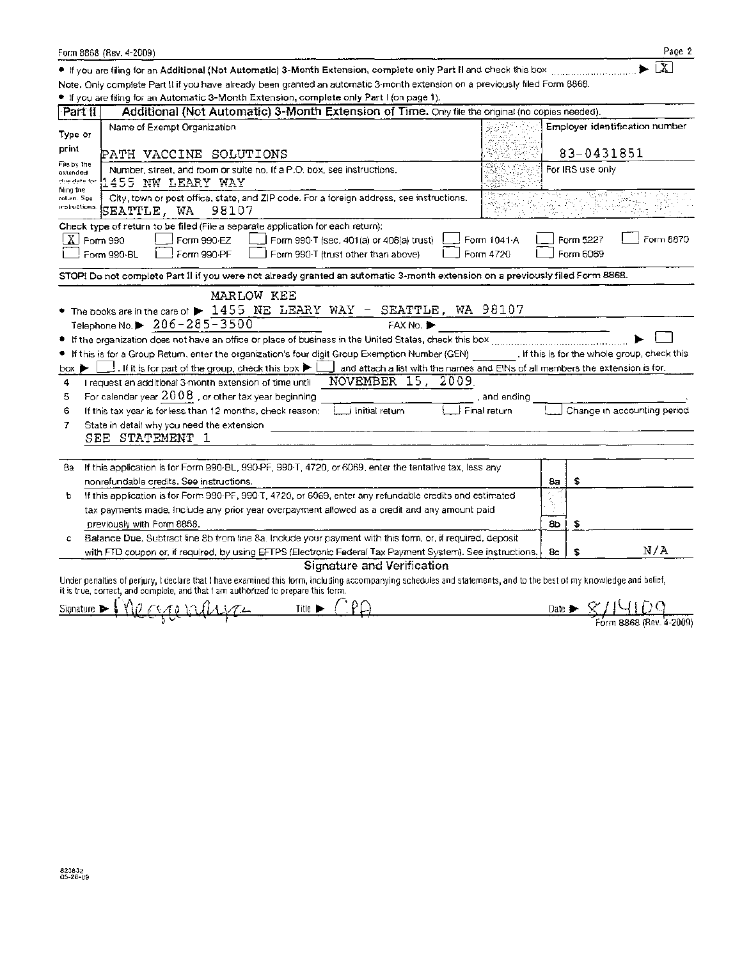|                                        | Form 8868 (Rev. 4-2009)                                                                                                                                                                                                                                                                                                                                                                                                                                                                                                                                                                                                                           |              |                       |                                | Page 2                                                                                                                                        |
|----------------------------------------|---------------------------------------------------------------------------------------------------------------------------------------------------------------------------------------------------------------------------------------------------------------------------------------------------------------------------------------------------------------------------------------------------------------------------------------------------------------------------------------------------------------------------------------------------------------------------------------------------------------------------------------------------|--------------|-----------------------|--------------------------------|-----------------------------------------------------------------------------------------------------------------------------------------------|
|                                        | If you are filing for an Additional (Not Automatic) 3-Month Extension, complete only Part II and check this box [[[[[[[[[[[[[[[[[[[[[[[]]]]]]]]]]]]                                                                                                                                                                                                                                                                                                                                                                                                                                                                                               |              |                       |                                | $\overline{\mathbf{x}}$                                                                                                                       |
|                                        | Note, Only complete Part II if you have already been granted an automatic 3-month extension on a previously filed Form 8868.                                                                                                                                                                                                                                                                                                                                                                                                                                                                                                                      |              |                       |                                |                                                                                                                                               |
|                                        | If you are filing for an Automatic 3-Month Extension, complete only Part I (on page 1).                                                                                                                                                                                                                                                                                                                                                                                                                                                                                                                                                           |              |                       |                                |                                                                                                                                               |
| Part II                                | Additional (Not Automatic) 3-Month Extension of Time. Only file the original (no copies needed).                                                                                                                                                                                                                                                                                                                                                                                                                                                                                                                                                  |              |                       |                                |                                                                                                                                               |
| Type or                                | Name of Exempt Organization                                                                                                                                                                                                                                                                                                                                                                                                                                                                                                                                                                                                                       |              |                       | Employer identification number |                                                                                                                                               |
| print<br>File by the                   | PATH VACCINE SOLUTIONS                                                                                                                                                                                                                                                                                                                                                                                                                                                                                                                                                                                                                            |              |                       | 83-0431851                     |                                                                                                                                               |
| extended<br>due date for<br>filing the | Number, street, and room or suite no. If a P.O. box, see instructions,<br>455 NW LEARY WAY                                                                                                                                                                                                                                                                                                                                                                                                                                                                                                                                                        |              |                       | For IRS use only               |                                                                                                                                               |
| rotuin. See<br>instructions.           | City, town or post office, state, and ZIP code. For a foreign address, see instructions.<br>SEATTLE, WA 98107                                                                                                                                                                                                                                                                                                                                                                                                                                                                                                                                     |              |                       |                                |                                                                                                                                               |
| $X$ Form 990                           | Check type of return to be filed (File a separate application for each return):<br>Form 990-EZ<br>Form 990-T (sec. 401(a) or 408(a) trust)<br>Form 990-BL<br>Form 990-PF<br>Form 990-T (trust other than above)<br>Form 4720                                                                                                                                                                                                                                                                                                                                                                                                                      | Form 1041 A  |                       | Form 5227<br>Form 6069         | Form 8870                                                                                                                                     |
|                                        | STOP! Do not complete Part II if you were not already granted an automatic 3-month extension on a previously filed Form 8868.                                                                                                                                                                                                                                                                                                                                                                                                                                                                                                                     |              |                       |                                |                                                                                                                                               |
| ۰<br>box<br>4<br>5                     | MARLOW KEE<br>• The books are in the care of $\blacktriangleright$ 1455 NE LEARY WAY - SEATTLE, WA 98107<br>Telephone No. $\triangleright$ 206-285-3500<br>FAX No.<br>If this is for a Group Return, enter the organization's four digit Group Exemption Number (GEN) [16] If this is for the whole group, check this<br>$\rfloor$ . If it is for part of the group, check this box $\blacktriangleright\, \lfloor$<br>and attach a list with the names and EINs of all members the extension is for.<br>NOVEMBER 15, 2009.<br>I request an additional 3-month extension of time until<br>For calendar year $2008$ , or other tax year beginning. | , and ending |                       |                                |                                                                                                                                               |
| 6<br>7                                 | If this tax year is for less than 12 months, check reason; [[11] Initial return<br>∤ Final return<br>State in detail why you need the extension<br>SEE STATEMENT 1                                                                                                                                                                                                                                                                                                                                                                                                                                                                                |              |                       | Change in accounting period    |                                                                                                                                               |
| 8a<br>Þ                                | If this application is for Form 990-BL, 990-PF, 990-T, 4720, or 6069, enter the tentative tax, less any<br>nonrefundable credits. See instructions.<br>If this application is for Form 990-PF, 990-T, 4720, or 5069, enter any refundable credits and estimated<br>tax payments made, include any prior year overpayment allowed as a credit and any amount paid                                                                                                                                                                                                                                                                                  |              | 8а<br>$\beta_{\rm E}$ | \$                             |                                                                                                                                               |
| c                                      | previously with Form 8868.<br>Balance Due, Subtract line 8b from line 8a. Include your payment with this form, or, if required, deposit                                                                                                                                                                                                                                                                                                                                                                                                                                                                                                           |              | 8Ь                    | S                              |                                                                                                                                               |
|                                        | with FTD coupon or, if required, by using EFTPS (Electronic Federal Tax Payment System). See instructions.                                                                                                                                                                                                                                                                                                                                                                                                                                                                                                                                        |              | 8c                    | S                              | N/A                                                                                                                                           |
|                                        | Signature and Verification<br>Under penalties of perjury, I declare that I have examined this form, including accompanying schedules and statements, and to the best of my knowledge and belief,<br>it is true, correct, and complete, and that I am authorized to prepare this form.                                                                                                                                                                                                                                                                                                                                                             |              |                       |                                |                                                                                                                                               |
| Signature P                            | Title >                                                                                                                                                                                                                                                                                                                                                                                                                                                                                                                                                                                                                                           |              |                       |                                | Date $\triangleright$ $\frac{\mathcal{C}}{\mathcal{C}}$ $\bigcup$ $\bigcup$ $\bigcup$ $\bigcup$ $\bigcup$ $\bigcup$ $\bigcup$ $\bigcup$ 2009) |
|                                        |                                                                                                                                                                                                                                                                                                                                                                                                                                                                                                                                                                                                                                                   |              |                       |                                |                                                                                                                                               |

| v |  |                         |
|---|--|-------------------------|
|   |  | Form 8868 (Rev. 4-2009) |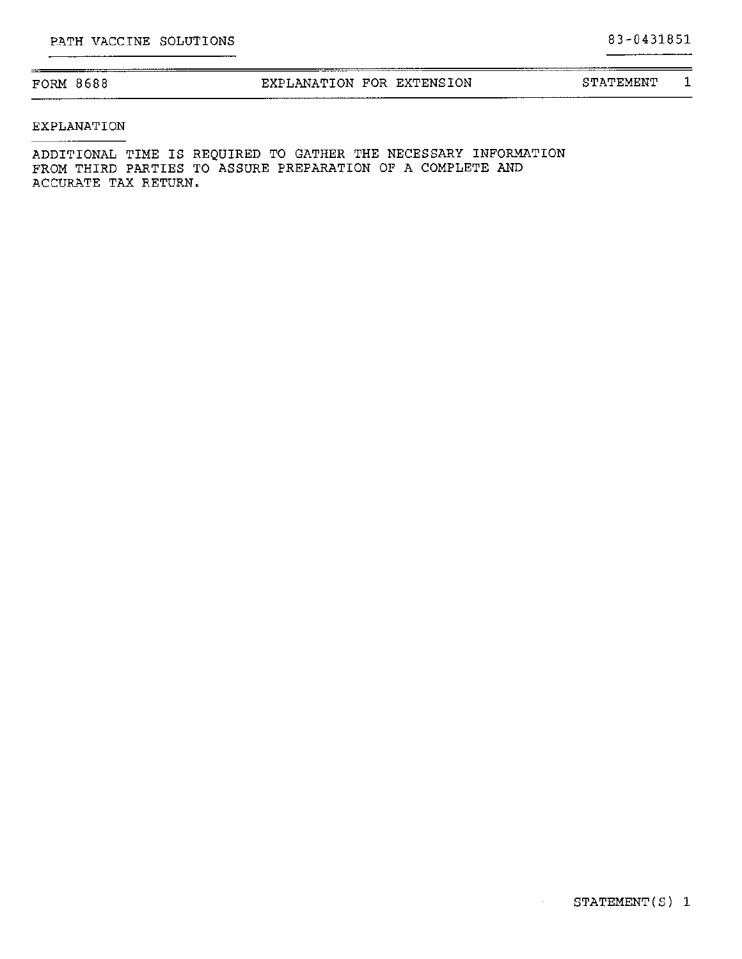| FORM 8688 | EXPLANATION FOR EXTENSION | STATEMENT |  |
|-----------|---------------------------|-----------|--|
|           |                           |           |  |

#### EXPLANATION

 $\equiv$ 

ADDITIONAL TIME IS REQUIRED TO GATHER THE NECESSARY INFORMATION FROM THIRD PARTIES TO ASSURE PREPARATION OF A COMPLETE AND ACCURATE TAX RETURN.